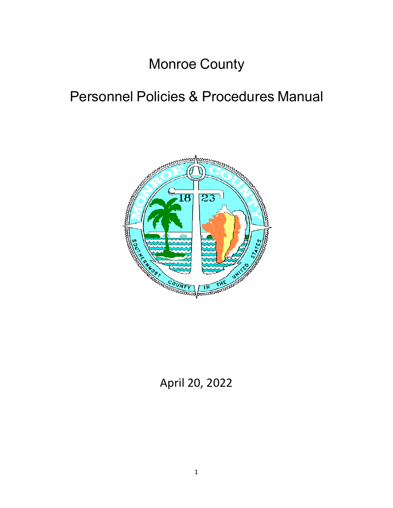# Monroe County

# Personnel Policies & Procedures Manual



April 20, 2022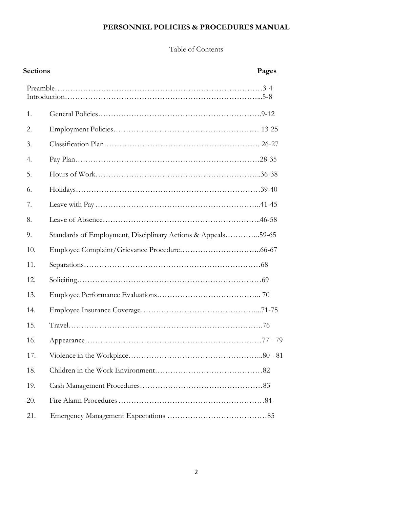# **PERSONNEL POLICIES & PROCEDURES MANUAL**

# Table of Contents

| <u>Sections</u> |                                                              | Pages |
|-----------------|--------------------------------------------------------------|-------|
|                 |                                                              |       |
| 1.              |                                                              |       |
| 2.              |                                                              |       |
| 3.              |                                                              |       |
| 4.              |                                                              |       |
| 5.              |                                                              |       |
| 6.              |                                                              |       |
| 7.              |                                                              |       |
| 8.              |                                                              |       |
| 9.              | Standards of Employment, Disciplinary Actions & Appeals59-65 |       |
| 10.             |                                                              |       |
| 11.             |                                                              |       |
| 12.             |                                                              |       |
| 13.             |                                                              |       |
| 14.             |                                                              |       |
| 15.             |                                                              |       |
| 16.             |                                                              |       |
| 17.             |                                                              |       |
| 18.             |                                                              |       |
| 19.             |                                                              |       |
| 20.             |                                                              |       |
| 21.             |                                                              |       |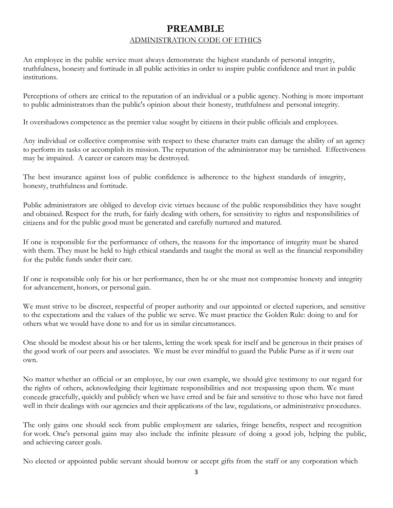# **PREAMBLE**  ADMINISTRATION CODE OF ETHICS

An employee in the public service must always demonstrate the highest standards of personal integrity, truthfulness, honesty and fortitude in all public activities in order to inspire public confidence and trust in public institutions.

Perceptions of others are critical to the reputation of an individual or a public agency. Nothing is more important to public administrators than the public's opinion about their honesty, truthfulness and personal integrity.

It overshadows competence as the premier value sought by citizens in their public officials and employees.

Any individual or collective compromise with respect to these character traits can damage the ability of an agency to perform its tasks or accomplish its mission. The reputation of the administrator may be tarnished. Effectiveness may be impaired. A career or careers may be destroyed.

The best insurance against loss of public confidence is adherence to the highest standards of integrity, honesty, truthfulness and fortitude.

Public administrators are obliged to develop civic virtues because of the public responsibilities they have sought and obtained. Respect for the truth, for fairly dealing with others, for sensitivity to rights and responsibilities of citizens and for the public good must be generated and carefully nurtured and matured.

If one is responsible for the performance of others, the reasons for the importance of integrity must be shared with them. They must be held to high ethical standards and taught the moral as well as the financial responsibility for the public funds under their care.

If one is responsible only for his or her performance, then he or she must not compromise honesty and integrity for advancement, honors, or personal gain.

We must strive to be discreet, respectful of proper authority and our appointed or elected superiors, and sensitive to the expectations and the values of the public we serve. We must practice the Golden Rule: doing to and for others what we would have done to and for us in similar circumstances.

One should be modest about his or her talents, letting the work speak for itself and be generous in their praises of the good work of our peers and associates. We must be ever mindful to guard the Public Purse as if it were our own.

No matter whether an official or an employee, by our own example, we should give testimony to our regard for the rights of others, acknowledging their legitimate responsibilities and not trespassing upon them. We must concede gracefully, quickly and publicly when we have erred and be fair and sensitive to those who have not fared well in their dealings with our agencies and their applications of the law, regulations, or administrative procedures.

The only gains one should seek from public employment are salaries, fringe benefits, respect and recognition for work. One's personal gains may also include the infinite pleasure of doing a good job, helping the public, and achieving career goals.

No elected or appointed public servant should borrow or accept gifts from the staff or any corporation which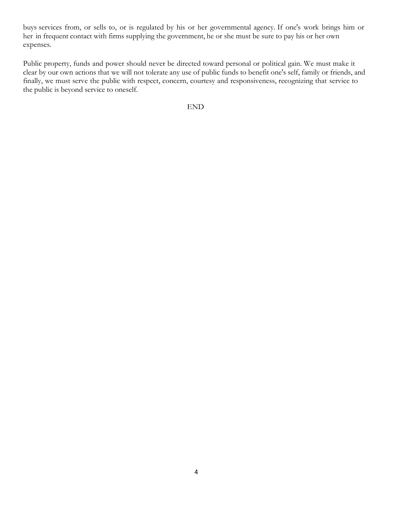buys services from, or sells to, or is regulated by his or her governmental agency. If one's work brings him or her in frequent contact with firms supplying the government, he or she must be sure to pay his or her own expenses.

Public property, funds and power should never be directed toward personal or political gain. We must make it clear by our own actions that we will not tolerate any use of public funds to benefit one's self, family or friends, and finally, we must serve the public with respect, concern, courtesy and responsiveness, recognizing that service to the public is beyond service to oneself.

END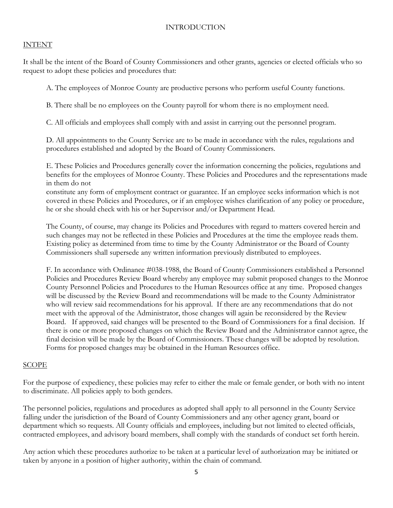#### INTRODUCTION

#### INTENT

It shall be the intent of the Board of County Commissioners and other grants, agencies or elected officials who so request to adopt these policies and procedures that:

A. The employees of Monroe County are productive persons who perform useful County functions.

B. There shall be no employees on the County payroll for whom there is no employment need.

C. All officials and employees shall comply with and assist in carrying out the personnel program.

D. All appointments to the County Service are to be made in accordance with the rules, regulations and procedures established and adopted by the Board of County Commissioners.

E. These Policies and Procedures generally cover the information concerning the policies, regulations and benefits for the employees of Monroe County. These Policies and Procedures and the representations made in them do not

constitute any form of employment contract or guarantee. If an employee seeks information which is not covered in these Policies and Procedures, or if an employee wishes clarification of any policy or procedure, he or she should check with his or her Supervisor and/or Department Head.

The County, of course, may change its Policies and Procedures with regard to matters covered herein and such changes may not be reflected in these Policies and Procedures at the time the employee reads them. Existing policy as determined from time to time by the County Administrator or the Board of County Commissioners shall supersede any written information previously distributed to employees.

F. In accordance with Ordinance #038-1988, the Board of County Commissioners established a Personnel Policies and Procedures Review Board whereby any employee may submit proposed changes to the Monroe County Personnel Policies and Procedures to the Human Resources office at any time. Proposed changes will be discussed by the Review Board and recommendations will be made to the County Administrator who will review said recommendations for his approval. If there are any recommendations that do not meet with the approval of the Administrator, those changes will again be reconsidered by the Review Board. If approved, said changes will be presented to the Board of Commissioners for a final decision. If there is one or more proposed changes on which the Review Board and the Administrator cannot agree, the final decision will be made by the Board of Commissioners. These changes will be adopted by resolution. Forms for proposed changes may be obtained in the Human Resources office.

## SCOPE

For the purpose of expediency, these policies may refer to either the male or female gender, or both with no intent to discriminate. All policies apply to both genders.

The personnel policies, regulations and procedures as adopted shall apply to all personnel in the County Service falling under the jurisdiction of the Board of County Commissioners and any other agency grant, board or department which so requests. All County officials and employees, including but not limited to elected officials, contracted employees, and advisory board members, shall comply with the standards of conduct set forth herein.

Any action which these procedures authorize to be taken at a particular level of authorization may be initiated or taken by anyone in a position of higher authority, within the chain of command.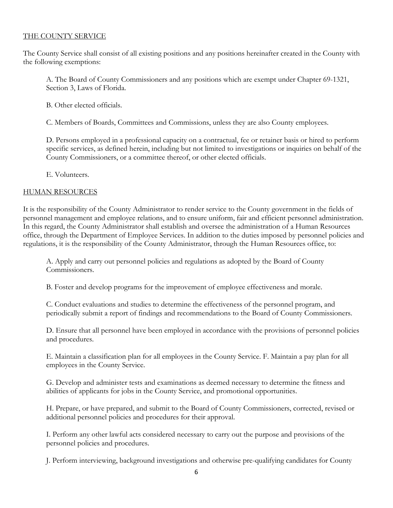## THE COUNTY SERVICE

The County Service shall consist of all existing positions and any positions hereinafter created in the County with the following exemptions:

A. The Board of County Commissioners and any positions which are exempt under Chapter 69-1321, Section 3, Laws of Florida.

B. Other elected officials.

C. Members of Boards, Committees and Commissions, unless they are also County employees.

D. Persons employed in a professional capacity on a contractual, fee or retainer basis or hired to perform specific services, as defined herein, including but not limited to investigations or inquiries on behalf of the County Commissioners, or a committee thereof, or other elected officials.

E. Volunteers.

#### HUMAN RESOURCES

It is the responsibility of the County Administrator to render service to the County government in the fields of personnel management and employee relations, and to ensure uniform, fair and efficient personnel administration. In this regard, the County Administrator shall establish and oversee the administration of a Human Resources office, through the Department of Employee Services. In addition to the duties imposed by personnel policies and regulations, it is the responsibility of the County Administrator, through the Human Resources office, to:

A. Apply and carry out personnel policies and regulations as adopted by the Board of County Commissioners.

B. Foster and develop programs for the improvement of employee effectiveness and morale.

C. Conduct evaluations and studies to determine the effectiveness of the personnel program, and periodically submit a report of findings and recommendations to the Board of County Commissioners.

D. Ensure that all personnel have been employed in accordance with the provisions of personnel policies and procedures.

E. Maintain a classification plan for all employees in the County Service. F. Maintain a pay plan for all employees in the County Service.

G. Develop and administer tests and examinations as deemed necessary to determine the fitness and abilities of applicants for jobs in the County Service, and promotional opportunities.

H. Prepare, or have prepared, and submit to the Board of County Commissioners, corrected, revised or additional personnel policies and procedures for their approval.

I. Perform any other lawful acts considered necessary to carry out the purpose and provisions of the personnel policies and procedures.

J. Perform interviewing, background investigations and otherwise pre-qualifying candidates for County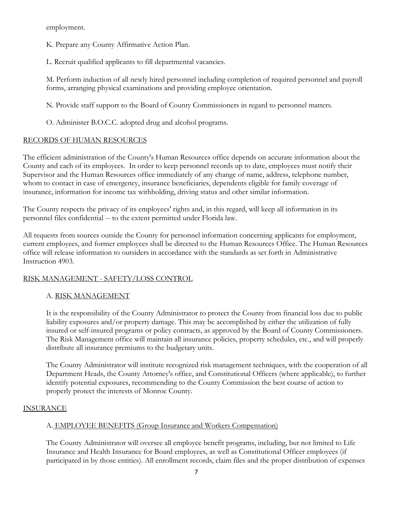employment.

K. Prepare any County Affirmative Action Plan.

L. Recruit qualified applicants to fill departmental vacancies.

M. Perform induction of all newly hired personnel including completion of required personnel and payroll forms, arranging physical examinations and providing employee orientation.

N. Provide staff support to the Board of County Commissioners in regard to personnel matters.

O. Administer B.O.C.C. adopted drug and alcohol programs.

# RECORDS OF HUMAN RESOURCES

The efficient administration of the County's Human Resources office depends on accurate information about the County and each of its employees. In order to keep personnel records up to date, employees must notify their Supervisor and the Human Resources office immediately of any change of name, address, telephone number, whom to contact in case of emergency, insurance beneficiaries, dependents eligible for family coverage of insurance, information for income tax withholding, driving status and other similar information.

The County respects the privacy of its employees' rights and, in this regard, will keep all information in its personnel files confidential -- to the extent permitted under Florida law.

All requests from sources outside the County for personnel information concerning applicants for employment, current employees, and former employees shall be directed to the Human Resources Office. The Human Resources office will release information to outsiders in accordance with the standards as set forth in Administrative Instruction 4903.

# RISK MANAGEMENT - SAFETY/LOSS CONTROL

# A. RISK MANAGEMENT

It is the responsibility of the County Administrator to protect the County from financial loss due to public liability exposures and/or property damage. This may be accomplished by either the utilization of fully insured or self-insured programs or policy contracts, as approved by the Board of County Commissioners. The Risk Management office will maintain all insurance policies, property schedules, etc., and will properly distribute all insurance premiums to the budgetary units.

The County Administrator will institute recognized risk management techniques, with the cooperation of all Department Heads, the County Attorney's office, and Constitutional Officers (where applicable), to further identify potential exposures, recommending to the County Commission the best course of action to properly protect the interests of Monroe County.

# INSURANCE

# A. EMPLOYEE BENEFITS (Group Insurance and Workers Compensation)

The County Administrator will oversee all employee benefit programs, including, but not limited to Life Insurance and Health Insurance for Board employees, as well as Constitutional Officer employees (if participated in by those entities). All enrollment records, claim files and the proper distribution of expenses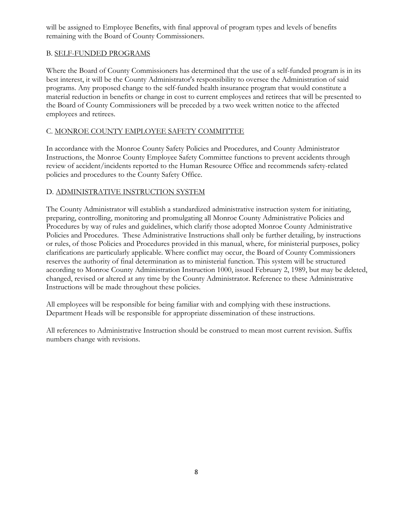will be assigned to Employee Benefits, with final approval of program types and levels of benefits remaining with the Board of County Commissioners.

# B. SELF-FUNDED PROGRAMS

Where the Board of County Commissioners has determined that the use of a self-funded program is in its best interest, it will be the County Administrator's responsibility to oversee the Administration of said programs. Any proposed change to the self-funded health insurance program that would constitute a material reduction in benefits or change in cost to current employees and retirees that will be presented to the Board of County Commissioners will be preceded by a two week written notice to the affected employees and retirees.

# C. MONROE COUNTY EMPLOYEE SAFETY COMMITTEE

In accordance with the Monroe County Safety Policies and Procedures, and County Administrator Instructions, the Monroe County Employee Safety Committee functions to prevent accidents through review of accident/incidents reported to the Human Resource Office and recommends safety-related policies and procedures to the County Safety Office.

# D. ADMINISTRATIVE INSTRUCTION SYSTEM

The County Administrator will establish a standardized administrative instruction system for initiating, preparing, controlling, monitoring and promulgating all Monroe County Administrative Policies and Procedures by way of rules and guidelines, which clarify those adopted Monroe County Administrative Policies and Procedures. These Administrative Instructions shall only be further detailing, by instructions or rules, of those Policies and Procedures provided in this manual, where, for ministerial purposes, policy clarifications are particularly applicable. Where conflict may occur, the Board of County Commissioners reserves the authority of final determination as to ministerial function. This system will be structured according to Monroe County Administration Instruction 1000, issued February 2, 1989, but may be deleted, changed, revised or altered at any time by the County Administrator. Reference to these Administrative Instructions will be made throughout these policies.

All employees will be responsible for being familiar with and complying with these instructions. Department Heads will be responsible for appropriate dissemination of these instructions.

All references to Administrative Instruction should be construed to mean most current revision. Suffix numbers change with revisions.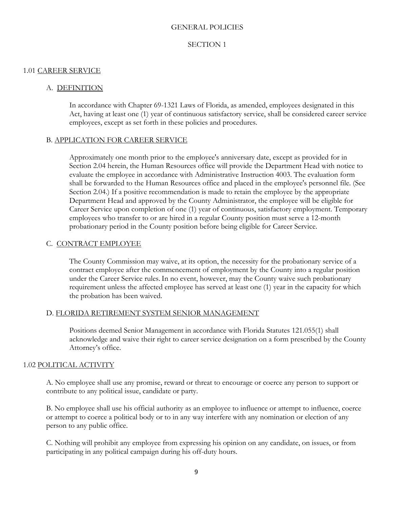#### GENERAL POLICIES

#### SECTION 1

#### 1.01 CAREER SERVICE

#### A. DEFINITION

In accordance with Chapter 69-1321 Laws of Florida, as amended, employees designated in this Act, having at least one (1) year of continuous satisfactory service, shall be considered career service employees, except as set forth in these policies and procedures.

#### B. APPLICATION FOR CAREER SERVICE

Approximately one month prior to the employee's anniversary date, except as provided for in Section 2.04 herein, the Human Resources office will provide the Department Head with notice to evaluate the employee in accordance with Administrative Instruction 4003. The evaluation form shall be forwarded to the Human Resources office and placed in the employee's personnel file. (See Section 2.04.) If a positive recommendation is made to retain the employee by the appropriate Department Head and approved by the County Administrator, the employee will be eligible for Career Service upon completion of one (1) year of continuous, satisfactory employment. Temporary employees who transfer to or are hired in a regular County position must serve a 12-month probationary period in the County position before being eligible for Career Service.

#### C. CONTRACT EMPLOYEE

The County Commission may waive, at its option, the necessity for the probationary service of a contract employee after the commencement of employment by the County into a regular position under the Career Service rules. In no event, however, may the County waive such probationary requirement unless the affected employee has served at least one (1) year in the capacity for which the probation has been waived.

## D. FLORIDA RETIREMENT SYSTEM SENIOR MANAGEMENT

Positions deemed Senior Management in accordance with Florida Statutes 121.055(1) shall acknowledge and waive their right to career service designation on a form prescribed by the County Attorney's office.

## 1.02 POLITICAL ACTIVITY

A. No employee shall use any promise, reward or threat to encourage or coerce any person to support or contribute to any political issue, candidate or party.

B. No employee shall use his official authority as an employee to influence or attempt to influence, coerce or attempt to coerce a political body or to in any way interfere with any nomination or election of any person to any public office.

C. Nothing will prohibit any employee from expressing his opinion on any candidate, on issues, or from participating in any political campaign during his off-duty hours.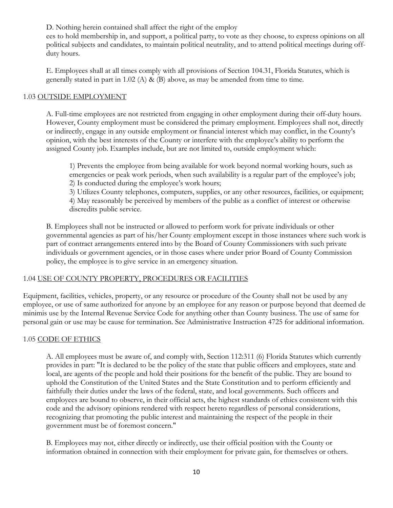D. Nothing herein contained shall affect the right of the employ

ees to hold membership in, and support, a political party, to vote as they choose, to express opinions on all political subjects and candidates, to maintain political neutrality, and to attend political meetings during offduty hours.

E. Employees shall at all times comply with all provisions of Section 104.31, Florida Statutes, which is generally stated in part in 1.02 (A) & (B) above, as may be amended from time to time.

## 1.03 OUTSIDE EMPLOYMENT

A. Full-time employees are not restricted from engaging in other employment during their off-duty hours. However, County employment must be considered the primary employment. Employees shall not, directly or indirectly, engage in any outside employment or financial interest which may conflict, in the County's opinion, with the best interests of the County or interfere with the employee's ability to perform the assigned County job. Examples include, but are not limited to, outside employment which:

1) Prevents the employee from being available for work beyond normal working hours, such as emergencies or peak work periods, when such availability is a regular part of the employee's job; 2) Is conducted during the employee's work hours;

3) Utilizes County telephones, computers, supplies, or any other resources, facilities, or equipment; 4) May reasonably be perceived by members of the public as a conflict of interest or otherwise discredits public service.

B. Employees shall not be instructed or allowed to perform work for private individuals or other governmental agencies as part of his/her County employment except in those instances where such work is part of contract arrangements entered into by the Board of County Commissioners with such private individuals or government agencies, or in those cases where under prior Board of County Commission policy, the employee is to give service in an emergency situation.

## 1.04 USE OF COUNTY PROPERTY, PROCEDURES OR FACILITIES

Equipment, facilities, vehicles, property, or any resource or procedure of the County shall not be used by any employee, or use of same authorized for anyone by an employee for any reason or purpose beyond that deemed de minimis use by the Internal Revenue Service Code for anything other than County business. The use of same for personal gain or use may be cause for termination. See Administrative Instruction 4725 for additional information.

## 1.05 CODE OF ETHICS

A. All employees must be aware of, and comply with, Section 112:311 (6) Florida Statutes which currently provides in part: "It is declared to be the policy of the state that public officers and employees, state and local, are agents of the people and hold their positions for the benefit of the public. They are bound to uphold the Constitution of the United States and the State Constitution and to perform efficiently and faithfully their duties under the laws of the federal, state, and local governments. Such officers and employees are bound to observe, in their official acts, the highest standards of ethics consistent with this code and the advisory opinions rendered with respect hereto regardless of personal considerations, recognizing that promoting the public interest and maintaining the respect of the people in their government must be of foremost concern."

B. Employees may not, either directly or indirectly, use their official position with the County or information obtained in connection with their employment for private gain, for themselves or others.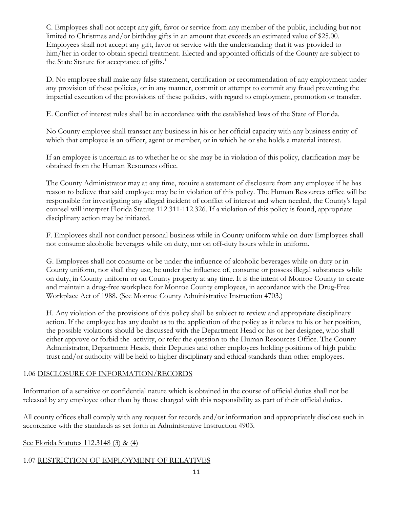C. Employees shall not accept any gift, favor or service from any member of the public, including but not limited to Christmas and/or birthday gifts in an amount that exceeds an estimated value of \$25.00. Employees shall not accept any gift, favor or service with the understanding that it was provided to him/her in order to obtain special treatment. Elected and appointed officials of the County are subject to the State Statute for acceptance of gifts.<sup>1</sup>

D. No employee shall make any false statement, certification or recommendation of any employment under any provision of these policies, or in any manner, commit or attempt to commit any fraud preventing the impartial execution of the provisions of these policies, with regard to employment, promotion or transfer.

E. Conflict of interest rules shall be in accordance with the established laws of the State of Florida.

No County employee shall transact any business in his or her official capacity with any business entity of which that employee is an officer, agent or member, or in which he or she holds a material interest.

If an employee is uncertain as to whether he or she may be in violation of this policy, clarification may be obtained from the Human Resources office.

The County Administrator may at any time, require a statement of disclosure from any employee if he has reason to believe that said employee may be in violation of this policy. The Human Resources office will be responsible for investigating any alleged incident of conflict of interest and when needed, the County's legal counsel will interpret Florida Statute 112.311-112.326. If a violation of this policy is found, appropriate disciplinary action may be initiated.

F. Employees shall not conduct personal business while in County uniform while on duty Employees shall not consume alcoholic beverages while on duty, nor on off-duty hours while in uniform.

G. Employees shall not consume or be under the influence of alcoholic beverages while on duty or in County uniform, nor shall they use, be under the influence of, consume or possess illegal substances while on duty, in County uniform or on County property at any time. It is the intent of Monroe County to create and maintain a drug-free workplace for Monroe County employees, in accordance with the Drug-Free Workplace Act of 1988. (See Monroe County Administrative Instruction 4703.)

H. Any violation of the provisions of this policy shall be subject to review and appropriate disciplinary action. If the employee has any doubt as to the application of the policy as it relates to his or her position, the possible violations should be discussed with the Department Head or his or her designee, who shall either approve or forbid the activity, or refer the question to the Human Resources Office. The County Administrator, Department Heads, their Deputies and other employees holding positions of high public trust and/or authority will be held to higher disciplinary and ethical standards than other employees.

# 1.06 DISCLOSURE OF INFORMATION/RECORDS

Information of a sensitive or confidential nature which is obtained in the course of official duties shall not be released by any employee other than by those charged with this responsibility as part of their official duties.

All county offices shall comply with any request for records and/or information and appropriately disclose such in accordance with the standards as set forth in Administrative Instruction 4903.

## See Florida Statutes 112.3148 (3) & (4)

# 1.07 RESTRICTION OF EMPLOYMENT OF RELATIVES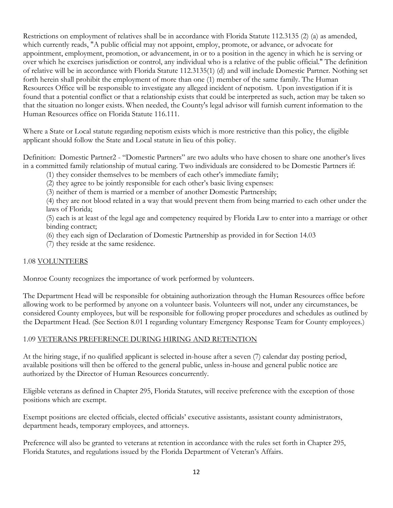Restrictions on employment of relatives shall be in accordance with Florida Statute 112.3135 (2) (a) as amended, which currently reads, "A public official may not appoint, employ, promote, or advance, or advocate for appointment, employment, promotion, or advancement, in or to a position in the agency in which he is serving or over which he exercises jurisdiction or control, any individual who is a relative of the public official." The definition of relative will be in accordance with Florida Statute 112.3135(1) (d) and will include Domestic Partner. Nothing set forth herein shall prohibit the employment of more than one (1) member of the same family. The Human Resources Office will be responsible to investigate any alleged incident of nepotism. Upon investigation if it is found that a potential conflict or that a relationship exists that could be interpreted as such, action may be taken so that the situation no longer exists. When needed, the County's legal advisor will furnish current information to the Human Resources office on Florida Statute 116.111.

Where a State or Local statute regarding nepotism exists which is more restrictive than this policy, the eligible applicant should follow the State and Local statute in lieu of this policy.

Definition: Domestic Partner2 - "Domestic Partners" are two adults who have chosen to share one another's lives in a committed family relationship of mutual caring. Two individuals are considered to be Domestic Partners if:

- (1) they consider themselves to be members of each other's immediate family;
- (2) they agree to be jointly responsible for each other's basic living expenses:
- (3) neither of them is married or a member of another Domestic Partnership;

(4) they are not blood related in a way that would prevent them from being married to each other under the laws of Florida;

(5) each is at least of the legal age and competency required by Florida Law to enter into a marriage or other binding contract;

(6) they each sign of Declaration of Domestic Partnership as provided in for Section 14.03

(7) they reside at the same residence.

## 1.08 VOLUNTEERS

Monroe County recognizes the importance of work performed by volunteers.

The Department Head will be responsible for obtaining authorization through the Human Resources office before allowing work to be performed by anyone on a volunteer basis. Volunteers will not, under any circumstances, be considered County employees, but will be responsible for following proper procedures and schedules as outlined by the Department Head. (See Section 8.01 I regarding voluntary Emergency Response Team for County employees.)

## 1.09 VETERANS PREFERENCE DURING HIRING AND RETENTION

At the hiring stage, if no qualified applicant is selected in-house after a seven (7) calendar day posting period, available positions will then be offered to the general public, unless in-house and general public notice are authorized by the Director of Human Resources concurrently.

Eligible veterans as defined in Chapter 295, Florida Statutes, will receive preference with the exception of those positions which are exempt.

Exempt positions are elected officials, elected officials' executive assistants, assistant county administrators, department heads, temporary employees, and attorneys.

Preference will also be granted to veterans at retention in accordance with the rules set forth in Chapter 295, Florida Statutes, and regulations issued by the Florida Department of Veteran's Affairs.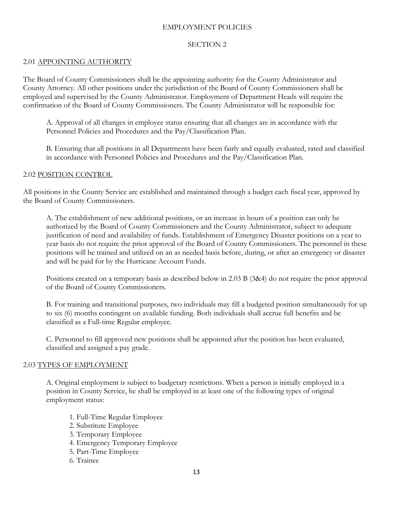## EMPLOYMENT POLICIES

## SECTION 2

#### 2.01 APPOINTING AUTHORITY

The Board of County Commissioners shall be the appointing authority for the County Administrator and County Attorney. All other positions under the jurisdiction of the Board of County Commissioners shall be employed and supervised by the County Administrator. Employment of Department Heads will require the confirmation of the Board of County Commissioners. The County Administrator will be responsible for:

A. Approval of all changes in employee status ensuring that all changes are in accordance with the Personnel Policies and Procedures and the Pay/Classification Plan.

B. Ensuring that all positions in all Departments have been fairly and equally evaluated, rated and classified in accordance with Personnel Policies and Procedures and the Pay/Classification Plan.

#### 2.02 POSITION CONTROL

All positions in the County Service are established and maintained through a budget each fiscal year, approved by the Board of County Commissioners.

A. The establishment of new additional positions, or an increase in hours of a position can only be authorized by the Board of County Commissioners and the County Administrator, subject to adequate justification of need and availability of funds. Establishment of Emergency Disaster positions on a year to year basis do not require the prior approval of the Board of County Commissioners. The personnel in these positions will be trained and utilized on an as needed basis before, during, or after an emergency or disaster and will be paid for by the Hurricane Account Funds.

Positions created on a temporary basis as described below in 2.03 B (3&4) do not require the prior approval of the Board of County Commissioners.

B. For training and transitional purposes, two individuals may fill a budgeted position simultaneously for up to six (6) months contingent on available funding. Both individuals shall accrue full benefits and be classified as a Full-time Regular employee.

C. Personnel to fill approved new positions shall be appointed after the position has been evaluated, classified and assigned a pay grade.

## 2.03 TYPES OF EMPLOYMENT

A. Original employment is subject to budgetary restrictions. When a person is initially employed in a position in County Service, he shall be employed in at least one of the following types of original employment status:

- 1. Full-Time Regular Employee
- 2. Substitute Employee
- 3. Temporary Employee
- 4. Emergency Temporary Employee
- 5. Part-Time Employee
- 6. Trainee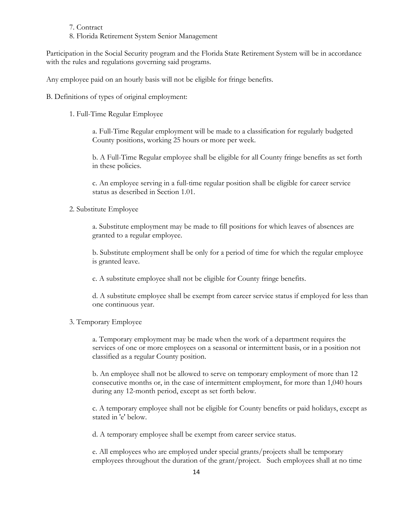#### 7. Contract

8. Florida Retirement System Senior Management

Participation in the Social Security program and the Florida State Retirement System will be in accordance with the rules and regulations governing said programs.

Any employee paid on an hourly basis will not be eligible for fringe benefits.

B. Definitions of types of original employment:

1. Full-Time Regular Employee

a. Full-Time Regular employment will be made to a classification for regularly budgeted County positions, working 25 hours or more per week.

b. A Full-Time Regular employee shall be eligible for all County fringe benefits as set forth in these policies.

c. An employee serving in a full-time regular position shall be eligible for career service status as described in Section 1.01.

2. Substitute Employee

a. Substitute employment may be made to fill positions for which leaves of absences are granted to a regular employee.

b. Substitute employment shall be only for a period of time for which the regular employee is granted leave.

c. A substitute employee shall not be eligible for County fringe benefits.

d. A substitute employee shall be exempt from career service status if employed for less than one continuous year.

3. Temporary Employee

a. Temporary employment may be made when the work of a department requires the services of one or more employees on a seasonal or intermittent basis, or in a position not classified as a regular County position.

b. An employee shall not be allowed to serve on temporary employment of more than 12 consecutive months or, in the case of intermittent employment, for more than 1,040 hours during any 12-month period, except as set forth below.

c. A temporary employee shall not be eligible for County benefits or paid holidays, except as stated in 'e' below.

d. A temporary employee shall be exempt from career service status.

e. All employees who are employed under special grants/projects shall be temporary employees throughout the duration of the grant/project. Such employees shall at no time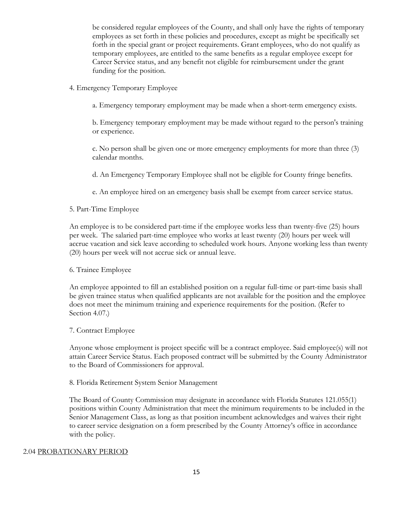be considered regular employees of the County, and shall only have the rights of temporary employees as set forth in these policies and procedures, except as might be specifically set forth in the special grant or project requirements. Grant employees, who do not qualify as temporary employees, are entitled to the same benefits as a regular employee except for Career Service status, and any benefit not eligible for reimbursement under the grant funding for the position.

- 4. Emergency Temporary Employee
	- a. Emergency temporary employment may be made when a short-term emergency exists.

b. Emergency temporary employment may be made without regard to the person's training or experience.

c. No person shall be given one or more emergency employments for more than three (3) calendar months.

d. An Emergency Temporary Employee shall not be eligible for County fringe benefits.

e. An employee hired on an emergency basis shall be exempt from career service status.

#### 5. Part-Time Employee

An employee is to be considered part-time if the employee works less than twenty-five (25) hours per week. The salaried part-time employee who works at least twenty (20) hours per week will accrue vacation and sick leave according to scheduled work hours. Anyone working less than twenty (20) hours per week will not accrue sick or annual leave.

#### 6. Trainee Employee

An employee appointed to fill an established position on a regular full-time or part-time basis shall be given trainee status when qualified applicants are not available for the position and the employee does not meet the minimum training and experience requirements for the position. (Refer to Section 4.07.)

#### 7. Contract Employee

Anyone whose employment is project specific will be a contract employee. Said employee(s) will not attain Career Service Status. Each proposed contract will be submitted by the County Administrator to the Board of Commissioners for approval.

#### 8. Florida Retirement System Senior Management

The Board of County Commission may designate in accordance with Florida Statutes 121.055(1) positions within County Administration that meet the minimum requirements to be included in the Senior Management Class, as long as that position incumbent acknowledges and waives their right to career service designation on a form prescribed by the County Attorney's office in accordance with the policy.

#### 2.04 PROBATIONARY PERIOD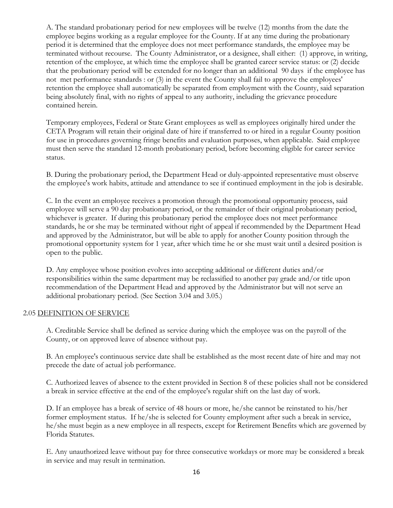A. The standard probationary period for new employees will be twelve (12) months from the date the employee begins working as a regular employee for the County. If at any time during the probationary period it is determined that the employee does not meet performance standards, the employee may be terminated without recourse. The County Administrator, or a designee, shall either: (1) approve, in writing, retention of the employee, at which time the employee shall be granted career service status: or (2) decide that the probationary period will be extended for no longer than an additional 90 days if the employee has not met performance standards : or (3) in the event the County shall fail to approve the employees' retention the employee shall automatically be separated from employment with the County, said separation being absolutely final, with no rights of appeal to any authority, including the grievance procedure contained herein.

Temporary employees, Federal or State Grant employees as well as employees originally hired under the CETA Program will retain their original date of hire if transferred to or hired in a regular County position for use in procedures governing fringe benefits and evaluation purposes, when applicable. Said employee must then serve the standard 12-month probationary period, before becoming eligible for career service status.

B. During the probationary period, the Department Head or duly-appointed representative must observe the employee's work habits, attitude and attendance to see if continued employment in the job is desirable.

C. In the event an employee receives a promotion through the promotional opportunity process, said employee will serve a 90 day probationary period, or the remainder of their original probationary period, whichever is greater. If during this probationary period the employee does not meet performance standards, he or she may be terminated without right of appeal if recommended by the Department Head and approved by the Administrator, but will be able to apply for another County position through the promotional opportunity system for 1 year, after which time he or she must wait until a desired position is open to the public.

D. Any employee whose position evolves into accepting additional or different duties and/or responsibilities within the same department may be reclassified to another pay grade and/or title upon recommendation of the Department Head and approved by the Administrator but will not serve an additional probationary period. (See Section 3.04 and 3.05.)

## 2.05 DEFINITION OF SERVICE

A. Creditable Service shall be defined as service during which the employee was on the payroll of the County, or on approved leave of absence without pay.

B. An employee's continuous service date shall be established as the most recent date of hire and may not precede the date of actual job performance.

C. Authorized leaves of absence to the extent provided in Section 8 of these policies shall not be considered a break in service effective at the end of the employee's regular shift on the last day of work.

D. If an employee has a break of service of 48 hours or more, he/she cannot be reinstated to his/her former employment status. If he/she is selected for County employment after such a break in service, he/she must begin as a new employee in all respects, except for Retirement Benefits which are governed by Florida Statutes.

E. Any unauthorized leave without pay for three consecutive workdays or more may be considered a break in service and may result in termination.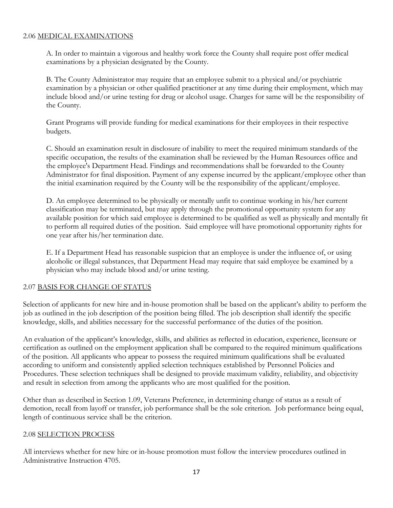## 2.06 MEDICAL EXAMINATIONS

A. In order to maintain a vigorous and healthy work force the County shall require post offer medical examinations by a physician designated by the County.

B. The County Administrator may require that an employee submit to a physical and/or psychiatric examination by a physician or other qualified practitioner at any time during their employment, which may include blood and/or urine testing for drug or alcohol usage. Charges for same will be the responsibility of the County.

Grant Programs will provide funding for medical examinations for their employees in their respective budgets.

C. Should an examination result in disclosure of inability to meet the required minimum standards of the specific occupation, the results of the examination shall be reviewed by the Human Resources office and the employee's Department Head. Findings and recommendations shall be forwarded to the County Administrator for final disposition. Payment of any expense incurred by the applicant/employee other than the initial examination required by the County will be the responsibility of the applicant/employee.

D. An employee determined to be physically or mentally unfit to continue working in his/her current classification may be terminated, but may apply through the promotional opportunity system for any available position for which said employee is determined to be qualified as well as physically and mentally fit to perform all required duties of the position. Said employee will have promotional opportunity rights for one year after his/her termination date.

E. If a Department Head has reasonable suspicion that an employee is under the influence of, or using alcoholic or illegal substances, that Department Head may require that said employee be examined by a physician who may include blood and/or urine testing.

## 2.07 BASIS FOR CHANGE OF STATUS

Selection of applicants for new hire and in-house promotion shall be based on the applicant's ability to perform the job as outlined in the job description of the position being filled. The job description shall identify the specific knowledge, skills, and abilities necessary for the successful performance of the duties of the position.

An evaluation of the applicant's knowledge, skills, and abilities as reflected in education, experience, licensure or certification as outlined on the employment application shall be compared to the required minimum qualifications of the position. All applicants who appear to possess the required minimum qualifications shall be evaluated according to uniform and consistently applied selection techniques established by Personnel Policies and Procedures. These selection techniques shall be designed to provide maximum validity, reliability, and objectivity and result in selection from among the applicants who are most qualified for the position.

Other than as described in Section 1.09, Veterans Preference, in determining change of status as a result of demotion, recall from layoff or transfer, job performance shall be the sole criterion. Job performance being equal, length of continuous service shall be the criterion.

## 2.08 SELECTION PROCESS

All interviews whether for new hire or in-house promotion must follow the interview procedures outlined in Administrative Instruction 4705.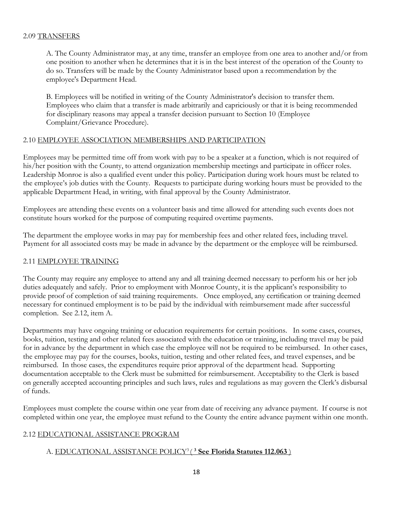#### 2.09 TRANSFERS

A. The County Administrator may, at any time, transfer an employee from one area to another and/or from one position to another when he determines that it is in the best interest of the operation of the County to do so. Transfers will be made by the County Administrator based upon a recommendation by the employee's Department Head.

B. Employees will be notified in writing of the County Administrator's decision to transfer them. Employees who claim that a transfer is made arbitrarily and capriciously or that it is being recommended for disciplinary reasons may appeal a transfer decision pursuant to Section 10 (Employee Complaint/Grievance Procedure).

## 2.10 EMPLOYEE ASSOCIATION MEMBERSHIPS AND PARTICIPATION

Employees may be permitted time off from work with pay to be a speaker at a function, which is not required of his/her position with the County, to attend organization membership meetings and participate in officer roles. Leadership Monroe is also a qualified event under this policy. Participation during work hours must be related to the employee's job duties with the County. Requests to participate during working hours must be provided to the applicable Department Head, in writing, with final approval by the County Administrator.

Employees are attending these events on a volunteer basis and time allowed for attending such events does not constitute hours worked for the purpose of computing required overtime payments.

The department the employee works in may pay for membership fees and other related fees, including travel. Payment for all associated costs may be made in advance by the department or the employee will be reimbursed.

## 2.11 EMPLOYEE TRAINING

The County may require any employee to attend any and all training deemed necessary to perform his or her job duties adequately and safely. Prior to employment with Monroe County, it is the applicant's responsibility to provide proof of completion of said training requirements. Once employed, any certification or training deemed necessary for continued employment is to be paid by the individual with reimbursement made after successful completion. See 2.12, item A.

Departments may have ongoing training or education requirements for certain positions. In some cases, courses, books, tuition, testing and other related fees associated with the education or training, including travel may be paid for in advance by the department in which case the employee will not be required to be reimbursed. In other cases, the employee may pay for the courses, books, tuition, testing and other related fees, and travel expenses, and be reimbursed. In those cases, the expenditures require prior approval of the department head. Supporting documentation acceptable to the Clerk must be submitted for reimbursement. Acceptability to the Clerk is based on generally accepted accounting principles and such laws, rules and regulations as may govern the Clerk's disbursal of funds.

Employees must complete the course within one year from date of receiving any advance payment. If course is not completed within one year, the employee must refund to the County the entire advance payment within one month.

## 2.12 EDUCATIONAL ASSISTANCE PROGRAM

## A. EDUCATIONAL ASSISTANCE POLICY3 ( **<sup>3</sup> See Florida Statutes 112.063** )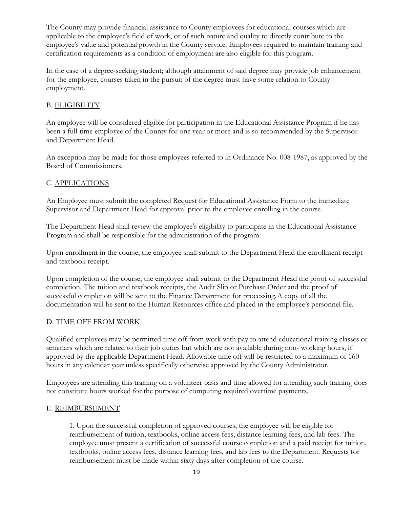The County may provide financial assistance to County employees for educational courses which are applicable to the employee's field of work, or of such nature and quality to directly contribute to the employee's value and potential growth in the County service. Employees required to maintain training and certification requirements as a condition of employment are also eligible for this program.

In the case of a degree-seeking student; although attainment of said degree may provide job enhancement for the employee, courses taken in the pursuit of the degree must have some relation to County employment.

# B. ELIGIBILITY

An employee will be considered eligible for participation in the Educational Assistance Program if he has been a full-time employee of the County for one year or more and is so recommended by the Supervisor and Department Head.

An exception may be made for those employees referred to in Ordinance No. 008-1987, as approved by the Board of Commissioners.

# C. APPLICATIONS

An Employee must submit the completed Request for Educational Assistance Form to the immediate Supervisor and Department Head for approval prior to the employee enrolling in the course.

The Department Head shall review the employee's eligibility to participate in the Educational Assistance Program and shall be responsible for the administration of the program.

Upon enrollment in the course, the employee shall submit to the Department Head the enrollment receipt and textbook receipt.

Upon completion of the course, the employee shall submit to the Department Head the proof of successful completion. The tuition and textbook receipts, the Audit Slip or Purchase Order and the proof of successful completion will be sent to the Finance Department for processing. A copy of all the documentation will be sent to the Human Resources office and placed in the employee's personnel file.

## D. TIME OFF FROM WORK

Qualified employees may be permitted time off from work with pay to attend educational training classes or seminars which are related to their job duties but which are not available during non- working hours, if approved by the applicable Department Head. Allowable time off will be restricted to a maximum of 160 hours in any calendar year unless specifically otherwise approved by the County Administrator.

Employees are attending this training on a volunteer basis and time allowed for attending such training does not constitute hours worked for the purpose of computing required overtime payments.

#### E. REIMBURSEMENT

1. Upon the successful completion of approved courses, the employee will be eligible for reimbursement of tuition, textbooks, online access fees, distance learning fees, and lab fees. The employee must present a certification of successful course completion and a paid receipt for tuition, textbooks, online access fees, distance learning fees, and lab fees to the Department. Requests for reimbursement must be made within sixty days after completion of the course.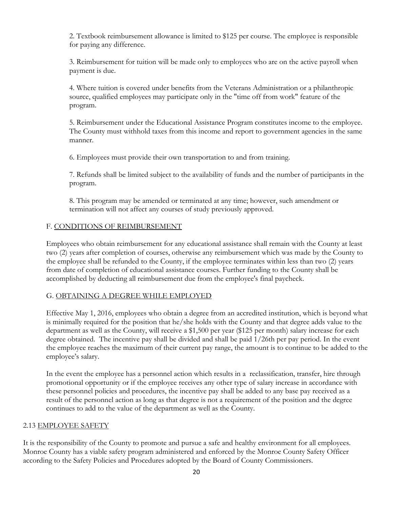2. Textbook reimbursement allowance is limited to \$125 per course. The employee is responsible for paying any difference.

3. Reimbursement for tuition will be made only to employees who are on the active payroll when payment is due.

4. Where tuition is covered under benefits from the Veterans Administration or a philanthropic source, qualified employees may participate only in the "time off from work" feature of the program.

5. Reimbursement under the Educational Assistance Program constitutes income to the employee. The County must withhold taxes from this income and report to government agencies in the same manner.

6. Employees must provide their own transportation to and from training.

7. Refunds shall be limited subject to the availability of funds and the number of participants in the program.

8. This program may be amended or terminated at any time; however, such amendment or termination will not affect any courses of study previously approved.

## F. CONDITIONS OF REIMBURSEMENT

Employees who obtain reimbursement for any educational assistance shall remain with the County at least two (2) years after completion of courses, otherwise any reimbursement which was made by the County to the employee shall be refunded to the County, if the employee terminates within less than two (2) years from date of completion of educational assistance courses. Further funding to the County shall be accomplished by deducting all reimbursement due from the employee's final paycheck.

#### G. OBTAINING A DEGREE WHILE EMPLOYED

Effective May 1, 2016, employees who obtain a degree from an accredited institution, which is beyond what is minimally required for the position that he/she holds with the County and that degree adds value to the department as well as the County, will receive a \$1,500 per year (\$125 per month) salary increase for each degree obtained. The incentive pay shall be divided and shall be paid 1/26th per pay period. In the event the employee reaches the maximum of their current pay range, the amount is to continue to be added to the employee's salary.

In the event the employee has a personnel action which results in a reclassification, transfer, hire through promotional opportunity or if the employee receives any other type of salary increase in accordance with these personnel policies and procedures, the incentive pay shall be added to any base pay received as a result of the personnel action as long as that degree is not a requirement of the position and the degree continues to add to the value of the department as well as the County.

#### 2.13 EMPLOYEE SAFETY

It is the responsibility of the County to promote and pursue a safe and healthy environment for all employees. Monroe County has a viable safety program administered and enforced by the Monroe County Safety Officer according to the Safety Policies and Procedures adopted by the Board of County Commissioners.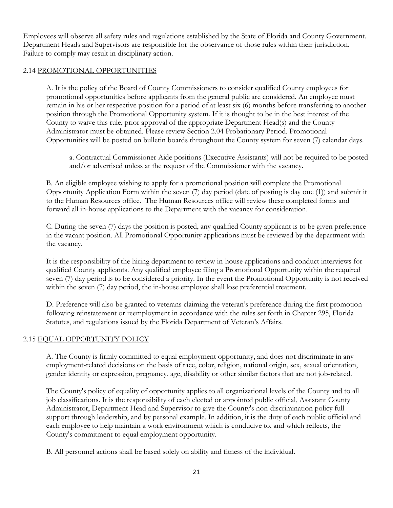Employees will observe all safety rules and regulations established by the State of Florida and County Government. Department Heads and Supervisors are responsible for the observance of those rules within their jurisdiction. Failure to comply may result in disciplinary action.

## 2.14 PROMOTIONAL OPPORTUNITIES

A. It is the policy of the Board of County Commissioners to consider qualified County employees for promotional opportunities before applicants from the general public are considered. An employee must remain in his or her respective position for a period of at least six (6) months before transferring to another position through the Promotional Opportunity system. If it is thought to be in the best interest of the County to waive this rule, prior approval of the appropriate Department Head(s) and the County Administrator must be obtained. Please review Section 2.04 Probationary Period. Promotional Opportunities will be posted on bulletin boards throughout the County system for seven (7) calendar days.

a. Contractual Commissioner Aide positions (Executive Assistants) will not be required to be posted and/or advertised unless at the request of the Commissioner with the vacancy.

B. An eligible employee wishing to apply for a promotional position will complete the Promotional Opportunity Application Form within the seven (7) day period (date of posting is day one (1)) and submit it to the Human Resources office. The Human Resources office will review these completed forms and forward all in-house applications to the Department with the vacancy for consideration.

C. During the seven (7) days the position is posted, any qualified County applicant is to be given preference in the vacant position. All Promotional Opportunity applications must be reviewed by the department with the vacancy.

It is the responsibility of the hiring department to review in-house applications and conduct interviews for qualified County applicants. Any qualified employee filing a Promotional Opportunity within the required seven (7) day period is to be considered a priority. In the event the Promotional Opportunity is not received within the seven (7) day period, the in-house employee shall lose preferential treatment.

D. Preference will also be granted to veterans claiming the veteran's preference during the first promotion following reinstatement or reemployment in accordance with the rules set forth in Chapter 295, Florida Statutes, and regulations issued by the Florida Department of Veteran's Affairs.

## 2.15 EQUAL OPPORTUNITY POLICY

A. The County is firmly committed to equal employment opportunity, and does not discriminate in any employment-related decisions on the basis of race, color, religion, national origin, sex, sexual orientation, gender identity or expression, pregnancy, age, disability or other similar factors that are not job-related.

The County's policy of equality of opportunity applies to all organizational levels of the County and to all job classifications. It is the responsibility of each elected or appointed public official, Assistant County Administrator, Department Head and Supervisor to give the County's non-discrimination policy full support through leadership, and by personal example. In addition, it is the duty of each public official and each employee to help maintain a work environment which is conducive to, and which reflects, the County's commitment to equal employment opportunity.

B. All personnel actions shall be based solely on ability and fitness of the individual.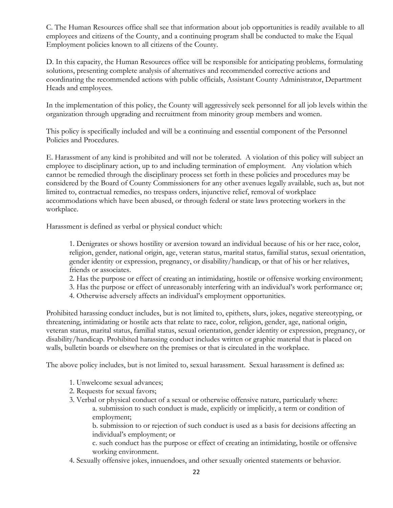C. The Human Resources office shall see that information about job opportunities is readily available to all employees and citizens of the County, and a continuing program shall be conducted to make the Equal Employment policies known to all citizens of the County.

D. In this capacity, the Human Resources office will be responsible for anticipating problems, formulating solutions, presenting complete analysis of alternatives and recommended corrective actions and coordinating the recommended actions with public officials, Assistant County Administrator, Department Heads and employees.

In the implementation of this policy, the County will aggressively seek personnel for all job levels within the organization through upgrading and recruitment from minority group members and women.

This policy is specifically included and will be a continuing and essential component of the Personnel Policies and Procedures.

E. Harassment of any kind is prohibited and will not be tolerated. A violation of this policy will subject an employee to disciplinary action, up to and including termination of employment. Any violation which cannot be remedied through the disciplinary process set forth in these policies and procedures may be considered by the Board of County Commissioners for any other avenues legally available, such as, but not limited to, contractual remedies, no trespass orders, injunctive relief, removal of workplace accommodations which have been abused, or through federal or state laws protecting workers in the workplace.

Harassment is defined as verbal or physical conduct which:

1. Denigrates or shows hostility or aversion toward an individual because of his or her race, color, religion, gender, national origin, age, veteran status, marital status, familial status, sexual orientation, gender identity or expression, pregnancy, or disability/handicap, or that of his or her relatives, friends or associates.

2. Has the purpose or effect of creating an intimidating, hostile or offensive working environment;

3. Has the purpose or effect of unreasonably interfering with an individual's work performance or;

4. Otherwise adversely affects an individual's employment opportunities.

Prohibited harassing conduct includes, but is not limited to, epithets, slurs, jokes, negative stereotyping, or threatening, intimidating or hostile acts that relate to race, color, religion, gender, age, national origin, veteran status, marital status, familial status, sexual orientation, gender identity or expression, pregnancy, or disability/handicap. Prohibited harassing conduct includes written or graphic material that is placed on walls, bulletin boards or elsewhere on the premises or that is circulated in the workplace.

The above policy includes, but is not limited to, sexual harassment. Sexual harassment is defined as:

- 1. Unwelcome sexual advances;
- 2. Requests for sexual favors;
- 3. Verbal or physical conduct of a sexual or otherwise offensive nature, particularly where: a. submission to such conduct is made, explicitly or implicitly, a term or condition of employment;

b. submission to or rejection of such conduct is used as a basis for decisions affecting an individual's employment; or

c. such conduct has the purpose or effect of creating an intimidating, hostile or offensive working environment.

4. Sexually offensive jokes, innuendoes, and other sexually oriented statements or behavior.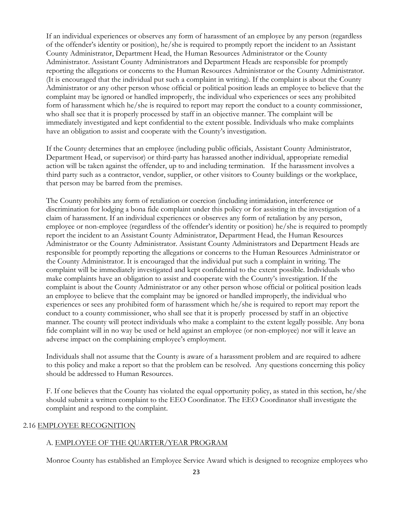If an individual experiences or observes any form of harassment of an employee by any person (regardless of the offender's identity or position), he/she is required to promptly report the incident to an Assistant County Administrator, Department Head, the Human Resources Administrator or the County Administrator. Assistant County Administrators and Department Heads are responsible for promptly reporting the allegations or concerns to the Human Resources Administrator or the County Administrator. (It is encouraged that the individual put such a complaint in writing). If the complaint is about the County Administrator or any other person whose official or political position leads an employee to believe that the complaint may be ignored or handled improperly, the individual who experiences or sees any prohibited form of harassment which he/she is required to report may report the conduct to a county commissioner, who shall see that it is properly processed by staff in an objective manner. The complaint will be immediately investigated and kept confidential to the extent possible. Individuals who make complaints have an obligation to assist and cooperate with the County's investigation.

If the County determines that an employee (including public officials, Assistant County Administrator, Department Head, or supervisor) or third-party has harassed another individual, appropriate remedial action will be taken against the offender, up to and including termination. If the harassment involves a third party such as a contractor, vendor, supplier, or other visitors to County buildings or the workplace, that person may be barred from the premises.

The County prohibits any form of retaliation or coercion (including intimidation, interference or discrimination for lodging a bona fide complaint under this policy or for assisting in the investigation of a claim of harassment. If an individual experiences or observes any form of retaliation by any person, employee or non-employee (regardless of the offender's identity or position) he/she is required to promptly report the incident to an Assistant County Administrator, Department Head, the Human Resources Administrator or the County Administrator. Assistant County Administrators and Department Heads are responsible for promptly reporting the allegations or concerns to the Human Resources Administrator or the County Administrator. It is encouraged that the individual put such a complaint in writing. The complaint will be immediately investigated and kept confidential to the extent possible. Individuals who make complaints have an obligation to assist and cooperate with the County's investigation. If the complaint is about the County Administrator or any other person whose official or political position leads an employee to believe that the complaint may be ignored or handled improperly, the individual who experiences or sees any prohibited form of harassment which he/she is required to report may report the conduct to a county commissioner, who shall see that it is properly processed by staff in an objective manner. The county will protect individuals who make a complaint to the extent legally possible. Any bona fide complaint will in no way be used or held against an employee (or non-employee) nor will it leave an adverse impact on the complaining employee's employment.

Individuals shall not assume that the County is aware of a harassment problem and are required to adhere to this policy and make a report so that the problem can be resolved. Any questions concerning this policy should be addressed to Human Resources.

F. If one believes that the County has violated the equal opportunity policy, as stated in this section, he/she should submit a written complaint to the EEO Coordinator. The EEO Coordinator shall investigate the complaint and respond to the complaint.

## 2.16 EMPLOYEE RECOGNITION

#### A. EMPLOYEE OF THE QUARTER/YEAR PROGRAM

Monroe County has established an Employee Service Award which is designed to recognize employees who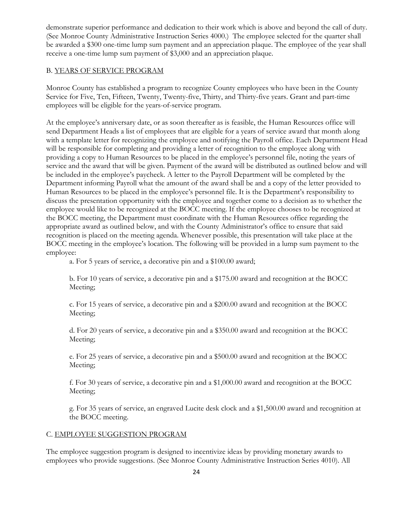demonstrate superior performance and dedication to their work which is above and beyond the call of duty. (See Monroe County Administrative Instruction Series 4000.) The employee selected for the quarter shall be awarded a \$300 one-time lump sum payment and an appreciation plaque. The employee of the year shall receive a one-time lump sum payment of \$3,000 and an appreciation plaque.

## B. YEARS OF SERVICE PROGRAM

Monroe County has established a program to recognize County employees who have been in the County Service for Five, Ten, Fifteen, Twenty, Twenty-five, Thirty, and Thirty-five years. Grant and part-time employees will be eligible for the years-of-service program.

At the employee's anniversary date, or as soon thereafter as is feasible, the Human Resources office will send Department Heads a list of employees that are eligible for a years of service award that month along with a template letter for recognizing the employee and notifying the Payroll office. Each Department Head will be responsible for completing and providing a letter of recognition to the employee along with providing a copy to Human Resources to be placed in the employee's personnel file, noting the years of service and the award that will be given. Payment of the award will be distributed as outlined below and will be included in the employee's paycheck. A letter to the Payroll Department will be completed by the Department informing Payroll what the amount of the award shall be and a copy of the letter provided to Human Resources to be placed in the employee's personnel file. It is the Department's responsibility to discuss the presentation opportunity with the employee and together come to a decision as to whether the employee would like to be recognized at the BOCC meeting. If the employee chooses to be recognized at the BOCC meeting, the Department must coordinate with the Human Resources office regarding the appropriate award as outlined below, and with the County Administrator's office to ensure that said recognition is placed on the meeting agenda. Whenever possible, this presentation will take place at the BOCC meeting in the employee's location. The following will be provided in a lump sum payment to the employee:

a. For 5 years of service, a decorative pin and a \$100.00 award;

b. For 10 years of service, a decorative pin and a \$175.00 award and recognition at the BOCC Meeting;

c. For 15 years of service, a decorative pin and a \$200.00 award and recognition at the BOCC Meeting;

d. For 20 years of service, a decorative pin and a \$350.00 award and recognition at the BOCC Meeting;

e. For 25 years of service, a decorative pin and a \$500.00 award and recognition at the BOCC Meeting;

f. For 30 years of service, a decorative pin and a \$1,000.00 award and recognition at the BOCC Meeting;

g. For 35 years of service, an engraved Lucite desk clock and a \$1,500.00 award and recognition at the BOCC meeting.

## C. EMPLOYEE SUGGESTION PROGRAM

The employee suggestion program is designed to incentivize ideas by providing monetary awards to employees who provide suggestions. (See Monroe County Administrative Instruction Series 4010). All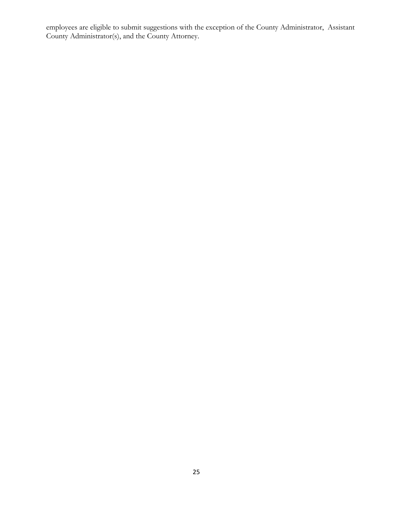employees are eligible to submit suggestions with the exception of the County Administrator, Assistant County Administrator(s), and the County Attorney.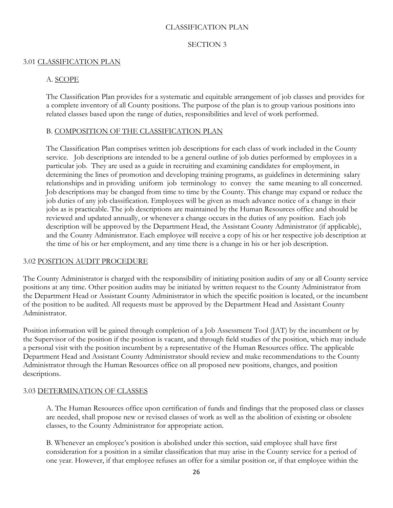## CLASSIFICATION PLAN

#### SECTION 3

#### 3.01 CLASSIFICATION PLAN

## A. SCOPE

The Classification Plan provides for a systematic and equitable arrangement of job classes and provides for a complete inventory of all County positions. The purpose of the plan is to group various positions into related classes based upon the range of duties, responsibilities and level of work performed.

#### B. COMPOSITION OF THE CLASSIFICATION PLAN

The Classification Plan comprises written job descriptions for each class of work included in the County service. Job descriptions are intended to be a general outline of job duties performed by employees in a particular job. They are used as a guide in recruiting and examining candidates for employment, in determining the lines of promotion and developing training programs, as guidelines in determining salary relationships and in providing uniform job terminology to convey the same meaning to all concerned. Job descriptions may be changed from time to time by the County. This change may expand or reduce the job duties of any job classification. Employees will be given as much advance notice of a change in their jobs as is practicable. The job descriptions are maintained by the Human Resources office and should be reviewed and updated annually, or whenever a change occurs in the duties of any position. Each job description will be approved by the Department Head, the Assistant County Administrator (if applicable), and the County Administrator. Each employee will receive a copy of his or her respective job description at the time of his or her employment, and any time there is a change in his or her job description.

#### 3.02 POSITION AUDIT PROCEDURE

The County Administrator is charged with the responsibility of initiating position audits of any or all County service positions at any time. Other position audits may be initiated by written request to the County Administrator from the Department Head or Assistant County Administrator in which the specific position is located, or the incumbent of the position to be audited. All requests must be approved by the Department Head and Assistant County Administrator.

Position information will be gained through completion of a Job Assessment Tool (JAT) by the incumbent or by the Supervisor of the position if the position is vacant, and through field studies of the position, which may include a personal visit with the position incumbent by a representative of the Human Resources office. The applicable Department Head and Assistant County Administrator should review and make recommendations to the County Administrator through the Human Resources office on all proposed new positions, changes, and position descriptions.

## 3.03 DETERMINATION OF CLASSES

A. The Human Resources office upon certification of funds and findings that the proposed class or classes are needed, shall propose new or revised classes of work as well as the abolition of existing or obsolete classes, to the County Administrator for appropriate action.

B. Whenever an employee's position is abolished under this section, said employee shall have first consideration for a position in a similar classification that may arise in the County service for a period of one year. However, if that employee refuses an offer for a similar position or, if that employee within the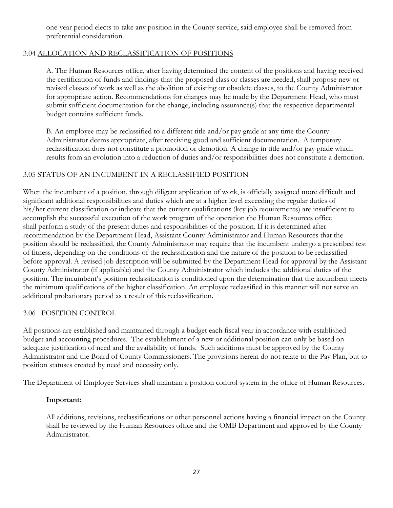one-year period elects to take any position in the County service, said employee shall be removed from preferential consideration.

# 3.04 ALLOCATION AND RECLASSIFICATION OF POSITIONS

A. The Human Resources office, after having determined the content of the positions and having received the certification of funds and findings that the proposed class or classes are needed, shall propose new or revised classes of work as well as the abolition of existing or obsolete classes, to the County Administrator for appropriate action. Recommendations for changes may be made by the Department Head, who must submit sufficient documentation for the change, including assurance(s) that the respective departmental budget contains sufficient funds.

B. An employee may be reclassified to a different title and/or pay grade at any time the County Administrator deems appropriate, after receiving good and sufficient documentation. A temporary reclassification does not constitute a promotion or demotion. A change in title and/or pay grade which results from an evolution into a reduction of duties and/or responsibilities does not constitute a demotion.

# 3.05 STATUS OF AN INCUMBENT IN A RECLASSIFIED POSITION

When the incumbent of a position, through diligent application of work, is officially assigned more difficult and significant additional responsibilities and duties which are at a higher level exceeding the regular duties of his/her current classification or indicate that the current qualifications (key job requirements) are insufficient to accomplish the successful execution of the work program of the operation the Human Resources office shall perform a study of the present duties and responsibilities of the position. If it is determined after recommendation by the Department Head, Assistant County Administrator and Human Resources that the position should be reclassified, the County Administrator may require that the incumbent undergo a prescribed test of fitness, depending on the conditions of the reclassification and the nature of the position to be reclassified before approval. A revised job description will be submitted by the Department Head for approval by the Assistant County Administrator (if applicable) and the County Administrator which includes the additional duties of the position. The incumbent's position reclassification is conditioned upon the determination that the incumbent meets the minimum qualifications of the higher classification. An employee reclassified in this manner will not serve an additional probationary period as a result of this reclassification.

## 3.06 POSITION CONTROL

All positions are established and maintained through a budget each fiscal year in accordance with established budget and accounting procedures. The establishment of a new or additional position can only be based on adequate justification of need and the availability of funds. Such additions must be approved by the County Administrator and the Board of County Commissioners. The provisions herein do not relate to the Pay Plan, but to position statuses created by need and necessity only.

The Department of Employee Services shall maintain a position control system in the office of Human Resources.

## **Important:**

All additions, revisions, reclassifications or other personnel actions having a financial impact on the County shall be reviewed by the Human Resources office and the OMB Department and approved by the County Administrator.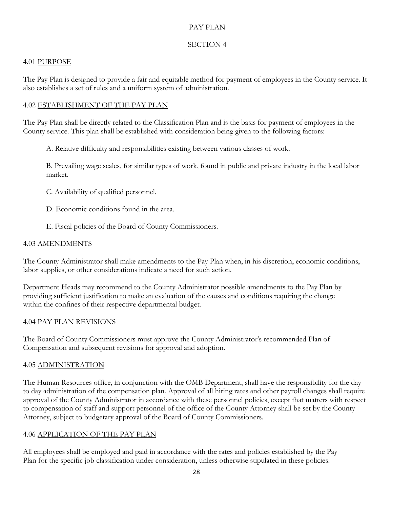## PAY PLAN

# SECTION 4

## 4.01 PURPOSE

The Pay Plan is designed to provide a fair and equitable method for payment of employees in the County service. It also establishes a set of rules and a uniform system of administration.

## 4.02 ESTABLISHMENT OF THE PAY PLAN

The Pay Plan shall be directly related to the Classification Plan and is the basis for payment of employees in the County service. This plan shall be established with consideration being given to the following factors:

A. Relative difficulty and responsibilities existing between various classes of work.

B. Prevailing wage scales, for similar types of work, found in public and private industry in the local labor market.

C. Availability of qualified personnel.

D. Economic conditions found in the area.

E. Fiscal policies of the Board of County Commissioners.

#### 4.03 AMENDMENTS

The County Administrator shall make amendments to the Pay Plan when, in his discretion, economic conditions, labor supplies, or other considerations indicate a need for such action.

Department Heads may recommend to the County Administrator possible amendments to the Pay Plan by providing sufficient justification to make an evaluation of the causes and conditions requiring the change within the confines of their respective departmental budget.

#### 4.04 PAY PLAN REVISIONS

The Board of County Commissioners must approve the County Administrator's recommended Plan of Compensation and subsequent revisions for approval and adoption.

## 4.05 ADMINISTRATION

The Human Resources office, in conjunction with the OMB Department, shall have the responsibility for the day to day administration of the compensation plan. Approval of all hiring rates and other payroll changes shall require approval of the County Administrator in accordance with these personnel policies, except that matters with respect to compensation of staff and support personnel of the office of the County Attorney shall be set by the County Attorney, subject to budgetary approval of the Board of County Commissioners.

## 4.06 APPLICATION OF THE PAY PLAN

All employees shall be employed and paid in accordance with the rates and policies established by the Pay Plan for the specific job classification under consideration, unless otherwise stipulated in these policies.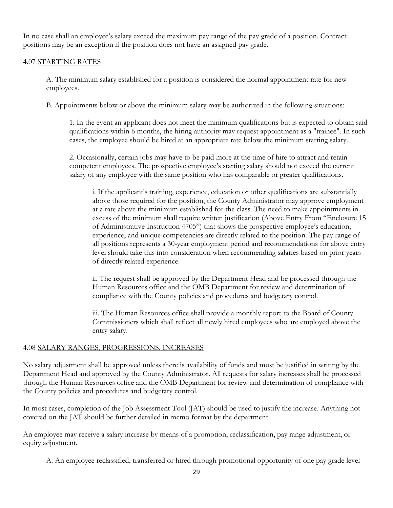In no case shall an employee's salary exceed the maximum pay range of the pay grade of a position. Contract positions may be an exception if the position does not have an assigned pay grade.

#### 4.07 STARTING RATES

A. The minimum salary established for a position is considered the normal appointment rate for new employees.

B. Appointments below or above the minimum salary may be authorized in the following situations:

1. In the event an applicant does not meet the minimum qualifications but is expected to obtain said qualifications within 6 months, the hiring authority may request appointment as a "trainee". In such cases, the employee should be hired at an appropriate rate below the minimum starting salary.

2. Occasionally, certain jobs may have to be paid more at the time of hire to attract and retain competent employees. The prospective employee's starting salary should not exceed the current salary of any employee with the same position who has comparable or greater qualifications.

i. If the applicant's training, experience, education or other qualifications are substantially above those required for the position, the County Administrator may approve employment at a rate above the minimum established for the class. The need to make appointments in excess of the minimum shall require written justification (Above Entry From "Enclosure 15 of Administrative Instruction 4705") that shows the prospective employee's education, experience, and unique competencies are directly related to the position. The pay range of all positions represents a 30-year employment period and recommendations for above entry level should take this into consideration when recommending salaries based on prior years of directly related experience.

ii. The request shall be approved by the Department Head and be processed through the Human Resources office and the OMB Department for review and determination of compliance with the County policies and procedures and budgetary control.

iii. The Human Resources office shall provide a monthly report to the Board of County Commissioners which shall reflect all newly hired employees who are employed above the entry salary.

## 4.08 SALARY RANGES, PROGRESSIONS, INCREASES

No salary adjustment shall be approved unless there is availability of funds and must be justified in writing by the Department Head and approved by the County Administrator. All requests for salary increases shall be processed through the Human Resources office and the OMB Department for review and determination of compliance with the County policies and procedures and budgetary control.

In most cases, completion of the Job Assessment Tool (JAT) should be used to justify the increase. Anything not covered on the JAT should be further detailed in memo format by the department.

An employee may receive a salary increase by means of a promotion, reclassification, pay range adjustment, or equity adjustment.

A. An employee reclassified, transferred or hired through promotional opportunity of one pay grade level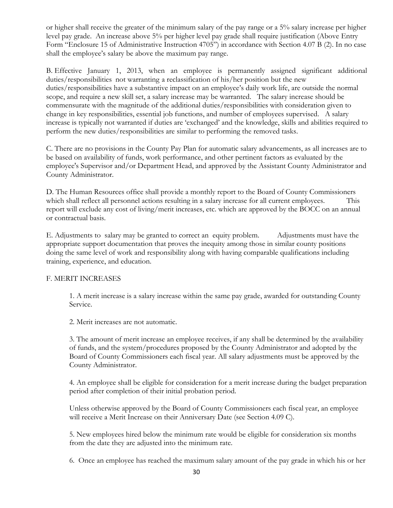or higher shall receive the greater of the minimum salary of the pay range or a 5% salary increase per higher level pay grade. An increase above 5% per higher level pay grade shall require justification (Above Entry Form "Enclosure 15 of Administrative Instruction 4705") in accordance with Section 4.07 B (2). In no case shall the employee's salary be above the maximum pay range.

B. Effective January 1, 2013, when an employee is permanently assigned significant additional duties/responsibilities not warranting a reclassification of his/her position but the new duties/responsibilities have a substantive impact on an employee's daily work life, are outside the normal scope, and require a new skill set, a salary increase may be warranted. The salary increase should be commensurate with the magnitude of the additional duties/responsibilities with consideration given to change in key responsibilities, essential job functions, and number of employees supervised. A salary increase is typically not warranted if duties are 'exchanged' and the knowledge, skills and abilities required to perform the new duties/responsibilities are similar to performing the removed tasks.

C. There are no provisions in the County Pay Plan for automatic salary advancements, as all increases are to be based on availability of funds, work performance, and other pertinent factors as evaluated by the employee's Supervisor and/or Department Head, and approved by the Assistant County Administrator and County Administrator.

D. The Human Resources office shall provide a monthly report to the Board of County Commissioners which shall reflect all personnel actions resulting in a salary increase for all current employees. This report will exclude any cost of living/merit increases, etc. which are approved by the BOCC on an annual or contractual basis.

E. Adjustments to salary may be granted to correct an equity problem. Adjustments must have the appropriate support documentation that proves the inequity among those in similar county positions doing the same level of work and responsibility along with having comparable qualifications including training, experience, and education.

## F. MERIT INCREASES

1. A merit increase is a salary increase within the same pay grade, awarded for outstanding County Service.

2. Merit increases are not automatic.

3. The amount of merit increase an employee receives, if any shall be determined by the availability of funds, and the system/procedures proposed by the County Administrator and adopted by the Board of County Commissioners each fiscal year. All salary adjustments must be approved by the County Administrator.

4. An employee shall be eligible for consideration for a merit increase during the budget preparation period after completion of their initial probation period.

Unless otherwise approved by the Board of County Commissioners each fiscal year, an employee will receive a Merit Increase on their Anniversary Date (see Section 4.09 C).

5. New employees hired below the minimum rate would be eligible for consideration six months from the date they are adjusted into the minimum rate.

6. Once an employee has reached the maximum salary amount of the pay grade in which his or her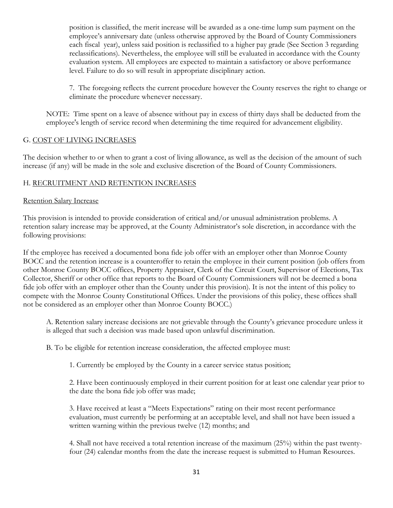position is classified, the merit increase will be awarded as a one-time lump sum payment on the employee's anniversary date (unless otherwise approved by the Board of County Commissioners each fiscal year), unless said position is reclassified to a higher pay grade (See Section 3 regarding reclassifications). Nevertheless, the employee will still be evaluated in accordance with the County evaluation system. All employees are expected to maintain a satisfactory or above performance level. Failure to do so will result in appropriate disciplinary action.

7. The foregoing reflects the current procedure however the County reserves the right to change or eliminate the procedure whenever necessary.

NOTE: Time spent on a leave of absence without pay in excess of thirty days shall be deducted from the employee's length of service record when determining the time required for advancement eligibility.

## G. COST OF LIVING INCREASES

The decision whether to or when to grant a cost of living allowance, as well as the decision of the amount of such increase (if any) will be made in the sole and exclusive discretion of the Board of County Commissioners.

# H. RECRUITMENT AND RETENTION INCREASES

#### Retention Salary Increase

This provision is intended to provide consideration of critical and/or unusual administration problems. A retention salary increase may be approved, at the County Administrator's sole discretion, in accordance with the following provisions:

If the employee has received a documented bona fide job offer with an employer other than Monroe County BOCC and the retention increase is a counteroffer to retain the employee in their current position (job offers from other Monroe County BOCC offices, Property Appraiser, Clerk of the Circuit Court, Supervisor of Elections, Tax Collector, Sheriff or other office that reports to the Board of County Commissioners will not be deemed a bona fide job offer with an employer other than the County under this provision). It is not the intent of this policy to compete with the Monroe County Constitutional Offices. Under the provisions of this policy, these offices shall not be considered as an employer other than Monroe County BOCC.)

A. Retention salary increase decisions are not grievable through the County's grievance procedure unless it is alleged that such a decision was made based upon unlawful discrimination.

B. To be eligible for retention increase consideration, the affected employee must:

1. Currently be employed by the County in a career service status position;

2. Have been continuously employed in their current position for at least one calendar year prior to the date the bona fide job offer was made;

3. Have received at least a "Meets Expectations" rating on their most recent performance evaluation, must currently be performing at an acceptable level, and shall not have been issued a written warning within the previous twelve (12) months; and

4. Shall not have received a total retention increase of the maximum (25%) within the past twentyfour (24) calendar months from the date the increase request is submitted to Human Resources.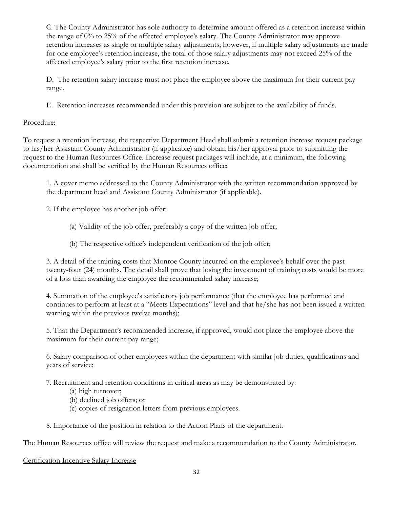C. The County Administrator has sole authority to determine amount offered as a retention increase within the range of 0% to 25% of the affected employee's salary. The County Administrator may approve retention increases as single or multiple salary adjustments; however, if multiple salary adjustments are made for one employee's retention increase, the total of those salary adjustments may not exceed 25% of the affected employee's salary prior to the first retention increase.

D. The retention salary increase must not place the employee above the maximum for their current pay range.

E. Retention increases recommended under this provision are subject to the availability of funds.

# Procedure:

To request a retention increase, the respective Department Head shall submit a retention increase request package to his/her Assistant County Administrator (if applicable) and obtain his/her approval prior to submitting the request to the Human Resources Office. Increase request packages will include, at a minimum, the following documentation and shall be verified by the Human Resources office:

1. A cover memo addressed to the County Administrator with the written recommendation approved by the department head and Assistant County Administrator (if applicable).

2. If the employee has another job offer:

- (a) Validity of the job offer, preferably a copy of the written job offer;
- (b) The respective office's independent verification of the job offer;

3. A detail of the training costs that Monroe County incurred on the employee's behalf over the past twenty-four (24) months. The detail shall prove that losing the investment of training costs would be more of a loss than awarding the employee the recommended salary increase;

4. Summation of the employee's satisfactory job performance (that the employee has performed and continues to perform at least at a "Meets Expectations" level and that he/she has not been issued a written warning within the previous twelve months);

5. That the Department's recommended increase, if approved, would not place the employee above the maximum for their current pay range;

6. Salary comparison of other employees within the department with similar job duties, qualifications and years of service;

7. Recruitment and retention conditions in critical areas as may be demonstrated by:

- (a) high turnover;
- (b) declined job offers; or
- (c) copies of resignation letters from previous employees.
- 8. Importance of the position in relation to the Action Plans of the department.

The Human Resources office will review the request and make a recommendation to the County Administrator.

# Certification Incentive Salary Increase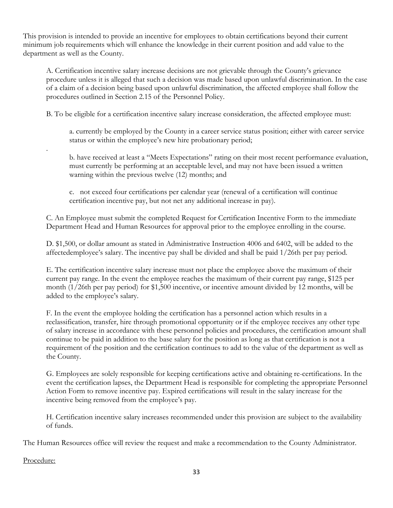This provision is intended to provide an incentive for employees to obtain certifications beyond their current minimum job requirements which will enhance the knowledge in their current position and add value to the department as well as the County.

A. Certification incentive salary increase decisions are not grievable through the County's grievance procedure unless it is alleged that such a decision was made based upon unlawful discrimination. In the case of a claim of a decision being based upon unlawful discrimination, the affected employee shall follow the procedures outlined in Section 2.15 of the Personnel Policy.

B. To be eligible for a certification incentive salary increase consideration, the affected employee must:

a. currently be employed by the County in a career service status position; either with career service status or within the employee's new hire probationary period;

b. have received at least a "Meets Expectations" rating on their most recent performance evaluation, must currently be performing at an acceptable level, and may not have been issued a written warning within the previous twelve (12) months; and

c. not exceed four certifications per calendar year (renewal of a certification will continue certification incentive pay, but not net any additional increase in pay).

C. An Employee must submit the completed Request for Certification Incentive Form to the immediate Department Head and Human Resources for approval prior to the employee enrolling in the course.

D. \$1,500, or dollar amount as stated in Administrative Instruction 4006 and 6402, will be added to the affectedemployee's salary. The incentive pay shall be divided and shall be paid 1/26th per pay period.

E. The certification incentive salary increase must not place the employee above the maximum of their current pay range. In the event the employee reaches the maximum of their current pay range, \$125 per month (1/26th per pay period) for \$1,500 incentive, or incentive amount divided by 12 months, will be added to the employee's salary.

F. In the event the employee holding the certification has a personnel action which results in a reclassification, transfer, hire through promotional opportunity or if the employee receives any other type of salary increase in accordance with these personnel policies and procedures, the certification amount shall continue to be paid in addition to the base salary for the position as long as that certification is not a requirement of the position and the certification continues to add to the value of the department as well as the County.

G. Employees are solely responsible for keeping certifications active and obtaining re-certifications. In the event the certification lapses, the Department Head is responsible for completing the appropriate Personnel Action Form to remove incentive pay. Expired certifications will result in the salary increase for the incentive being removed from the employee's pay.

H. Certification incentive salary increases recommended under this provision are subject to the availability of funds.

The Human Resources office will review the request and make a recommendation to the County Administrator.

Procedure:

.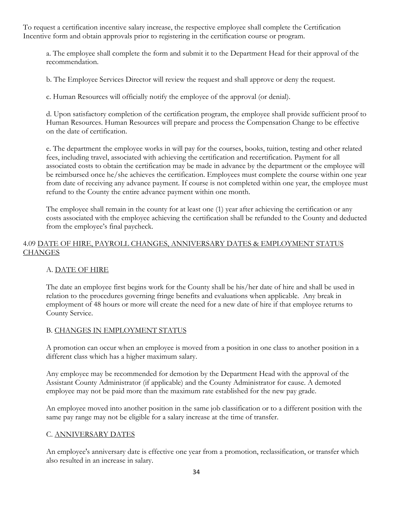To request a certification incentive salary increase, the respective employee shall complete the Certification Incentive form and obtain approvals prior to registering in the certification course or program.

a. The employee shall complete the form and submit it to the Department Head for their approval of the recommendation.

b. The Employee Services Director will review the request and shall approve or deny the request.

c. Human Resources will officially notify the employee of the approval (or denial).

d. Upon satisfactory completion of the certification program, the employee shall provide sufficient proof to Human Resources. Human Resources will prepare and process the Compensation Change to be effective on the date of certification.

e. The department the employee works in will pay for the courses, books, tuition, testing and other related fees, including travel, associated with achieving the certification and recertification. Payment for all associated costs to obtain the certification may be made in advance by the department or the employee will be reimbursed once he/she achieves the certification. Employees must complete the course within one year from date of receiving any advance payment. If course is not completed within one year, the employee must refund to the County the entire advance payment within one month.

The employee shall remain in the county for at least one (1) year after achieving the certification or any costs associated with the employee achieving the certification shall be refunded to the County and deducted from the employee's final paycheck.

# 4.09 DATE OF HIRE, PAYROLL CHANGES, ANNIVERSARY DATES & EMPLOYMENT STATUS **CHANGES**

# A. DATE OF HIRE

The date an employee first begins work for the County shall be his/her date of hire and shall be used in relation to the procedures governing fringe benefits and evaluations when applicable. Any break in employment of 48 hours or more will create the need for a new date of hire if that employee returns to County Service.

## B. CHANGES IN EMPLOYMENT STATUS

A promotion can occur when an employee is moved from a position in one class to another position in a different class which has a higher maximum salary.

Any employee may be recommended for demotion by the Department Head with the approval of the Assistant County Administrator (if applicable) and the County Administrator for cause. A demoted employee may not be paid more than the maximum rate established for the new pay grade.

An employee moved into another position in the same job classification or to a different position with the same pay range may not be eligible for a salary increase at the time of transfer.

## C. ANNIVERSARY DATES

An employee's anniversary date is effective one year from a promotion, reclassification, or transfer which also resulted in an increase in salary.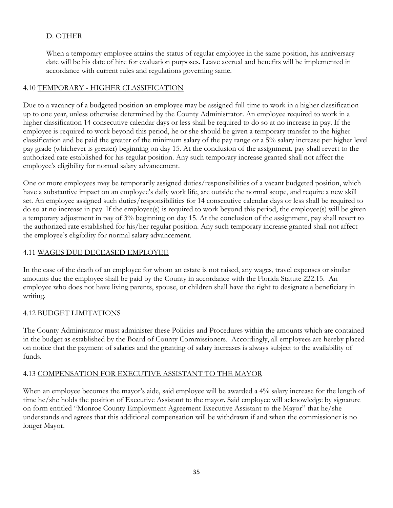# D. OTHER

When a temporary employee attains the status of regular employee in the same position, his anniversary date will be his date of hire for evaluation purposes. Leave accrual and benefits will be implemented in accordance with current rules and regulations governing same.

# 4.10 TEMPORARY - HIGHER CLASSIFICATION

Due to a vacancy of a budgeted position an employee may be assigned full-time to work in a higher classification up to one year, unless otherwise determined by the County Administrator. An employee required to work in a higher classification 14 consecutive calendar days or less shall be required to do so at no increase in pay. If the employee is required to work beyond this period, he or she should be given a temporary transfer to the higher classification and be paid the greater of the minimum salary of the pay range or a 5% salary increase per higher level pay grade (whichever is greater) beginning on day 15. At the conclusion of the assignment, pay shall revert to the authorized rate established for his regular position. Any such temporary increase granted shall not affect the employee's eligibility for normal salary advancement.

One or more employees may be temporarily assigned duties/responsibilities of a vacant budgeted position, which have a substantive impact on an employee's daily work life, are outside the normal scope, and require a new skill set. An employee assigned such duties/responsibilities for 14 consecutive calendar days or less shall be required to do so at no increase in pay. If the employee(s) is required to work beyond this period, the employee(s) will be given a temporary adjustment in pay of 3% beginning on day 15. At the conclusion of the assignment, pay shall revert to the authorized rate established for his/her regular position. Any such temporary increase granted shall not affect the employee's eligibility for normal salary advancement.

# 4.11 WAGES DUE DECEASED EMPLOYEE

In the case of the death of an employee for whom an estate is not raised, any wages, travel expenses or similar amounts due the employee shall be paid by the County in accordance with the Florida Statute 222.15. An employee who does not have living parents, spouse, or children shall have the right to designate a beneficiary in writing.

# 4.12 BUDGET LIMITATIONS

The County Administrator must administer these Policies and Procedures within the amounts which are contained in the budget as established by the Board of County Commissioners. Accordingly, all employees are hereby placed on notice that the payment of salaries and the granting of salary increases is always subject to the availability of funds.

# 4.13 COMPENSATION FOR EXECUTIVE ASSISTANT TO THE MAYOR

When an employee becomes the mayor's aide, said employee will be awarded a 4% salary increase for the length of time he/she holds the position of Executive Assistant to the mayor. Said employee will acknowledge by signature on form entitled "Monroe County Employment Agreement Executive Assistant to the Mayor" that he/she understands and agrees that this additional compensation will be withdrawn if and when the commissioner is no longer Mayor.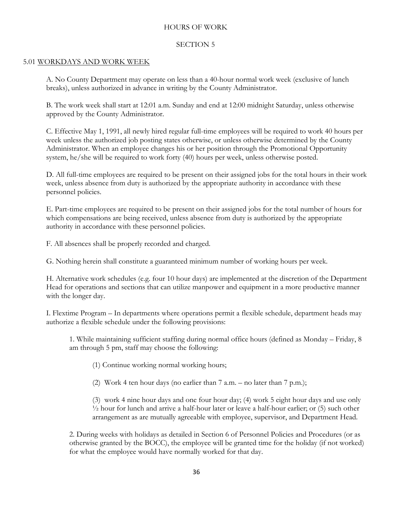## HOURS OF WORK

#### SECTION 5

#### 5.01 WORKDAYS AND WORK WEEK

A. No County Department may operate on less than a 40-hour normal work week (exclusive of lunch breaks), unless authorized in advance in writing by the County Administrator.

B. The work week shall start at 12:01 a.m. Sunday and end at 12:00 midnight Saturday, unless otherwise approved by the County Administrator.

C. Effective May 1, 1991, all newly hired regular full-time employees will be required to work 40 hours per week unless the authorized job posting states otherwise, or unless otherwise determined by the County Administrator. When an employee changes his or her position through the Promotional Opportunity system, he/she will be required to work forty (40) hours per week, unless otherwise posted.

D. All full-time employees are required to be present on their assigned jobs for the total hours in their work week, unless absence from duty is authorized by the appropriate authority in accordance with these personnel policies.

E. Part-time employees are required to be present on their assigned jobs for the total number of hours for which compensations are being received, unless absence from duty is authorized by the appropriate authority in accordance with these personnel policies.

F. All absences shall be properly recorded and charged.

G. Nothing herein shall constitute a guaranteed minimum number of working hours per week.

H. Alternative work schedules (e.g. four 10 hour days) are implemented at the discretion of the Department Head for operations and sections that can utilize manpower and equipment in a more productive manner with the longer day.

I. Flextime Program – In departments where operations permit a flexible schedule, department heads may authorize a flexible schedule under the following provisions:

1. While maintaining sufficient staffing during normal office hours (defined as Monday – Friday, 8 am through 5 pm, staff may choose the following:

(1) Continue working normal working hours;

(2) Work 4 ten hour days (no earlier than  $7$  a.m.  $-$  no later than  $7$  p.m.);

(3) work 4 nine hour days and one four hour day; (4) work 5 eight hour days and use only  $\frac{1}{2}$  hour for lunch and arrive a half-hour later or leave a half-hour earlier; or (5) such other arrangement as are mutually agreeable with employee, supervisor, and Department Head.

2. During weeks with holidays as detailed in Section 6 of Personnel Policies and Procedures (or as otherwise granted by the BOCC), the employee will be granted time for the holiday (if not worked) for what the employee would have normally worked for that day.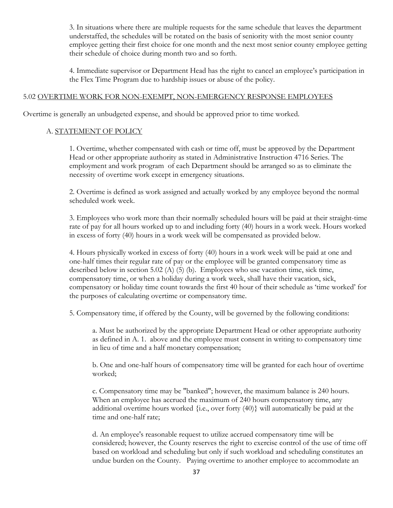3. In situations where there are multiple requests for the same schedule that leaves the department understaffed, the schedules will be rotated on the basis of seniority with the most senior county employee getting their first choice for one month and the next most senior county employee getting their schedule of choice during month two and so forth.

4. Immediate supervisor or Department Head has the right to cancel an employee's participation in the Flex Time Program due to hardship issues or abuse of the policy.

#### 5.02 OVERTIME WORK FOR NON-EXEMPT, NON-EMERGENCY RESPONSE EMPLOYEES

Overtime is generally an unbudgeted expense, and should be approved prior to time worked.

#### A. STATEMENT OF POLICY

1. Overtime, whether compensated with cash or time off, must be approved by the Department Head or other appropriate authority as stated in Administrative Instruction 4716 Series. The employment and work program of each Department should be arranged so as to eliminate the necessity of overtime work except in emergency situations.

2. Overtime is defined as work assigned and actually worked by any employee beyond the normal scheduled work week.

3. Employees who work more than their normally scheduled hours will be paid at their straight-time rate of pay for all hours worked up to and including forty (40) hours in a work week. Hours worked in excess of forty (40) hours in a work week will be compensated as provided below.

4. Hours physically worked in excess of forty (40) hours in a work week will be paid at one and one-half times their regular rate of pay or the employee will be granted compensatory time as described below in section 5.02 (A) (5) (b). Employees who use vacation time, sick time, compensatory time, or when a holiday during a work week, shall have their vacation, sick, compensatory or holiday time count towards the first 40 hour of their schedule as 'time worked' for the purposes of calculating overtime or compensatory time.

5. Compensatory time, if offered by the County, will be governed by the following conditions:

a. Must be authorized by the appropriate Department Head or other appropriate authority as defined in A. 1. above and the employee must consent in writing to compensatory time in lieu of time and a half monetary compensation;

b. One and one-half hours of compensatory time will be granted for each hour of overtime worked;

c. Compensatory time may be "banked"; however, the maximum balance is 240 hours. When an employee has accrued the maximum of 240 hours compensatory time, any additional overtime hours worked {i.e., over forty (40)} will automatically be paid at the time and one-half rate;

d. An employee's reasonable request to utilize accrued compensatory time will be considered; however, the County reserves the right to exercise control of the use of time off based on workload and scheduling but only if such workload and scheduling constitutes an undue burden on the County. Paying overtime to another employee to accommodate an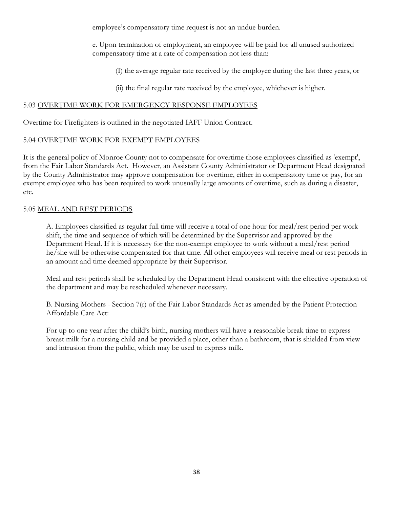employee's compensatory time request is not an undue burden.

e. Upon termination of employment, an employee will be paid for all unused authorized compensatory time at a rate of compensation not less than:

(I) the average regular rate received by the employee during the last three years, or

(ii) the final regular rate received by the employee, whichever is higher.

### 5.03 OVERTIME WORK FOR EMERGENCY RESPONSE EMPLOYEES

Overtime for Firefighters is outlined in the negotiated IAFF Union Contract.

### 5.04 OVERTIME WORK FOR EXEMPT EMPLOYEES

It is the general policy of Monroe County not to compensate for overtime those employees classified as 'exempt', from the Fair Labor Standards Act. However, an Assistant County Administrator or Department Head designated by the County Administrator may approve compensation for overtime, either in compensatory time or pay, for an exempt employee who has been required to work unusually large amounts of overtime, such as during a disaster, etc.

### 5.05 MEAL AND REST PERIODS

A. Employees classified as regular full time will receive a total of one hour for meal/rest period per work shift, the time and sequence of which will be determined by the Supervisor and approved by the Department Head. If it is necessary for the non-exempt employee to work without a meal/rest period he/she will be otherwise compensated for that time. All other employees will receive meal or rest periods in an amount and time deemed appropriate by their Supervisor.

Meal and rest periods shall be scheduled by the Department Head consistent with the effective operation of the department and may be rescheduled whenever necessary.

B. Nursing Mothers - Section 7(r) of the Fair Labor Standards Act as amended by the Patient Protection Affordable Care Act:

For up to one year after the child's birth, nursing mothers will have a reasonable break time to express breast milk for a nursing child and be provided a place, other than a bathroom, that is shielded from view and intrusion from the public, which may be used to express milk.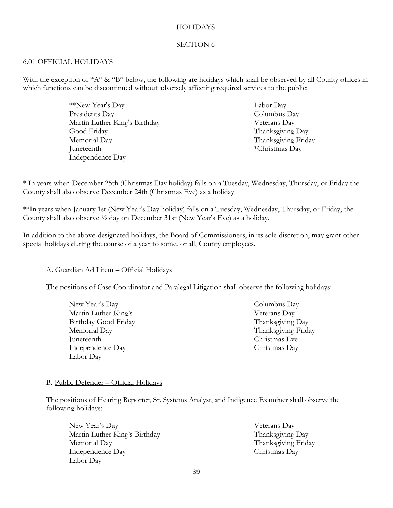#### **HOLIDAYS**

#### SECTION 6

#### 6.01 OFFICIAL HOLIDAYS

With the exception of "A" & "B" below, the following are holidays which shall be observed by all County offices in which functions can be discontinued without adversely affecting required services to the public:

> \*\*New Year's Day Presidents Day Martin Luther King's Birthday Good Friday Memorial Day Juneteenth Independence Day

Labor Day Columbus Day Veterans Day Thanksgiving Day Thanksgiving Friday \*Christmas Day

\* In years when December 25th (Christmas Day holiday) falls on a Tuesday, Wednesday, Thursday, or Friday the County shall also observe December 24th (Christmas Eve) as a holiday.

\*\*In years when January 1st (New Year's Day holiday) falls on a Tuesday, Wednesday, Thursday, or Friday, the County shall also observe ½ day on December 31st (New Year's Eve) as a holiday.

In addition to the above-designated holidays, the Board of Commissioners, in its sole discretion, may grant other special holidays during the course of a year to some, or all, County employees.

#### A. Guardian Ad Litem – Official Holidays

The positions of Case Coordinator and Paralegal Litigation shall observe the following holidays:

New Year's Day Martin Luther King's Birthday Good Friday Memorial Day Juneteenth Independence Day Labor Day

Columbus Day Veterans Day Thanksgiving Day Thanksgiving Friday Christmas Eve Christmas Day

#### B. Public Defender – Official Holidays

The positions of Hearing Reporter, Sr. Systems Analyst, and Indigence Examiner shall observe the following holidays:

New Year's Day Martin Luther King's Birthday Memorial Day Independence Day Labor Day

Veterans Day Thanksgiving Day Thanksgiving Friday Christmas Day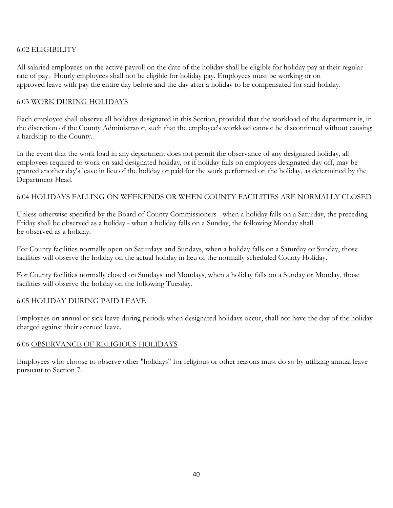# 6.02 ELIGIBILITY

All salaried employees on the active payroll on the date of the holiday shall be eligible for holiday pay at their regular rate of pay. Hourly employees shall not be eligible for holiday pay. Employees must be working or on approved leave with pay the entire day before and the day after a holiday to be compensated for said holiday.

## 6.03 WORK DURING HOLIDAYS

Each employee shall observe all holidays designated in this Section, provided that the workload of the department is, in the discretion of the County Administrator, such that the employee's workload cannot be discontinued without causing a hardship to the County.

In the event that the work load in any department does not permit the observance of any designated holiday, all employees required to work on said designated holiday, or if holiday falls on employees designated day off, may be granted another day's leave in lieu of the holiday or paid for the work performed on the holiday, as determined by the Department Head.

### 6.04 HOLIDAYS FALLING ON WEEKENDS OR WHEN COUNTY FACILITIES ARE NORMALLY CLOSED

Unless otherwise specified by the Board of County Commissioners - when a holiday falls on a Saturday, the preceding Friday shall be observed as a holiday - when a holiday falls on a Sunday, the following Monday shall be observed as a holiday.

For County facilities normally open on Saturdays and Sundays, when a holiday falls on a Saturday or Sunday, those facilities will observe the holiday on the actual holiday in lieu of the normally scheduled County Holiday.

For County facilities normally closed on Sundays and Mondays, when a holiday falls on a Sunday or Monday, those facilities will observe the holiday on the following Tuesday.

## 6.05 HOLIDAY DURING PAID LEAVE

Employees on annual or sick leave during periods when designated holidays occur, shall not have the day of the holiday charged against their accrued leave.

## 6.06 OBSERVANCE OF RELIGIOUS HOLIDAYS

Employees who choose to observe other "holidays" for religious or other reasons must do so by utilizing annual leave pursuant to Section 7.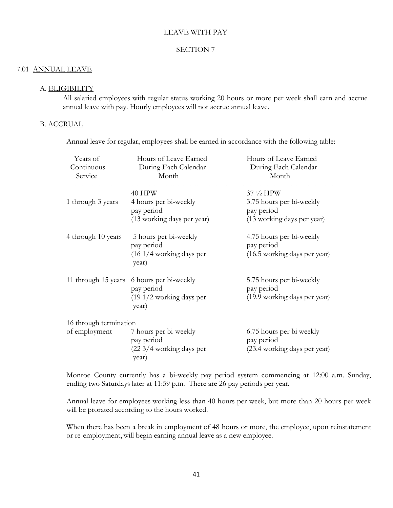#### LEAVE WITH PAY

### SECTION 7

#### 7.01 ANNUAL LEAVE

#### A. ELIGIBILITY

All salaried employees with regular status working 20 hours or more per week shall earn and accrue annual leave with pay. Hourly employees will not accrue annual leave.

#### B. ACCRUAL

Annual leave for regular, employees shall be earned in accordance with the following table:

| Years of<br>Continuous<br>Service       | Hours of Leave Earned<br>During Each Calendar<br>Month                      | Hours of Leave Earned<br>During Each Calendar<br>Month                             |
|-----------------------------------------|-----------------------------------------------------------------------------|------------------------------------------------------------------------------------|
| 1 through 3 years                       | 40 HPW<br>4 hours per bi-weekly<br>pay period<br>(13 working days per year) | 37 1/2 HPW<br>3.75 hours per bi-weekly<br>pay period<br>(13 working days per year) |
| 4 through 10 years                      | 5 hours per bi-weekly<br>pay period<br>$(161/4)$ working days per<br>year)  | 4.75 hours per bi-weekly<br>pay period<br>(16.5 working days per year)             |
| 11 through 15 years                     | 6 hours per bi-weekly<br>pay period<br>$(191/2)$ working days per<br>year)  | 5.75 hours per bi-weekly<br>pay period<br>(19.9 working days per year)             |
| 16 through termination<br>of employment | 7 hours per bi-weekly<br>pay period<br>(22 3/4 working days per<br>year)    | 6.75 hours per bi weekly<br>pay period<br>(23.4 working days per year)             |

Monroe County currently has a bi-weekly pay period system commencing at 12:00 a.m. Sunday, ending two Saturdays later at 11:59 p.m. There are 26 pay periods per year.

Annual leave for employees working less than 40 hours per week, but more than 20 hours per week will be prorated according to the hours worked.

When there has been a break in employment of 48 hours or more, the employee, upon reinstatement or re-employment, will begin earning annual leave as a new employee.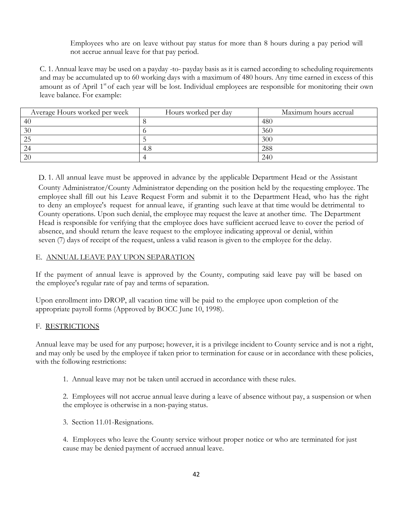Employees who are on leave without pay status for more than 8 hours during a pay period will not accrue annual leave for that pay period.

C. 1. Annual leave may be used on a payday -to- payday basis as it is earned according to scheduling requirements and may be accumulated up to 60 working days with a maximum of 480 hours. Any time earned in excess of this amount as of April 1<sup>st</sup> of each year will be lost. Individual employees are responsible for monitoring their own leave balance. For example:

| Average Hours worked per week | Hours worked per day | Maximum hours accrual |
|-------------------------------|----------------------|-----------------------|
| 40                            |                      | 480                   |
| 30                            |                      | 360                   |
| 25                            |                      | 300                   |
| 24                            | 4.8                  | 288                   |
| <b>20</b>                     |                      | 240                   |

D. 1. All annual leave must be approved in advance by the applicable Department Head or the Assistant County Administrator/County Administrator depending on the position held by the requesting employee. The employee shall fill out his Leave Request Form and submit it to the Department Head, who has the right to deny an employee's request for annual leave, if granting such leave at that time would be detrimental to County operations. Upon such denial, the employee may request the leave at another time. The Department Head is responsible for verifying that the employee does have sufficient accrued leave to cover the period of absence, and should return the leave request to the employee indicating approval or denial, within seven (7) days of receipt of the request, unless a valid reason is given to the employee for the delay.

## E. ANNUAL LEAVE PAY UPON SEPARATION

If the payment of annual leave is approved by the County, computing said leave pay will be based on the employee's regular rate of pay and terms of separation.

Upon enrollment into DROP, all vacation time will be paid to the employee upon completion of the appropriate payroll forms (Approved by BOCC June 10, 1998).

## F. RESTRICTIONS

Annual leave may be used for any purpose; however, it is a privilege incident to County service and is not a right, and may only be used by the employee if taken prior to termination for cause or in accordance with these policies, with the following restrictions:

1. Annual leave may not be taken until accrued in accordance with these rules.

2. Employees will not accrue annual leave during a leave of absence without pay, a suspension or when the employee is otherwise in a non-paying status.

3. Section 11.01-Resignations.

4. Employees who leave the County service without proper notice or who are terminated for just cause may be denied payment of accrued annual leave.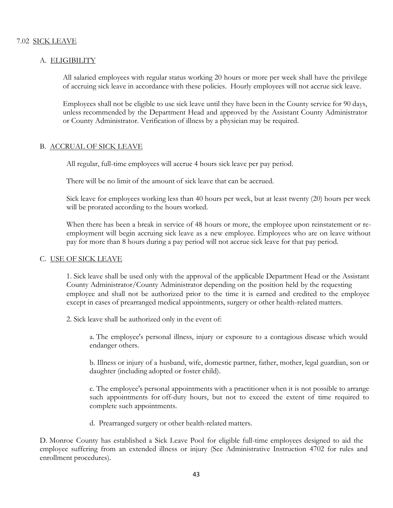#### A. ELIGIBILITY

All salaried employees with regular status working 20 hours or more per week shall have the privilege of accruing sick leave in accordance with these policies. Hourly employees will not accrue sick leave.

Employees shall not be eligible to use sick leave until they have been in the County service for 90 days, unless recommended by the Department Head and approved by the Assistant County Administrator or County Administrator. Verification of illness by a physician may be required.

### B. ACCRUAL OF SICK LEAVE

All regular, full-time employees will accrue 4 hours sick leave per pay period.

There will be no limit of the amount of sick leave that can be accrued.

Sick leave for employees working less than 40 hours per week, but at least twenty (20) hours per week will be prorated according to the hours worked.

When there has been a break in service of 48 hours or more, the employee upon reinstatement or reemployment will begin accruing sick leave as a new employee. Employees who are on leave without pay for more than 8 hours during a pay period will not accrue sick leave for that pay period.

#### C. USE OF SICK LEAVE

1. Sick leave shall be used only with the approval of the applicable Department Head or the Assistant County Administrator/County Administrator depending on the position held by the requesting employee and shall not be authorized prior to the time it is earned and credited to the employee except in cases of prearranged medical appointments, surgery or other health-related matters.

2. Sick leave shall be authorized only in the event of:

a. The employee's personal illness, injury or exposure to a contagious disease which would endanger others.

b. Illness or injury of a husband, wife, domestic partner, father, mother, legal guardian, son or daughter (including adopted or foster child).

c. The employee's personal appointments with a practitioner when it is not possible to arrange such appointments for off-duty hours, but not to exceed the extent of time required to complete such appointments.

d. Prearranged surgery or other health-related matters.

D. Monroe County has established a Sick Leave Pool for eligible full-time employees designed to aid the employee suffering from an extended illness or injury (See Administrative Instruction 4702 for rules and enrollment procedures).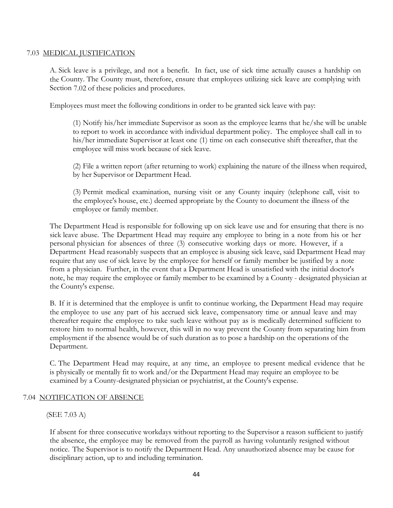## 7.03 MEDICAL JUSTIFICATION

A. Sick leave is a privilege, and not a benefit. In fact, use of sick time actually causes a hardship on the County. The County must, therefore, ensure that employees utilizing sick leave are complying with Section 7.02 of these policies and procedures.

Employees must meet the following conditions in order to be granted sick leave with pay:

(1) Notify his/her immediate Supervisor as soon as the employee learns that he/she will be unable to report to work in accordance with individual department policy. The employee shall call in to his/her immediate Supervisor at least one (1) time on each consecutive shift thereafter, that the employee will miss work because of sick leave.

(2) File a written report (after returning to work) explaining the nature of the illness when required, by her Supervisor or Department Head.

(3) Permit medical examination, nursing visit or any County inquiry (telephone call, visit to the employee's house, etc.) deemed appropriate by the County to document the illness of the employee or family member.

The Department Head is responsible for following up on sick leave use and for ensuring that there is no sick leave abuse. The Department Head may require any employee to bring in a note from his or her personal physician for absences of three (3) consecutive working days or more. However, if a Department Head reasonably suspects that an employee is abusing sick leave, said Department Head may require that any use of sick leave by the employee for herself or family member be justified by a note from a physician. Further, in the event that a Department Head is unsatisfied with the initial doctor's note, he may require the employee or family member to be examined by a County - designated physician at the County's expense.

B. If it is determined that the employee is unfit to continue working, the Department Head may require the employee to use any part of his accrued sick leave, compensatory time or annual leave and may thereafter require the employee to take such leave without pay as is medically determined sufficient to restore him to normal health, however, this will in no way prevent the County from separating him from employment if the absence would be of such duration as to pose a hardship on the operations of the Department.

C. The Department Head may require, at any time, an employee to present medical evidence that he is physically or mentally fit to work and/or the Department Head may require an employee to be examined by a County-designated physician or psychiatrist, at the County's expense.

#### 7.04 NOTIFICATION OF ABSENCE

#### (SEE 7.03 A)

If absent for three consecutive workdays without reporting to the Supervisor a reason sufficient to justify the absence, the employee may be removed from the payroll as having voluntarily resigned without notice. The Supervisor is to notify the Department Head. Any unauthorized absence may be cause for disciplinary action, up to and including termination.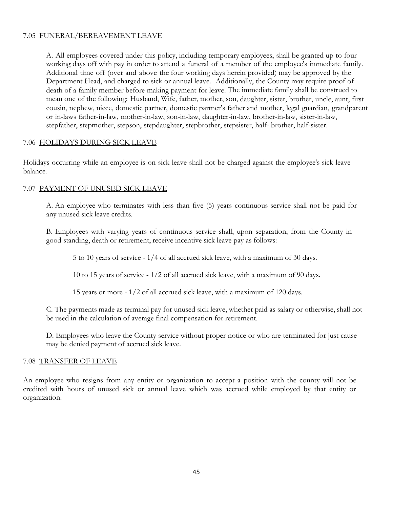# 7.05 FUNERAL/BEREAVEMENT LEAVE

A. All employees covered under this policy, including temporary employees, shall be granted up to four working days off with pay in order to attend a funeral of a member of the employee's immediate family. Additional time off (over and above the four working days herein provided) may be approved by the Department Head, and charged to sick or annual leave. Additionally, the County may require proof of death of a family member before making payment for leave. The immediate family shall be construed to mean one of the following: Husband, Wife, father, mother, son, daughter, sister, brother, uncle, aunt, first cousin, nephew, niece, domestic partner, domestic partner's father and mother, legal guardian, grandparent or in-laws father-in-law, mother-in-law, son-in-law, daughter-in-law, brother-in-law, sister-in-law, stepfather, stepmother, stepson, stepdaughter, stepbrother, stepsister, half- brother, half-sister.

# 7.06 HOLIDAYS DURING SICK LEAVE

Holidays occurring while an employee is on sick leave shall not be charged against the employee's sick leave balance.

# 7.07 PAYMENT OF UNUSED SICK LEAVE

A. An employee who terminates with less than five (5) years continuous service shall not be paid for any unused sick leave credits.

B. Employees with varying years of continuous service shall, upon separation, from the County in good standing, death or retirement, receive incentive sick leave pay as follows:

5 to 10 years of service - 1/4 of all accrued sick leave, with a maximum of 30 days.

10 to 15 years of service - 1/2 of all accrued sick leave, with a maximum of 90 days.

15 years or more - 1/2 of all accrued sick leave, with a maximum of 120 days.

C. The payments made as terminal pay for unused sick leave, whether paid as salary or otherwise, shall not be used in the calculation of average final compensation for retirement.

D. Employees who leave the County service without proper notice or who are terminated for just cause may be denied payment of accrued sick leave.

## 7.08 TRANSFER OF LEAVE

An employee who resigns from any entity or organization to accept a position with the county will not be credited with hours of unused sick or annual leave which was accrued while employed by that entity or organization.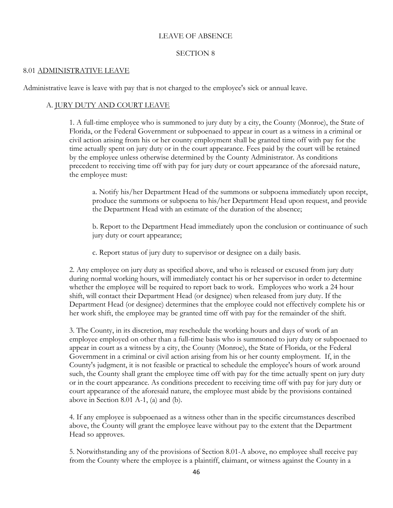#### LEAVE OF ABSENCE

#### SECTION 8

#### 8.01 ADMINISTRATIVE LEAVE

Administrative leave is leave with pay that is not charged to the employee's sick or annual leave.

## A. JURY DUTY AND COURT LEAVE

1. A full-time employee who is summoned to jury duty by a city, the County (Monroe), the State of Florida, or the Federal Government or subpoenaed to appear in court as a witness in a criminal or civil action arising from his or her county employment shall be granted time off with pay for the time actually spent on jury duty or in the court appearance. Fees paid by the court will be retained by the employee unless otherwise determined by the County Administrator. As conditions precedent to receiving time off with pay for jury duty or court appearance of the aforesaid nature, the employee must:

a. Notify his/her Department Head of the summons or subpoena immediately upon receipt, produce the summons or subpoena to his/her Department Head upon request, and provide the Department Head with an estimate of the duration of the absence;

b. Report to the Department Head immediately upon the conclusion or continuance of such jury duty or court appearance;

c. Report status of jury duty to supervisor or designee on a daily basis.

2. Any employee on jury duty as specified above, and who is released or excused from jury duty during normal working hours, will immediately contact his or her supervisor in order to determine whether the employee will be required to report back to work. Employees who work a 24 hour shift, will contact their Department Head (or designee) when released from jury duty. If the Department Head (or designee) determines that the employee could not effectively complete his or her work shift, the employee may be granted time off with pay for the remainder of the shift.

3. The County, in its discretion, may reschedule the working hours and days of work of an employee employed on other than a full-time basis who is summoned to jury duty or subpoenaed to appear in court as a witness by a city, the County (Monroe), the State of Florida, or the Federal Government in a criminal or civil action arising from his or her county employment. If, in the County's judgment, it is not feasible or practical to schedule the employee's hours of work around such, the County shall grant the employee time off with pay for the time actually spent on jury duty or in the court appearance. As conditions precedent to receiving time off with pay for jury duty or court appearance of the aforesaid nature, the employee must abide by the provisions contained above in Section 8.01 A-1, (a) and (b).

4. If any employee is subpoenaed as a witness other than in the specific circumstances described above, the County will grant the employee leave without pay to the extent that the Department Head so approves.

5. Notwithstanding any of the provisions of Section 8.01-A above, no employee shall receive pay from the County where the employee is a plaintiff, claimant, or witness against the County in a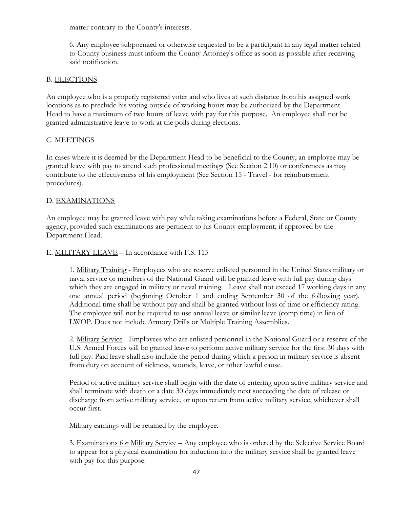matter contrary to the County's interests.

6. Any employee subpoenaed or otherwise requested to be a participant in any legal matter related to County business must inform the County Attorney's office as soon as possible after receiving said notification.

# B. ELECTIONS

An employee who is a properly registered voter and who lives at such distance from his assigned work locations as to preclude his voting outside of working hours may be authorized by the Department Head to have a maximum of two hours of leave with pay for this purpose. An employee shall not be granted administrative leave to work at the polls during elections.

## C. MEETINGS

In cases where it is deemed by the Department Head to be beneficial to the County, an employee may be granted leave with pay to attend such professional meetings (See Section 2.10) or conferences as may contribute to the effectiveness of his employment (See Section 15 - Travel - for reimbursement procedures).

### D. EXAMINATIONS

An employee may be granted leave with pay while taking examinations before a Federal, State or County agency, provided such examinations are pertinent to his County employment, if approved by the Department Head.

## E. MILITARY LEAVE – In accordance with F.S. 115

1. Military Training - Employees who are reserve enlisted personnel in the United States military or naval service or members of the National Guard will be granted leave with full pay during days which they are engaged in military or naval training. Leave shall not exceed 17 working days in any one annual period (beginning October 1 and ending September 30 of the following year). Additional time shall be without pay and shall be granted without loss of time or efficiency rating. The employee will not be required to use annual leave or similar leave (comp time) in lieu of LWOP. Does not include Armory Drills or Multiple Training Assemblies.

2. Military Service - Employees who are enlisted personnel in the National Guard or a reserve of the U.S. Armed Forces will be granted leave to perform active military service for the first 30 days with full pay. Paid leave shall also include the period during which a person in military service is absent from duty on account of sickness, wounds, leave, or other lawful cause.

Period of active military service shall begin with the date of entering upon active military service and shall terminate with death or a date 30 days immediately next succeeding the date of release or discharge from active military service, or upon return from active military service, whichever shall occur first.

Military earnings will be retained by the employee.

3. Examinations for Military Service – Any employee who is ordered by the Selective Service Board to appear for a physical examination for induction into the military service shall be granted leave with pay for this purpose.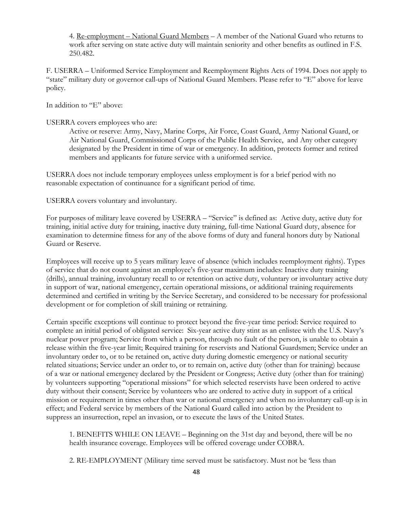4. Re-employment – National Guard Members – A member of the National Guard who returns to work after serving on state active duty will maintain seniority and other benefits as outlined in F.S. 250.482.

F. USERRA – Uniformed Service Employment and Reemployment Rights Acts of 1994. Does not apply to "state" military duty or governor call-ups of National Guard Members. Please refer to "E" above for leave policy.

In addition to "E" above:

## USERRA covers employees who are:

Active or reserve: Army, Navy, Marine Corps, Air Force, Coast Guard, Army National Guard, or Air National Guard, Commissioned Corps of the Public Health Service, and Any other category designated by the President in time of war or emergency. In addition, protects former and retired members and applicants for future service with a uniformed service.

USERRA does not include temporary employees unless employment is for a brief period with no reasonable expectation of continuance for a significant period of time.

USERRA covers voluntary and involuntary.

For purposes of military leave covered by USERRA – "Service" is defined as: Active duty, active duty for training, initial active duty for training, inactive duty training, full-time National Guard duty, absence for examination to determine fitness for any of the above forms of duty and funeral honors duty by National Guard or Reserve.

Employees will receive up to 5 years military leave of absence (which includes reemployment rights). Types of service that do not count against an employee's five-year maximum includes: Inactive duty training (drills), annual training, involuntary recall to or retention on active duty, voluntary or involuntary active duty in support of war, national emergency, certain operational missions, or additional training requirements determined and certified in writing by the Service Secretary, and considered to be necessary for professional development or for completion of skill training or retraining.

Certain specific exceptions will continue to protect beyond the five-year time period: Service required to complete an initial period of obligated service: Six-year active duty stint as an enlistee with the U.S. Navy's nuclear power program; Service from which a person, through no fault of the person, is unable to obtain a release within the five-year limit; Required training for reservists and National Guardsmen; Service under an involuntary order to, or to be retained on, active duty during domestic emergency or national security related situations; Service under an order to, or to remain on, active duty (other than for training) because of a war or national emergency declared by the President or Congress; Active duty (other than for training) by volunteers supporting "operational missions" for which selected reservists have been ordered to active duty without their consent; Service by volunteers who are ordered to active duty in support of a critical mission or requirement in times other than war or national emergency and when no involuntary call-up is in effect; and Federal service by members of the National Guard called into action by the President to suppress an insurrection, repel an invasion, or to execute the laws of the United States.

1. BENEFITS WHILE ON LEAVE – Beginning on the 31st day and beyond, there will be no health insurance coverage. Employees will be offered coverage under COBRA.

2. RE-EMPLOYMENT (Military time served must be satisfactory. Must not be 'less than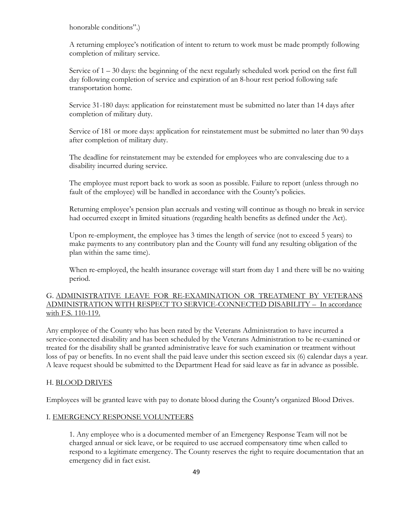honorable conditions".)

A returning employee's notification of intent to return to work must be made promptly following completion of military service.

Service of 1 – 30 days: the beginning of the next regularly scheduled work period on the first full day following completion of service and expiration of an 8-hour rest period following safe transportation home.

Service 31-180 days: application for reinstatement must be submitted no later than 14 days after completion of military duty.

Service of 181 or more days: application for reinstatement must be submitted no later than 90 days after completion of military duty.

The deadline for reinstatement may be extended for employees who are convalescing due to a disability incurred during service.

The employee must report back to work as soon as possible. Failure to report (unless through no fault of the employee) will be handled in accordance with the County's policies.

Returning employee's pension plan accruals and vesting will continue as though no break in service had occurred except in limited situations (regarding health benefits as defined under the Act).

Upon re-employment, the employee has 3 times the length of service (not to exceed 5 years) to make payments to any contributory plan and the County will fund any resulting obligation of the plan within the same time).

When re-employed, the health insurance coverage will start from day 1 and there will be no waiting period.

# G. ADMINISTRATIVE LEAVE FOR RE-EXAMINATION OR TREATMENT BY VETERANS ADMINISTRATION WITH RESPECT TO SERVICE-CONNECTED DISABILITY – In accordance with F.S. 110-119.

Any employee of the County who has been rated by the Veterans Administration to have incurred a service-connected disability and has been scheduled by the Veterans Administration to be re-examined or treated for the disability shall be granted administrative leave for such examination or treatment without loss of pay or benefits. In no event shall the paid leave under this section exceed six (6) calendar days a year. A leave request should be submitted to the Department Head for said leave as far in advance as possible.

## H. BLOOD DRIVES

Employees will be granted leave with pay to donate blood during the County's organized Blood Drives.

## I. EMERGENCY RESPONSE VOLUNTEERS

1. Any employee who is a documented member of an Emergency Response Team will not be charged annual or sick leave, or be required to use accrued compensatory time when called to respond to a legitimate emergency. The County reserves the right to require documentation that an emergency did in fact exist.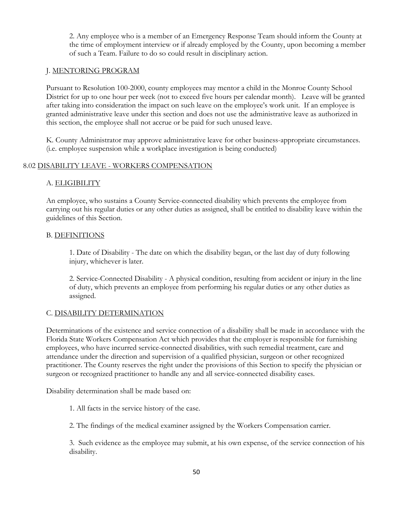2. Any employee who is a member of an Emergency Response Team should inform the County at the time of employment interview or if already employed by the County, upon becoming a member of such a Team. Failure to do so could result in disciplinary action.

# J. MENTORING PROGRAM

Pursuant to Resolution 100-2000, county employees may mentor a child in the Monroe County School District for up to one hour per week (not to exceed five hours per calendar month). Leave will be granted after taking into consideration the impact on such leave on the employee's work unit. If an employee is granted administrative leave under this section and does not use the administrative leave as authorized in this section, the employee shall not accrue or be paid for such unused leave.

K. County Administrator may approve administrative leave for other business-appropriate circumstances. (i.e. employee suspension while a workplace investigation is being conducted)

## 8.02 DISABILITY LEAVE - WORKERS COMPENSATION

# A. ELIGIBILITY

An employee, who sustains a County Service-connected disability which prevents the employee from carrying out his regular duties or any other duties as assigned, shall be entitled to disability leave within the guidelines of this Section.

## B. DEFINITIONS

1. Date of Disability - The date on which the disability began, or the last day of duty following injury, whichever is later.

2. Service-Connected Disability - A physical condition, resulting from accident or injury in the line of duty, which prevents an employee from performing his regular duties or any other duties as assigned.

## C. DISABILITY DETERMINATION

Determinations of the existence and service connection of a disability shall be made in accordance with the Florida State Workers Compensation Act which provides that the employer is responsible for furnishing employees, who have incurred service-connected disabilities, with such remedial treatment, care and attendance under the direction and supervision of a qualified physician, surgeon or other recognized practitioner. The County reserves the right under the provisions of this Section to specify the physician or surgeon or recognized practitioner to handle any and all service-connected disability cases.

Disability determination shall be made based on:

1. All facts in the service history of the case.

2. The findings of the medical examiner assigned by the Workers Compensation carrier.

3. Such evidence as the employee may submit, at his own expense, of the service connection of his disability.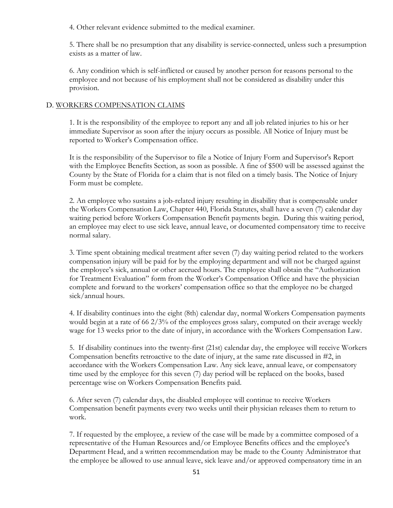4. Other relevant evidence submitted to the medical examiner.

5. There shall be no presumption that any disability is service-connected, unless such a presumption exists as a matter of law.

6. Any condition which is self-inflicted or caused by another person for reasons personal to the employee and not because of his employment shall not be considered as disability under this provision.

### D. WORKERS COMPENSATION CLAIMS

1. It is the responsibility of the employee to report any and all job related injuries to his or her immediate Supervisor as soon after the injury occurs as possible. All Notice of Injury must be reported to Worker's Compensation office.

It is the responsibility of the Supervisor to file a Notice of Injury Form and Supervisor's Report with the Employee Benefits Section, as soon as possible. A fine of \$500 will be assessed against the County by the State of Florida for a claim that is not filed on a timely basis. The Notice of Injury Form must be complete.

2. An employee who sustains a job-related injury resulting in disability that is compensable under the Workers Compensation Law, Chapter 440, Florida Statutes, shall have a seven (7) calendar day waiting period before Workers Compensation Benefit payments begin. During this waiting period, an employee may elect to use sick leave, annual leave, or documented compensatory time to receive normal salary.

3. Time spent obtaining medical treatment after seven (7) day waiting period related to the workers compensation injury will be paid for by the employing department and will not be charged against the employee's sick, annual or other accrued hours. The employee shall obtain the "Authorization for Treatment Evaluation" form from the Worker's Compensation Office and have the physician complete and forward to the workers' compensation office so that the employee no be charged sick/annual hours.

4. If disability continues into the eight (8th) calendar day, normal Workers Compensation payments would begin at a rate of 66 2/3% of the employees gross salary, computed on their average weekly wage for 13 weeks prior to the date of injury, in accordance with the Workers Compensation Law.

5. If disability continues into the twenty-first (21st) calendar day, the employee will receive Workers Compensation benefits retroactive to the date of injury, at the same rate discussed in #2, in accordance with the Workers Compensation Law. Any sick leave, annual leave, or compensatory time used by the employee for this seven (7) day period will be replaced on the books, based percentage wise on Workers Compensation Benefits paid.

6. After seven (7) calendar days, the disabled employee will continue to receive Workers Compensation benefit payments every two weeks until their physician releases them to return to work.

7. If requested by the employee, a review of the case will be made by a committee composed of a representative of the Human Resources and/or Employee Benefits offices and the employee's Department Head, and a written recommendation may be made to the County Administrator that the employee be allowed to use annual leave, sick leave and/or approved compensatory time in an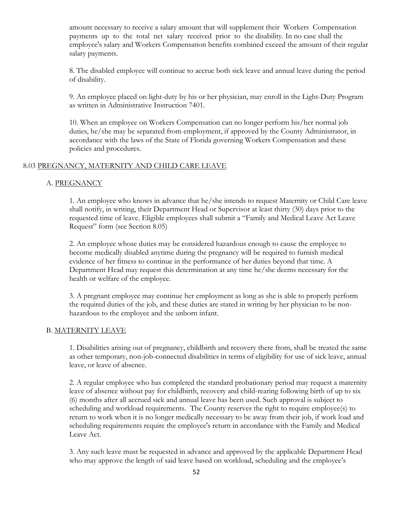amount necessary to receive a salary amount that will supplement their Workers Compensation payments up to the total net salary received prior to the disability. In no case shall the employee's salary and Workers Compensation benefits combined exceed the amount of their regular salary payments.

8. The disabled employee will continue to accrue both sick leave and annual leave during the period of disability.

9. An employee placed on light-duty by his or her physician, may enroll in the Light-Duty Program as written in Administrative Instruction 7401.

10. When an employee on Workers Compensation can no longer perform his/her normal job duties, he/she may be separated from employment, if approved by the County Administrator, in accordance with the laws of the State of Florida governing Workers Compensation and these policies and procedures.

## 8.03 PREGNANCY, MATERNITY AND CHILD CARE LEAVE

### A. PREGNANCY

1. An employee who knows in advance that he/she intends to request Maternity or Child Care leave shall notify, in writing, their Department Head or Supervisor at least thirty (30) days prior to the requested time of leave. Eligible employees shall submit a "Family and Medical Leave Act Leave Request" form (see Section 8.05)

2. An employee whose duties may be considered hazardous enough to cause the employee to become medically disabled anytime during the pregnancy will be required to furnish medical evidence of her fitness to continue in the performance of her duties beyond that time. A Department Head may request this determination at any time he/she deems necessary for the health or welfare of the employee.

3. A pregnant employee may continue her employment as long as she is able to properly perform the required duties of the job, and these duties are stated in writing by her physician to be nonhazardous to the employee and the unborn infant.

#### B. MATERNITY LEAVE

1. Disabilities arising out of pregnancy, childbirth and recovery there from, shall be treated the same as other temporary, non-job-connected disabilities in terms of eligibility for use of sick leave, annual leave, or leave of absence.

2. A regular employee who has completed the standard probationary period may request a maternity leave of absence without pay for childbirth, recovery and child-rearing following birth of up to six (6) months after all accrued sick and annual leave has been used. Such approval is subject to scheduling and workload requirements. The County reserves the right to require employee(s) to return to work when it is no longer medically necessary to be away from their job, if work load and scheduling requirements require the employee's return in accordance with the Family and Medical Leave Act.

3. Any such leave must be requested in advance and approved by the applicable Department Head who may approve the length of said leave based on workload, scheduling and the employee's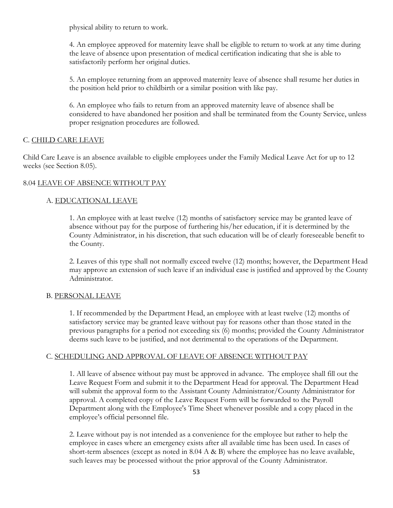physical ability to return to work.

4. An employee approved for maternity leave shall be eligible to return to work at any time during the leave of absence upon presentation of medical certification indicating that she is able to satisfactorily perform her original duties.

5. An employee returning from an approved maternity leave of absence shall resume her duties in the position held prior to childbirth or a similar position with like pay.

6. An employee who fails to return from an approved maternity leave of absence shall be considered to have abandoned her position and shall be terminated from the County Service, unless proper resignation procedures are followed.

## C. CHILD CARE LEAVE

Child Care Leave is an absence available to eligible employees under the Family Medical Leave Act for up to 12 weeks (see Section 8.05).

# 8.04 LEAVE OF ABSENCE WITHOUT PAY

# A. EDUCATIONAL LEAVE

1. An employee with at least twelve (12) months of satisfactory service may be granted leave of absence without pay for the purpose of furthering his/her education, if it is determined by the County Administrator, in his discretion, that such education will be of clearly foreseeable benefit to the County.

2. Leaves of this type shall not normally exceed twelve (12) months; however, the Department Head may approve an extension of such leave if an individual case is justified and approved by the County Administrator.

## B. PERSONAL LEAVE

1. If recommended by the Department Head, an employee with at least twelve (12) months of satisfactory service may be granted leave without pay for reasons other than those stated in the previous paragraphs for a period not exceeding six (6) months; provided the County Administrator deems such leave to be justified, and not detrimental to the operations of the Department.

## C. SCHEDULING AND APPROVAL OF LEAVE OF ABSENCE WITHOUT PAY

1. All leave of absence without pay must be approved in advance. The employee shall fill out the Leave Request Form and submit it to the Department Head for approval. The Department Head will submit the approval form to the Assistant County Administrator/County Administrator for approval. A completed copy of the Leave Request Form will be forwarded to the Payroll Department along with the Employee's Time Sheet whenever possible and a copy placed in the employee's official personnel file.

2. Leave without pay is not intended as a convenience for the employee but rather to help the employee in cases where an emergency exists after all available time has been used. In cases of short-term absences (except as noted in 8.04 A & B) where the employee has no leave available, such leaves may be processed without the prior approval of the County Administrator.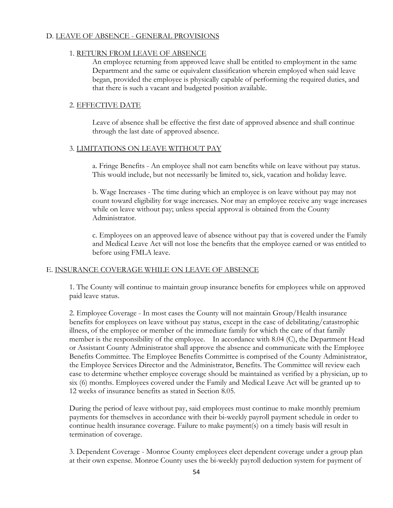## D. LEAVE OF ABSENCE - GENERAL PROVISIONS

## 1. RETURN FROM LEAVE OF ABSENCE

An employee returning from approved leave shall be entitled to employment in the same Department and the same or equivalent classification wherein employed when said leave began, provided the employee is physically capable of performing the required duties, and that there is such a vacant and budgeted position available.

## 2. EFFECTIVE DATE

Leave of absence shall be effective the first date of approved absence and shall continue through the last date of approved absence.

#### 3. LIMITATIONS ON LEAVE WITHOUT PAY

a. Fringe Benefits - An employee shall not earn benefits while on leave without pay status. This would include, but not necessarily be limited to, sick, vacation and holiday leave.

b. Wage Increases - The time during which an employee is on leave without pay may not count toward eligibility for wage increases. Nor may an employee receive any wage increases while on leave without pay; unless special approval is obtained from the County Administrator.

c. Employees on an approved leave of absence without pay that is covered under the Family and Medical Leave Act will not lose the benefits that the employee earned or was entitled to before using FMLA leave.

## E. INSURANCE COVERAGE WHILE ON LEAVE OF ABSENCE

1. The County will continue to maintain group insurance benefits for employees while on approved paid leave status.

2. Employee Coverage - In most cases the County will not maintain Group/Health insurance benefits for employees on leave without pay status, except in the case of debilitating/catastrophic illness, of the employee or member of the immediate family for which the care of that family member is the responsibility of the employee. In accordance with 8.04 (C), the Department Head or Assistant County Administrator shall approve the absence and communicate with the Employee Benefits Committee. The Employee Benefits Committee is comprised of the County Administrator, the Employee Services Director and the Administrator, Benefits. The Committee will review each case to determine whether employee coverage should be maintained as verified by a physician, up to six (6) months. Employees covered under the Family and Medical Leave Act will be granted up to 12 weeks of insurance benefits as stated in Section 8.05.

During the period of leave without pay, said employees must continue to make monthly premium payments for themselves in accordance with their bi-weekly payroll payment schedule in order to continue health insurance coverage. Failure to make payment(s) on a timely basis will result in termination of coverage.

3. Dependent Coverage - Monroe County employees elect dependent coverage under a group plan at their own expense. Monroe County uses the bi-weekly payroll deduction system for payment of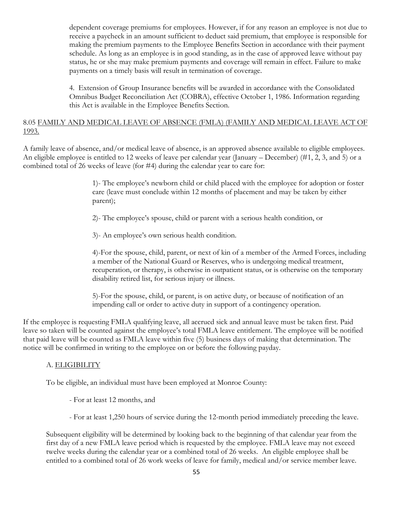dependent coverage premiums for employees. However, if for any reason an employee is not due to receive a paycheck in an amount sufficient to deduct said premium, that employee is responsible for making the premium payments to the Employee Benefits Section in accordance with their payment schedule. As long as an employee is in good standing, as in the case of approved leave without pay status, he or she may make premium payments and coverage will remain in effect. Failure to make payments on a timely basis will result in termination of coverage.

4. Extension of Group Insurance benefits will be awarded in accordance with the Consolidated Omnibus Budget Reconciliation Act (COBRA), effective October 1, 1986. Information regarding this Act is available in the Employee Benefits Section.

## 8.05 FAMILY AND MEDICAL LEAVE OF ABSENCE (FMLA) (FAMILY AND MEDICAL LEAVE ACT OF 1993.

A family leave of absence, and/or medical leave of absence, is an approved absence available to eligible employees. An eligible employee is entitled to 12 weeks of leave per calendar year (January – December) (#1, 2, 3, and 5) or a combined total of 26 weeks of leave (for #4) during the calendar year to care for:

> 1)- The employee's newborn child or child placed with the employee for adoption or foster care (leave must conclude within 12 months of placement and may be taken by either parent);

2)- The employee's spouse, child or parent with a serious health condition, or

3)- An employee's own serious health condition.

4)-For the spouse, child, parent, or next of kin of a member of the Armed Forces, including a member of the National Guard or Reserves, who is undergoing medical treatment, recuperation, or therapy, is otherwise in outpatient status, or is otherwise on the temporary disability retired list, for serious injury or illness.

5)-For the spouse, child, or parent, is on active duty, or because of notification of an impending call or order to active duty in support of a contingency operation.

If the employee is requesting FMLA qualifying leave, all accrued sick and annual leave must be taken first. Paid leave so taken will be counted against the employee's total FMLA leave entitlement. The employee will be notified that paid leave will be counted as FMLA leave within five (5) business days of making that determination. The notice will be confirmed in writing to the employee on or before the following payday.

# A. ELIGIBILITY

To be eligible, an individual must have been employed at Monroe County:

- For at least 12 months, and
- For at least 1,250 hours of service during the 12-month period immediately preceding the leave.

Subsequent eligibility will be determined by looking back to the beginning of that calendar year from the first day of a new FMLA leave period which is requested by the employee. FMLA leave may not exceed twelve weeks during the calendar year or a combined total of 26 weeks. An eligible employee shall be entitled to a combined total of 26 work weeks of leave for family, medical and/or service member leave.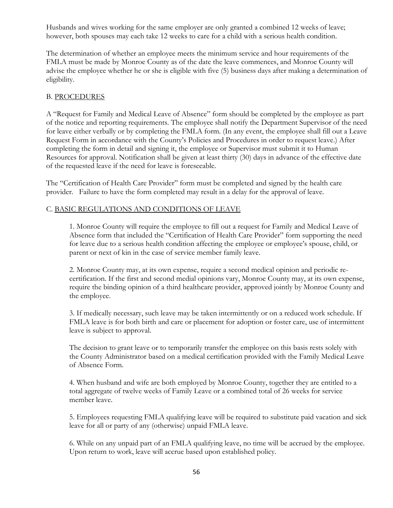Husbands and wives working for the same employer are only granted a combined 12 weeks of leave; however, both spouses may each take 12 weeks to care for a child with a serious health condition.

The determination of whether an employee meets the minimum service and hour requirements of the FMLA must be made by Monroe County as of the date the leave commences, and Monroe County will advise the employee whether he or she is eligible with five (5) business days after making a determination of eligibility.

# B. PROCEDURES

A "Request for Family and Medical Leave of Absence" form should be completed by the employee as part of the notice and reporting requirements. The employee shall notify the Department Supervisor of the need for leave either verbally or by completing the FMLA form. (In any event, the employee shall fill out a Leave Request Form in accordance with the County's Policies and Procedures in order to request leave.) After completing the form in detail and signing it, the employee or Supervisor must submit it to Human Resources for approval. Notification shall be given at least thirty (30) days in advance of the effective date of the requested leave if the need for leave is foreseeable.

The "Certification of Health Care Provider" form must be completed and signed by the health care provider. Failure to have the form completed may result in a delay for the approval of leave.

# C. BASIC REGULATIONS AND CONDITIONS OF LEAVE

1. Monroe County will require the employee to fill out a request for Family and Medical Leave of Absence form that included the "Certification of Health Care Provider" form supporting the need for leave due to a serious health condition affecting the employee or employee's spouse, child, or parent or next of kin in the case of service member family leave.

2. Monroe County may, at its own expense, require a second medical opinion and periodic recertification. If the first and second medial opinions vary, Monroe County may, at its own expense, require the binding opinion of a third healthcare provider, approved jointly by Monroe County and the employee.

3. If medically necessary, such leave may be taken intermittently or on a reduced work schedule. If FMLA leave is for both birth and care or placement for adoption or foster care, use of intermittent leave is subject to approval.

The decision to grant leave or to temporarily transfer the employee on this basis rests solely with the County Administrator based on a medical certification provided with the Family Medical Leave of Absence Form.

4. When husband and wife are both employed by Monroe County, together they are entitled to a total aggregate of twelve weeks of Family Leave or a combined total of 26 weeks for service member leave.

5. Employees requesting FMLA qualifying leave will be required to substitute paid vacation and sick leave for all or party of any (otherwise) unpaid FMLA leave.

6. While on any unpaid part of an FMLA qualifying leave, no time will be accrued by the employee. Upon return to work, leave will accrue based upon established policy.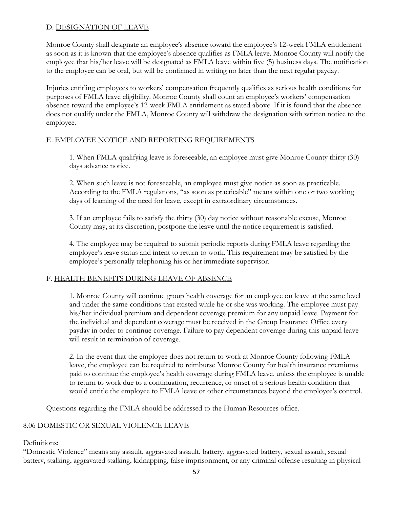# D. DESIGNATION OF LEAVE

Monroe County shall designate an employee's absence toward the employee's 12-week FMLA entitlement as soon as it is known that the employee's absence qualifies as FMLA leave. Monroe County will notify the employee that his/her leave will be designated as FMLA leave within five (5) business days. The notification to the employee can be oral, but will be confirmed in writing no later than the next regular payday.

Injuries entitling employees to workers' compensation frequently qualifies as serious health conditions for purposes of FMLA leave eligibility. Monroe County shall count an employee's workers' compensation absence toward the employee's 12-week FMLA entitlement as stated above. If it is found that the absence does not qualify under the FMLA, Monroe County will withdraw the designation with written notice to the employee.

# E. EMPLOYEE NOTICE AND REPORTING REQUIREMENTS

1. When FMLA qualifying leave is foreseeable, an employee must give Monroe County thirty (30) days advance notice.

2. When such leave is not foreseeable, an employee must give notice as soon as practicable. According to the FMLA regulations, "as soon as practicable" means within one or two working days of learning of the need for leave, except in extraordinary circumstances.

3. If an employee fails to satisfy the thirty (30) day notice without reasonable excuse, Monroe County may, at its discretion, postpone the leave until the notice requirement is satisfied.

4. The employee may be required to submit periodic reports during FMLA leave regarding the employee's leave status and intent to return to work. This requirement may be satisfied by the employee's personally telephoning his or her immediate supervisor.

# F. HEALTH BENEFITS DURING LEAVE OF ABSENCE

1. Monroe County will continue group health coverage for an employee on leave at the same level and under the same conditions that existed while he or she was working. The employee must pay his/her individual premium and dependent coverage premium for any unpaid leave. Payment for the individual and dependent coverage must be received in the Group Insurance Office every payday in order to continue coverage. Failure to pay dependent coverage during this unpaid leave will result in termination of coverage.

2. In the event that the employee does not return to work at Monroe County following FMLA leave, the employee can be required to reimburse Monroe County for health insurance premiums paid to continue the employee's health coverage during FMLA leave, unless the employee is unable to return to work due to a continuation, recurrence, or onset of a serious health condition that would entitle the employee to FMLA leave or other circumstances beyond the employee's control.

Questions regarding the FMLA should be addressed to the Human Resources office.

# 8.06 DOMESTIC OR SEXUAL VIOLENCE LEAVE

Definitions:

"Domestic Violence" means any assault, aggravated assault, battery, aggravated battery, sexual assault, sexual battery, stalking, aggravated stalking, kidnapping, false imprisonment, or any criminal offense resulting in physical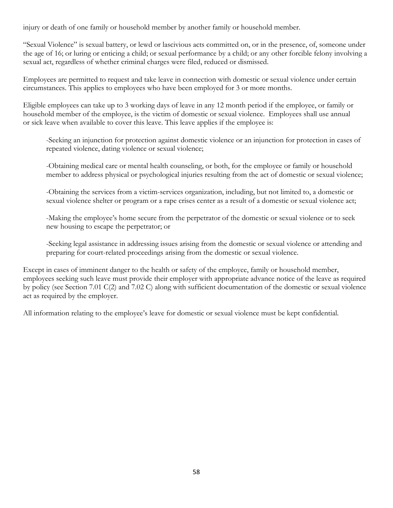injury or death of one family or household member by another family or household member.

"Sexual Violence" is sexual battery, or lewd or lascivious acts committed on, or in the presence, of, someone under the age of 16; or luring or enticing a child; or sexual performance by a child; or any other forcible felony involving a sexual act, regardless of whether criminal charges were filed, reduced or dismissed.

Employees are permitted to request and take leave in connection with domestic or sexual violence under certain circumstances. This applies to employees who have been employed for 3 or more months.

Eligible employees can take up to 3 working days of leave in any 12 month period if the employee, or family or household member of the employee, is the victim of domestic or sexual violence. Employees shall use annual or sick leave when available to cover this leave. This leave applies if the employee is:

-Seeking an injunction for protection against domestic violence or an injunction for protection in cases of repeated violence, dating violence or sexual violence;

-Obtaining medical care or mental health counseling, or both, for the employee or family or household member to address physical or psychological injuries resulting from the act of domestic or sexual violence;

-Obtaining the services from a victim-services organization, including, but not limited to, a domestic or sexual violence shelter or program or a rape crises center as a result of a domestic or sexual violence act;

-Making the employee's home secure from the perpetrator of the domestic or sexual violence or to seek new housing to escape the perpetrator; or

-Seeking legal assistance in addressing issues arising from the domestic or sexual violence or attending and preparing for court-related proceedings arising from the domestic or sexual violence.

Except in cases of imminent danger to the health or safety of the employee, family or household member, employees seeking such leave must provide their employer with appropriate advance notice of the leave as required by policy (see Section 7.01 C(2) and 7.02 C) along with sufficient documentation of the domestic or sexual violence act as required by the employer.

All information relating to the employee's leave for domestic or sexual violence must be kept confidential.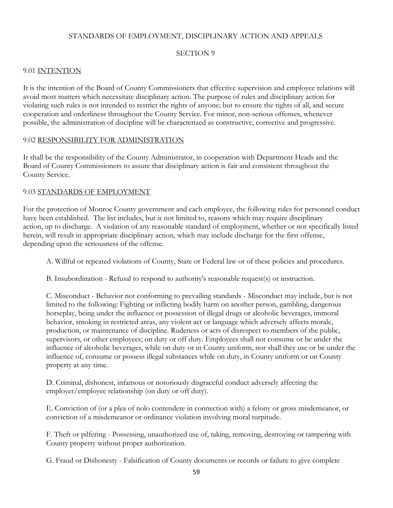# STANDARDS OF EMPLOYMENT, DISCIPLINARY ACTION AND APPEALS

## SECTION 9

## 9.01 INTENTION

It is the intention of the Board of County Commissioners that effective supervision and employee relations will avoid most matters which necessitate disciplinary action. The purpose of rules and disciplinary action for violating such rules is not intended to restrict the rights of anyone; but to ensure the rights of all, and secure cooperation and orderliness throughout the County Service. For minor, non-serious offenses, whenever possible, the administration of discipline will be characterized as constructive, corrective and progressive.

### 9.02 RESPONSIBILITY FOR ADMINISTRATION

It shall be the responsibility of the County Administrator, in cooperation with Department Heads and the Board of County Commissioners to assure that disciplinary action is fair and consistent throughout the County Service.

### 9.03 STANDARDS OF EMPLOYMENT

For the protection of Monroe County government and each employee, the following rules for personnel conduct have been established. The list includes, but is not limited to, reasons which may require disciplinary action, up to discharge. A violation of any reasonable standard of employment, whether or not specifically listed herein, will result in appropriate disciplinary action, which may include discharge for the first offense, depending upon the seriousness of the offense.

A. Willful or repeated violations of County, State or Federal law or of these policies and procedures.

B. Insubordination - Refusal to respond to authority's reasonable request(s) or instruction.

C. Misconduct - Behavior not conforming to prevailing standards - Misconduct may include, but is not limited to the following: Fighting or inflicting bodily harm on another person, gambling, dangerous horseplay, being under the influence or possession of illegal drugs or alcoholic beverages, immoral behavior, smoking in restricted areas, any violent act or language which adversely affects morale, production, or maintenance of discipline. Rudeness or acts of disrespect to members of the public, supervisors, or other employees; on duty or off duty. Employees shall not consume or be under the influence of alcoholic beverages, while on duty or in County uniform, nor shall they use or be under the influence of, consume or possess illegal substances while on duty, in County uniform or on County property at any time.

D. Criminal, dishonest, infamous or notoriously disgraceful conduct adversely affecting the employer/employee relationship (on duty or off duty).

E. Conviction of (or a plea of nolo contendere in connection with) a felony or gross misdemeanor, or conviction of a misdemeanor or ordinance violation involving moral turpitude.

F. Theft or pilfering - Possessing, unauthorized use of, taking, removing, destroying or tampering with County property without proper authorization.

G. Fraud or Dishonesty - Falsification of County documents or records or failure to give complete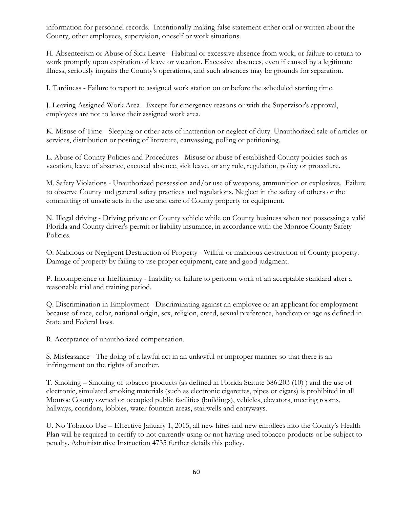information for personnel records. Intentionally making false statement either oral or written about the County, other employees, supervision, oneself or work situations.

H. Absenteeism or Abuse of Sick Leave - Habitual or excessive absence from work, or failure to return to work promptly upon expiration of leave or vacation. Excessive absences, even if caused by a legitimate illness, seriously impairs the County's operations, and such absences may be grounds for separation.

I. Tardiness - Failure to report to assigned work station on or before the scheduled starting time.

J. Leaving Assigned Work Area - Except for emergency reasons or with the Supervisor's approval, employees are not to leave their assigned work area.

K. Misuse of Time - Sleeping or other acts of inattention or neglect of duty. Unauthorized sale of articles or services, distribution or posting of literature, canvassing, polling or petitioning.

L. Abuse of County Policies and Procedures - Misuse or abuse of established County policies such as vacation, leave of absence, excused absence, sick leave, or any rule, regulation, policy or procedure.

M. Safety Violations - Unauthorized possession and/or use of weapons, ammunition or explosives. Failure to observe County and general safety practices and regulations. Neglect in the safety of others or the committing of unsafe acts in the use and care of County property or equipment.

N. Illegal driving - Driving private or County vehicle while on County business when not possessing a valid Florida and County driver's permit or liability insurance, in accordance with the Monroe County Safety Policies.

O. Malicious or Negligent Destruction of Property - Willful or malicious destruction of County property. Damage of property by failing to use proper equipment, care and good judgment.

P. Incompetence or Inefficiency - Inability or failure to perform work of an acceptable standard after a reasonable trial and training period.

Q. Discrimination in Employment - Discriminating against an employee or an applicant for employment because of race, color, national origin, sex, religion, creed, sexual preference, handicap or age as defined in State and Federal laws.

R. Acceptance of unauthorized compensation.

S. Misfeasance - The doing of a lawful act in an unlawful or improper manner so that there is an infringement on the rights of another.

T. Smoking – Smoking of tobacco products (as defined in Florida Statute 386.203 (10) ) and the use of electronic, simulated smoking materials (such as electronic cigarettes, pipes or cigars) is prohibited in all Monroe County owned or occupied public facilities (buildings), vehicles, elevators, meeting rooms, hallways, corridors, lobbies, water fountain areas, stairwells and entryways.

U. No Tobacco Use – Effective January 1, 2015, all new hires and new enrollees into the County's Health Plan will be required to certify to not currently using or not having used tobacco products or be subject to penalty. Administrative Instruction 4735 further details this policy.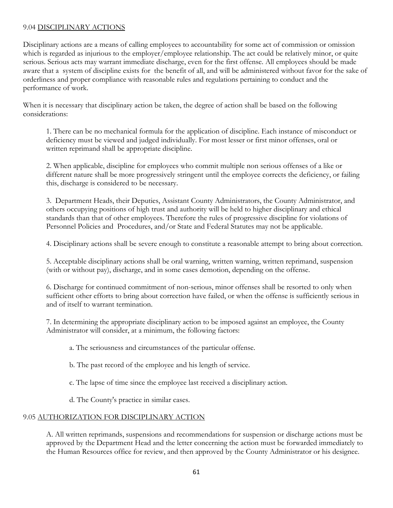## 9.04 DISCIPLINARY ACTIONS

Disciplinary actions are a means of calling employees to accountability for some act of commission or omission which is regarded as injurious to the employer/employee relationship. The act could be relatively minor, or quite serious. Serious acts may warrant immediate discharge, even for the first offense. All employees should be made aware that a system of discipline exists for the benefit of all, and will be administered without favor for the sake of orderliness and proper compliance with reasonable rules and regulations pertaining to conduct and the performance of work.

When it is necessary that disciplinary action be taken, the degree of action shall be based on the following considerations:

1. There can be no mechanical formula for the application of discipline. Each instance of misconduct or deficiency must be viewed and judged individually. For most lesser or first minor offenses, oral or written reprimand shall be appropriate discipline.

2. When applicable, discipline for employees who commit multiple non serious offenses of a like or different nature shall be more progressively stringent until the employee corrects the deficiency, or failing this, discharge is considered to be necessary.

3. Department Heads, their Deputies, Assistant County Administrators, the County Administrator, and others occupying positions of high trust and authority will be held to higher disciplinary and ethical standards than that of other employees. Therefore the rules of progressive discipline for violations of Personnel Policies and Procedures, and/or State and Federal Statutes may not be applicable.

4. Disciplinary actions shall be severe enough to constitute a reasonable attempt to bring about correction.

5. Acceptable disciplinary actions shall be oral warning, written warning, written reprimand, suspension (with or without pay), discharge, and in some cases demotion, depending on the offense.

6. Discharge for continued commitment of non-serious, minor offenses shall be resorted to only when sufficient other efforts to bring about correction have failed, or when the offense is sufficiently serious in and of itself to warrant termination.

7. In determining the appropriate disciplinary action to be imposed against an employee, the County Administrator will consider, at a minimum, the following factors:

a. The seriousness and circumstances of the particular offense.

b. The past record of the employee and his length of service.

c. The lapse of time since the employee last received a disciplinary action.

d. The County's practice in similar cases.

## 9.05 AUTHORIZATION FOR DISCIPLINARY ACTION

A. All written reprimands, suspensions and recommendations for suspension or discharge actions must be approved by the Department Head and the letter concerning the action must be forwarded immediately to the Human Resources office for review, and then approved by the County Administrator or his designee.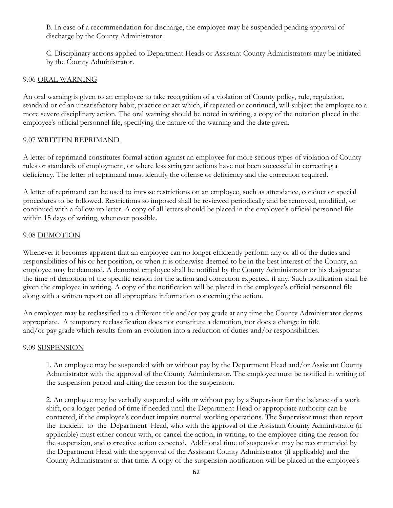B. In case of a recommendation for discharge, the employee may be suspended pending approval of discharge by the County Administrator.

C. Disciplinary actions applied to Department Heads or Assistant County Administrators may be initiated by the County Administrator.

# 9.06 ORAL WARNING

An oral warning is given to an employee to take recognition of a violation of County policy, rule, regulation, standard or of an unsatisfactory habit, practice or act which, if repeated or continued, will subject the employee to a more severe disciplinary action. The oral warning should be noted in writing, a copy of the notation placed in the employee's official personnel file, specifying the nature of the warning and the date given.

## 9.07 WRITTEN REPRIMAND

A letter of reprimand constitutes formal action against an employee for more serious types of violation of County rules or standards of employment, or where less stringent actions have not been successful in correcting a deficiency. The letter of reprimand must identify the offense or deficiency and the correction required.

A letter of reprimand can be used to impose restrictions on an employee, such as attendance, conduct or special procedures to be followed. Restrictions so imposed shall be reviewed periodically and be removed, modified, or continued with a follow-up letter. A copy of all letters should be placed in the employee's official personnel file within 15 days of writing, whenever possible.

### 9.08 DEMOTION

Whenever it becomes apparent that an employee can no longer efficiently perform any or all of the duties and responsibilities of his or her position, or when it is otherwise deemed to be in the best interest of the County, an employee may be demoted. A demoted employee shall be notified by the County Administrator or his designee at the time of demotion of the specific reason for the action and correction expected, if any. Such notification shall be given the employee in writing. A copy of the notification will be placed in the employee's official personnel file along with a written report on all appropriate information concerning the action.

An employee may be reclassified to a different title and/or pay grade at any time the County Administrator deems appropriate. A temporary reclassification does not constitute a demotion, nor does a change in title and/or pay grade which results from an evolution into a reduction of duties and/or responsibilities.

#### 9.09 SUSPENSION

1. An employee may be suspended with or without pay by the Department Head and/or Assistant County Administrator with the approval of the County Administrator. The employee must be notified in writing of the suspension period and citing the reason for the suspension.

2. An employee may be verbally suspended with or without pay by a Supervisor for the balance of a work shift, or a longer period of time if needed until the Department Head or appropriate authority can be contacted, if the employee's conduct impairs normal working operations. The Supervisor must then report the incident to the Department Head, who with the approval of the Assistant County Administrator (if applicable) must either concur with, or cancel the action, in writing, to the employee citing the reason for the suspension, and corrective action expected. Additional time of suspension may be recommended by the Department Head with the approval of the Assistant County Administrator (if applicable) and the County Administrator at that time. A copy of the suspension notification will be placed in the employee's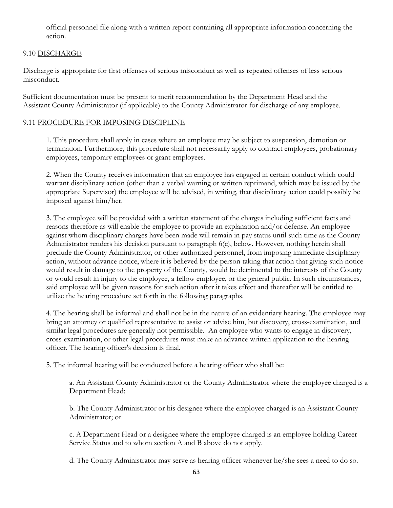official personnel file along with a written report containing all appropriate information concerning the action.

# 9.10 DISCHARGE

Discharge is appropriate for first offenses of serious misconduct as well as repeated offenses of less serious misconduct.

Sufficient documentation must be present to merit recommendation by the Department Head and the Assistant County Administrator (if applicable) to the County Administrator for discharge of any employee.

# 9.11 PROCEDURE FOR IMPOSING DISCIPLINE

1. This procedure shall apply in cases where an employee may be subject to suspension, demotion or termination. Furthermore, this procedure shall not necessarily apply to contract employees, probationary employees, temporary employees or grant employees.

2. When the County receives information that an employee has engaged in certain conduct which could warrant disciplinary action (other than a verbal warning or written reprimand, which may be issued by the appropriate Supervisor) the employee will be advised, in writing, that disciplinary action could possibly be imposed against him/her.

3. The employee will be provided with a written statement of the charges including sufficient facts and reasons therefore as will enable the employee to provide an explanation and/or defense. An employee against whom disciplinary charges have been made will remain in pay status until such time as the County Administrator renders his decision pursuant to paragraph 6(e), below. However, nothing herein shall preclude the County Administrator, or other authorized personnel, from imposing immediate disciplinary action, without advance notice, where it is believed by the person taking that action that giving such notice would result in damage to the property of the County, would be detrimental to the interests of the County or would result in injury to the employee, a fellow employee, or the general public. In such circumstances, said employee will be given reasons for such action after it takes effect and thereafter will be entitled to utilize the hearing procedure set forth in the following paragraphs.

4. The hearing shall be informal and shall not be in the nature of an evidentiary hearing. The employee may bring an attorney or qualified representative to assist or advise him, but discovery, cross-examination, and similar legal procedures are generally not permissible. An employee who wants to engage in discovery, cross-examination, or other legal procedures must make an advance written application to the hearing officer. The hearing officer's decision is final.

5. The informal hearing will be conducted before a hearing officer who shall be:

a. An Assistant County Administrator or the County Administrator where the employee charged is a Department Head;

b. The County Administrator or his designee where the employee charged is an Assistant County Administrator; or

c. A Department Head or a designee where the employee charged is an employee holding Career Service Status and to whom section A and B above do not apply.

d. The County Administrator may serve as hearing officer whenever he/she sees a need to do so.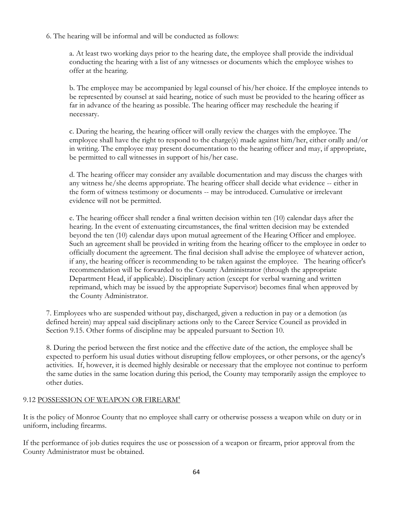## 6. The hearing will be informal and will be conducted as follows:

a. At least two working days prior to the hearing date, the employee shall provide the individual conducting the hearing with a list of any witnesses or documents which the employee wishes to offer at the hearing.

b. The employee may be accompanied by legal counsel of his/her choice. If the employee intends to be represented by counsel at said hearing, notice of such must be provided to the hearing officer as far in advance of the hearing as possible. The hearing officer may reschedule the hearing if necessary.

c. During the hearing, the hearing officer will orally review the charges with the employee. The employee shall have the right to respond to the charge(s) made against him/her, either orally and/or in writing. The employee may present documentation to the hearing officer and may, if appropriate, be permitted to call witnesses in support of his/her case.

d. The hearing officer may consider any available documentation and may discuss the charges with any witness he/she deems appropriate. The hearing officer shall decide what evidence -- either in the form of witness testimony or documents -- may be introduced. Cumulative or irrelevant evidence will not be permitted.

e. The hearing officer shall render a final written decision within ten (10) calendar days after the hearing. In the event of extenuating circumstances, the final written decision may be extended beyond the ten (10) calendar days upon mutual agreement of the Hearing Officer and employee. Such an agreement shall be provided in writing from the hearing officer to the employee in order to officially document the agreement. The final decision shall advise the employee of whatever action, if any, the hearing officer is recommending to be taken against the employee. The hearing officer's recommendation will be forwarded to the County Administrator (through the appropriate Department Head, if applicable). Disciplinary action (except for verbal warning and written reprimand, which may be issued by the appropriate Supervisor) becomes final when approved by the County Administrator.

7. Employees who are suspended without pay, discharged, given a reduction in pay or a demotion (as defined herein) may appeal said disciplinary actions only to the Career Service Council as provided in Section 9.15. Other forms of discipline may be appealed pursuant to Section 10.

8. During the period between the first notice and the effective date of the action, the employee shall be expected to perform his usual duties without disrupting fellow employees, or other persons, or the agency's activities. If, however, it is deemed highly desirable or necessary that the employee not continue to perform the same duties in the same location during this period, the County may temporarily assign the employee to other duties.

## 9.12 POSSESSION OF WEAPON OR FIREARM4

It is the policy of Monroe County that no employee shall carry or otherwise possess a weapon while on duty or in uniform, including firearms.

If the performance of job duties requires the use or possession of a weapon or firearm, prior approval from the County Administrator must be obtained.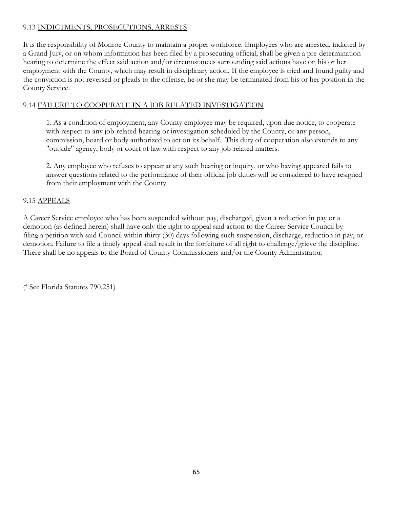# 9.13 INDICTMENTS, PROSECUTIONS, ARRESTS

It is the responsibility of Monroe County to maintain a proper workforce. Employees who are arrested, indicted by a Grand Jury, or on whom information has been filed by a prosecuting official, shall be given a pre-determination hearing to determine the effect said action and/or circumstances surrounding said actions have on his or her employment with the County, which may result in disciplinary action. If the employee is tried and found guilty and the conviction is not reversed or pleads to the offense, he or she may be terminated from his or her position in the County Service.

# 9.14 FAILURE TO COOPERATE IN A JOB-RELATED INVESTIGATION

1. As a condition of employment, any County employee may be required, upon due notice, to cooperate with respect to any job-related hearing or investigation scheduled by the County, or any person, commission, board or body authorized to act on its behalf. This duty of cooperation also extends to any "outside" agency, body or court of law with respect to any job-related matters.

2. Any employee who refuses to appear at any such hearing or inquiry, or who having appeared fails to answer questions related to the performance of their official job duties will be considered to have resigned from their employment with the County.

# 9.15 APPEALS

A Career Service employee who has been suspended without pay, discharged, given a reduction in pay or a demotion (as defined herein) shall have only the right to appeal said action to the Career Service Council by filing a petition with said Council within thirty (30) days following such suspension, discharge, reduction in pay, or demotion. Failure to file a timely appeal shall result in the forfeiture of all right to challenge/grieve the discipline. There shall be no appeals to the Board of County Commissioners and/or the County Administrator.

( 4 See Florida Statutes 790.251)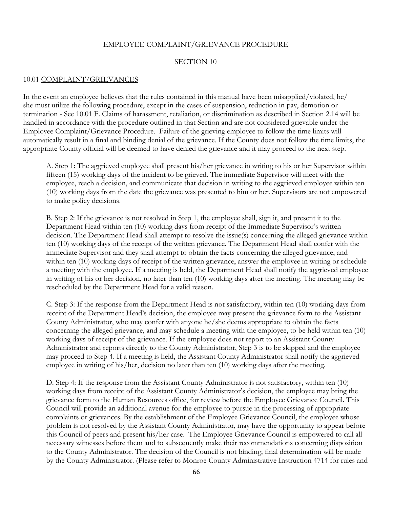#### EMPLOYEE COMPLAINT/GRIEVANCE PROCEDURE

#### SECTION 10

#### 10.01 COMPLAINT/GRIEVANCES

In the event an employee believes that the rules contained in this manual have been misapplied/violated, he/ she must utilize the following procedure, except in the cases of suspension, reduction in pay, demotion or termination - See 10.01 F. Claims of harassment, retaliation, or discrimination as described in Section 2.14 will be handled in accordance with the procedure outlined in that Section and are not considered grievable under the Employee Complaint/Grievance Procedure. Failure of the grieving employee to follow the time limits will automatically result in a final and binding denial of the grievance. If the County does not follow the time limits, the appropriate County official will be deemed to have denied the grievance and it may proceed to the next step.

A. Step 1: The aggrieved employee shall present his/her grievance in writing to his or her Supervisor within fifteen (15) working days of the incident to be grieved. The immediate Supervisor will meet with the employee, reach a decision, and communicate that decision in writing to the aggrieved employee within ten (10) working days from the date the grievance was presented to him or her. Supervisors are not empowered to make policy decisions.

B. Step 2: If the grievance is not resolved in Step 1, the employee shall, sign it, and present it to the Department Head within ten (10) working days from receipt of the Immediate Supervisor's written decision. The Department Head shall attempt to resolve the issue(s) concerning the alleged grievance within ten (10) working days of the receipt of the written grievance. The Department Head shall confer with the immediate Supervisor and they shall attempt to obtain the facts concerning the alleged grievance, and within ten (10) working days of receipt of the written grievance, answer the employee in writing or schedule a meeting with the employee. If a meeting is held, the Department Head shall notify the aggrieved employee in writing of his or her decision, no later than ten (10) working days after the meeting. The meeting may be rescheduled by the Department Head for a valid reason.

C. Step 3: If the response from the Department Head is not satisfactory, within ten (10) working days from receipt of the Department Head's decision, the employee may present the grievance form to the Assistant County Administrator, who may confer with anyone he/she deems appropriate to obtain the facts concerning the alleged grievance, and may schedule a meeting with the employee, to be held within ten (10) working days of receipt of the grievance. If the employee does not report to an Assistant County Administrator and reports directly to the County Administrator, Step 3 is to be skipped and the employee may proceed to Step 4. If a meeting is held, the Assistant County Administrator shall notify the aggrieved employee in writing of his/her, decision no later than ten (10) working days after the meeting.

D. Step 4: If the response from the Assistant County Administrator is not satisfactory, within ten (10) working days from receipt of the Assistant County Administrator's decision, the employee may bring the grievance form to the Human Resources office, for review before the Employee Grievance Council. This Council will provide an additional avenue for the employee to pursue in the processing of appropriate complaints or grievances. By the establishment of the Employee Grievance Council, the employee whose problem is not resolved by the Assistant County Administrator, may have the opportunity to appear before this Council of peers and present his/her case. The Employee Grievance Council is empowered to call all necessary witnesses before them and to subsequently make their recommendations concerning disposition to the County Administrator. The decision of the Council is not binding; final determination will be made by the County Administrator. (Please refer to Monroe County Administrative Instruction 4714 for rules and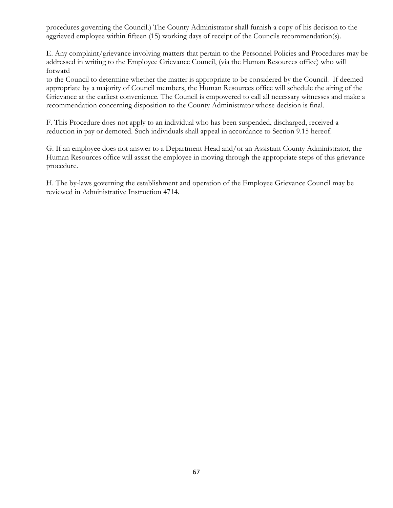procedures governing the Council.) The County Administrator shall furnish a copy of his decision to the aggrieved employee within fifteen (15) working days of receipt of the Councils recommendation(s).

E. Any complaint/grievance involving matters that pertain to the Personnel Policies and Procedures may be addressed in writing to the Employee Grievance Council, (via the Human Resources office) who will forward

to the Council to determine whether the matter is appropriate to be considered by the Council. If deemed appropriate by a majority of Council members, the Human Resources office will schedule the airing of the Grievance at the earliest convenience. The Council is empowered to call all necessary witnesses and make a recommendation concerning disposition to the County Administrator whose decision is final.

F. This Procedure does not apply to an individual who has been suspended, discharged, received a reduction in pay or demoted. Such individuals shall appeal in accordance to Section 9.15 hereof.

G. If an employee does not answer to a Department Head and/or an Assistant County Administrator, the Human Resources office will assist the employee in moving through the appropriate steps of this grievance procedure.

H. The by-laws governing the establishment and operation of the Employee Grievance Council may be reviewed in Administrative Instruction 4714.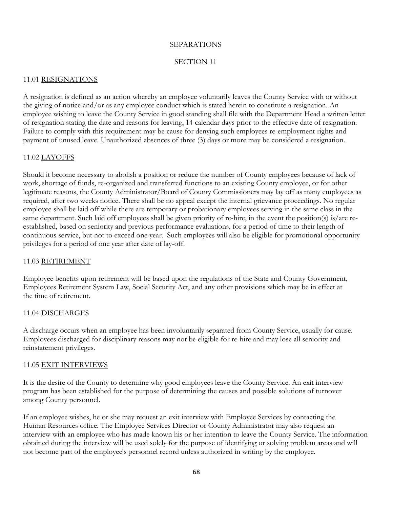## SEPARATIONS

# SECTION 11

# 11.01 RESIGNATIONS

A resignation is defined as an action whereby an employee voluntarily leaves the County Service with or without the giving of notice and/or as any employee conduct which is stated herein to constitute a resignation. An employee wishing to leave the County Service in good standing shall file with the Department Head a written letter of resignation stating the date and reasons for leaving, 14 calendar days prior to the effective date of resignation. Failure to comply with this requirement may be cause for denying such employees re-employment rights and payment of unused leave. Unauthorized absences of three (3) days or more may be considered a resignation.

## 11.02 LAYOFFS

Should it become necessary to abolish a position or reduce the number of County employees because of lack of work, shortage of funds, re-organized and transferred functions to an existing County employee, or for other legitimate reasons, the County Administrator/Board of County Commissioners may lay off as many employees as required, after two weeks notice. There shall be no appeal except the internal grievance proceedings. No regular employee shall be laid off while there are temporary or probationary employees serving in the same class in the same department. Such laid off employees shall be given priority of re-hire, in the event the position(s) is/are reestablished, based on seniority and previous performance evaluations, for a period of time to their length of continuous service, but not to exceed one year. Such employees will also be eligible for promotional opportunity privileges for a period of one year after date of lay-off.

## 11.03 RETIREMENT

Employee benefits upon retirement will be based upon the regulations of the State and County Government, Employees Retirement System Law, Social Security Act, and any other provisions which may be in effect at the time of retirement.

## 11.04 DISCHARGES

A discharge occurs when an employee has been involuntarily separated from County Service, usually for cause. Employees discharged for disciplinary reasons may not be eligible for re-hire and may lose all seniority and reinstatement privileges.

## 11.05 EXIT INTERVIEWS

It is the desire of the County to determine why good employees leave the County Service. An exit interview program has been established for the purpose of determining the causes and possible solutions of turnover among County personnel.

If an employee wishes, he or she may request an exit interview with Employee Services by contacting the Human Resources office. The Employee Services Director or County Administrator may also request an interview with an employee who has made known his or her intention to leave the County Service. The information obtained during the interview will be used solely for the purpose of identifying or solving problem areas and will not become part of the employee's personnel record unless authorized in writing by the employee.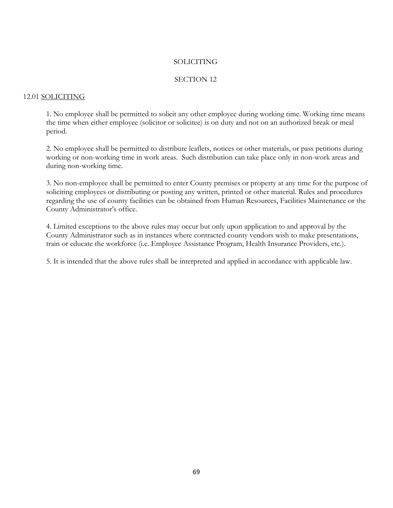#### SOLICITING

## SECTION 12

## 12.01 SOLICITING

1. No employee shall be permitted to solicit any other employee during working time. Working time means the time when either employee (solicitor or solicitee) is on duty and not on an authorized break or meal period.

2. No employee shall be permitted to distribute leaflets, notices or other materials, or pass petitions during working or non-working time in work areas. Such distribution can take place only in non-work areas and during non-working time.

3. No non-employee shall be permitted to enter County premises or property at any time for the purpose of soliciting employees or distributing or posting any written, printed or other material. Rules and procedures regarding the use of county facilities can be obtained from Human Resources, Facilities Maintenance or the County Administrator's office.

4. Limited exceptions to the above rules may occur but only upon application to and approval by the County Administrator such as in instances where contracted county vendors wish to make presentations, train or educate the workforce (i.e. Employee Assistance Program, Health Insurance Providers, etc.).

5. It is intended that the above rules shall be interpreted and applied in accordance with applicable law.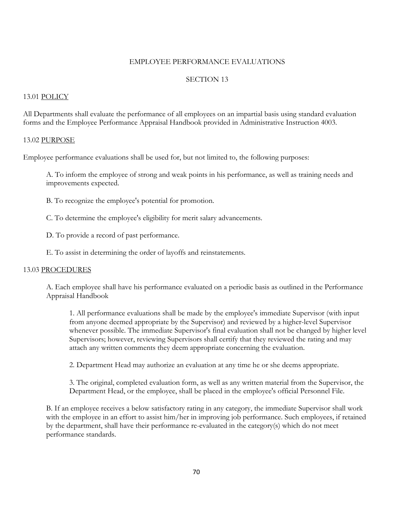#### EMPLOYEE PERFORMANCE EVALUATIONS

# SECTION 13

#### 13.01 POLICY

All Departments shall evaluate the performance of all employees on an impartial basis using standard evaluation forms and the Employee Performance Appraisal Handbook provided in Administrative Instruction 4003.

#### 13.02 PURPOSE

Employee performance evaluations shall be used for, but not limited to, the following purposes:

A. To inform the employee of strong and weak points in his performance, as well as training needs and improvements expected.

B. To recognize the employee's potential for promotion.

C. To determine the employee's eligibility for merit salary advancements.

D. To provide a record of past performance.

E. To assist in determining the order of layoffs and reinstatements.

#### 13.03 PROCEDURES

A. Each employee shall have his performance evaluated on a periodic basis as outlined in the Performance Appraisal Handbook

1. All performance evaluations shall be made by the employee's immediate Supervisor (with input from anyone deemed appropriate by the Supervisor) and reviewed by a higher-level Supervisor whenever possible. The immediate Supervisor's final evaluation shall not be changed by higher level Supervisors; however, reviewing Supervisors shall certify that they reviewed the rating and may attach any written comments they deem appropriate concerning the evaluation.

2. Department Head may authorize an evaluation at any time he or she deems appropriate.

3. The original, completed evaluation form, as well as any written material from the Supervisor, the Department Head, or the employee, shall be placed in the employee's official Personnel File.

B. If an employee receives a below satisfactory rating in any category, the immediate Supervisor shall work with the employee in an effort to assist him/her in improving job performance. Such employees, if retained by the department, shall have their performance re-evaluated in the category(s) which do not meet performance standards.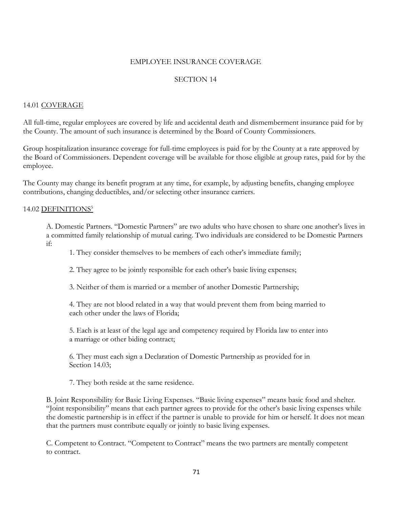## EMPLOYEE INSURANCE COVERAGE

# SECTION 14

### 14.01 COVERAGE

All full-time, regular employees are covered by life and accidental death and dismemberment insurance paid for by the County. The amount of such insurance is determined by the Board of County Commissioners.

Group hospitalization insurance coverage for full-time employees is paid for by the County at a rate approved by the Board of Commissioners. Dependent coverage will be available for those eligible at group rates, paid for by the employee.

The County may change its benefit program at any time, for example, by adjusting benefits, changing employee contributions, changing deductibles, and/or selecting other insurance carriers.

### 14.02 DEFINITIONS5

A. Domestic Partners. "Domestic Partners" are two adults who have chosen to share one another's lives in a committed family relationship of mutual caring. Two individuals are considered to be Domestic Partners if:

1. They consider themselves to be members of each other's immediate family;

2. They agree to be jointly responsible for each other's basic living expenses;

3. Neither of them is married or a member of another Domestic Partnership;

4. They are not blood related in a way that would prevent them from being married to each other under the laws of Florida;

5. Each is at least of the legal age and competency required by Florida law to enter into a marriage or other biding contract;

6. They must each sign a Declaration of Domestic Partnership as provided for in Section 14.03;

7. They both reside at the same residence.

B. Joint Responsibility for Basic Living Expenses. "Basic living expenses" means basic food and shelter. "Joint responsibility" means that each partner agrees to provide for the other's basic living expenses while the domestic partnership is in effect if the partner is unable to provide for him or herself. It does not mean that the partners must contribute equally or jointly to basic living expenses.

C. Competent to Contract. "Competent to Contract" means the two partners are mentally competent to contract.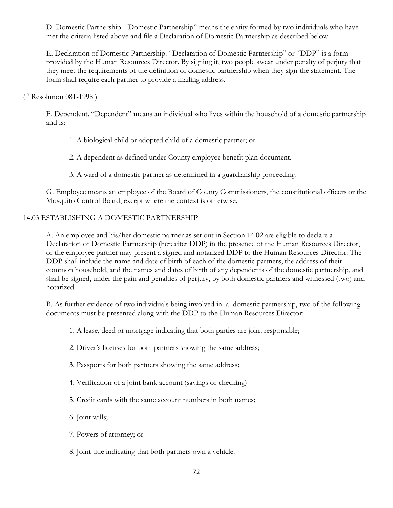D. Domestic Partnership. "Domestic Partnership" means the entity formed by two individuals who have met the criteria listed above and file a Declaration of Domestic Partnership as described below.

E. Declaration of Domestic Partnership. "Declaration of Domestic Partnership" or "DDP" is a form provided by the Human Resources Director. By signing it, two people swear under penalty of perjury that they meet the requirements of the definition of domestic partnership when they sign the statement. The form shall require each partner to provide a mailing address.

## ( 5 Resolution 081-1998 )

F. Dependent. "Dependent" means an individual who lives within the household of a domestic partnership and is:

1. A biological child or adopted child of a domestic partner; or

2. A dependent as defined under County employee benefit plan document.

3. A ward of a domestic partner as determined in a guardianship proceeding.

G. Employee means an employee of the Board of County Commissioners, the constitutional officers or the Mosquito Control Board, except where the context is otherwise.

## 14.03 ESTABLISHING A DOMESTIC PARTNERSHIP

A. An employee and his/her domestic partner as set out in Section 14.02 are eligible to declare a Declaration of Domestic Partnership (hereafter DDP) in the presence of the Human Resources Director, or the employee partner may present a signed and notarized DDP to the Human Resources Director. The DDP shall include the name and date of birth of each of the domestic partners, the address of their common household, and the names and dates of birth of any dependents of the domestic partnership, and shall be signed, under the pain and penalties of perjury, by both domestic partners and witnessed (two) and notarized.

B. As further evidence of two individuals being involved in a domestic partnership, two of the following documents must be presented along with the DDP to the Human Resources Director:

1. A lease, deed or mortgage indicating that both parties are joint responsible;

- 2. Driver's licenses for both partners showing the same address;
- 3. Passports for both partners showing the same address;
- 4. Verification of a joint bank account (savings or checking)
- 5. Credit cards with the same account numbers in both names;
- 6. Joint wills;
- 7. Powers of attorney; or
- 8. Joint title indicating that both partners own a vehicle.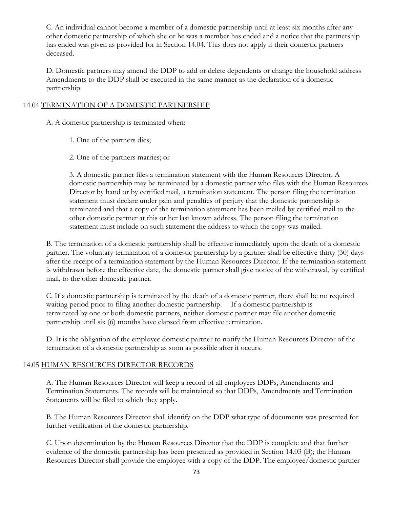C. An individual cannot become a member of a domestic partnership until at least six months after any other domestic partnership of which she or he was a member has ended and a notice that the partnership has ended was given as provided for in Section 14.04. This does not apply if their domestic partners deceased.

D. Domestic partners may amend the DDP to add or delete dependents or change the household address Amendments to the DDP shall be executed in the same manner as the declaration of a domestic partnership.

### 14.04 TERMINATION OF A DOMESTIC PARTNERSHIP

A. A domestic partnership is terminated when:

- 1. One of the partners dies;
- 2. One of the partners marries; or

3. A domestic partner files a termination statement with the Human Resources Director. A domestic partnership may be terminated by a domestic partner who files with the Human Resources Director by hand or by certified mail, a termination statement. The person filing the termination statement must declare under pain and penalties of perjury that the domestic partnership is terminated and that a copy of the termination statement has been mailed by certified mail to the other domestic partner at this or her last known address. The person filing the termination statement must include on such statement the address to which the copy was mailed.

B. The termination of a domestic partnership shall be effective immediately upon the death of a domestic partner. The voluntary termination of a domestic partnership by a partner shall be effective thirty (30) days after the receipt of a termination statement by the Human Resources Director. If the termination statement is withdrawn before the effective date, the domestic partner shall give notice of the withdrawal, by certified mail, to the other domestic partner.

C. If a domestic partnership is terminated by the death of a domestic partner, there shall be no required waiting period prior to filing another domestic partnership. If a domestic partnership is terminated by one or both domestic partners, neither domestic partner may file another domestic partnership until six (6) months have elapsed from effective termination.

D. It is the obligation of the employee domestic partner to notify the Human Resources Director of the termination of a domestic partnership as soon as possible after it occurs.

## 14.05 HUMAN RESOURCES DIRECTOR RECORDS

A. The Human Resources Director will keep a record of all employees DDPs, Amendments and Termination Statements. The records will be maintained so that DDPs, Amendments and Termination Statements will be filed to which they apply.

B. The Human Resources Director shall identify on the DDP what type of documents was presented for further verification of the domestic partnership.

C. Upon determination by the Human Resources Director that the DDP is complete and that further evidence of the domestic partnership has been presented as provided in Section 14.03 (B); the Human Resources Director shall provide the employee with a copy of the DDP. The employee/domestic partner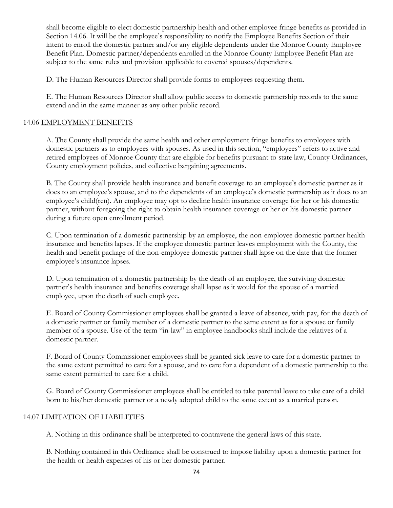shall become eligible to elect domestic partnership health and other employee fringe benefits as provided in Section 14.06. It will be the employee's responsibility to notify the Employee Benefits Section of their intent to enroll the domestic partner and/or any eligible dependents under the Monroe County Employee Benefit Plan. Domestic partner/dependents enrolled in the Monroe County Employee Benefit Plan are subject to the same rules and provision applicable to covered spouses/dependents.

D. The Human Resources Director shall provide forms to employees requesting them.

E. The Human Resources Director shall allow public access to domestic partnership records to the same extend and in the same manner as any other public record.

## 14.06 EMPLOYMENT BENEFITS

A. The County shall provide the same health and other employment fringe benefits to employees with domestic partners as to employees with spouses. As used in this section, "employees" refers to active and retired employees of Monroe County that are eligible for benefits pursuant to state law, County Ordinances, County employment policies, and collective bargaining agreements.

B. The County shall provide health insurance and benefit coverage to an employee's domestic partner as it does to an employee's spouse, and to the dependents of an employee's domestic partnership as it does to an employee's child(ren). An employee may opt to decline health insurance coverage for her or his domestic partner, without foregoing the right to obtain health insurance coverage or her or his domestic partner during a future open enrollment period.

C. Upon termination of a domestic partnership by an employee, the non-employee domestic partner health insurance and benefits lapses. If the employee domestic partner leaves employment with the County, the health and benefit package of the non-employee domestic partner shall lapse on the date that the former employee's insurance lapses.

D. Upon termination of a domestic partnership by the death of an employee, the surviving domestic partner's health insurance and benefits coverage shall lapse as it would for the spouse of a married employee, upon the death of such employee.

E. Board of County Commissioner employees shall be granted a leave of absence, with pay, for the death of a domestic partner or family member of a domestic partner to the same extent as for a spouse or family member of a spouse. Use of the term "in-law" in employee handbooks shall include the relatives of a domestic partner.

F. Board of County Commissioner employees shall be granted sick leave to care for a domestic partner to the same extent permitted to care for a spouse, and to care for a dependent of a domestic partnership to the same extent permitted to care for a child.

G. Board of County Commissioner employees shall be entitled to take parental leave to take care of a child born to his/her domestic partner or a newly adopted child to the same extent as a married person.

## 14.07 LIMITATION OF LIABILITIES

A. Nothing in this ordinance shall be interpreted to contravene the general laws of this state.

B. Nothing contained in this Ordinance shall be construed to impose liability upon a domestic partner for the health or health expenses of his or her domestic partner.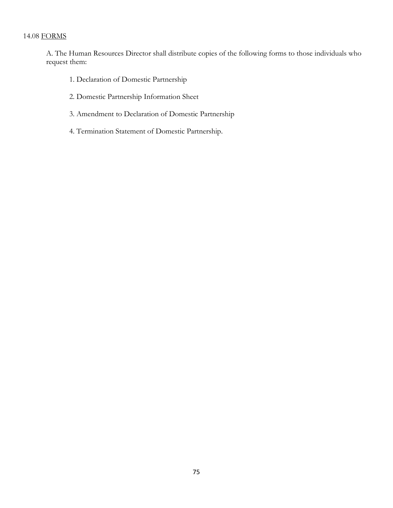# 14.08 FORMS

A. The Human Resources Director shall distribute copies of the following forms to those individuals who request them:

- 1. Declaration of Domestic Partnership
- 2. Domestic Partnership Information Sheet
- 3. Amendment to Declaration of Domestic Partnership
- 4. Termination Statement of Domestic Partnership.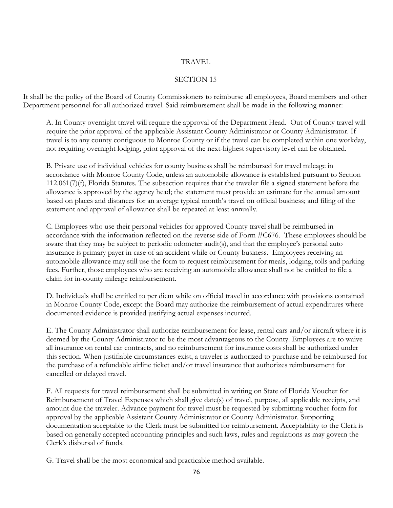### TRAVEL

## SECTION 15

It shall be the policy of the Board of County Commissioners to reimburse all employees, Board members and other Department personnel for all authorized travel. Said reimbursement shall be made in the following manner:

A. In County overnight travel will require the approval of the Department Head. Out of County travel will require the prior approval of the applicable Assistant County Administrator or County Administrator. If travel is to any county contiguous to Monroe County or if the travel can be completed within one workday, not requiring overnight lodging, prior approval of the next-highest supervisory level can be obtained.

B. Private use of individual vehicles for county business shall be reimbursed for travel mileage in accordance with Monroe County Code, unless an automobile allowance is established pursuant to Section 112.061(7)(f), Florida Statutes. The subsection requires that the traveler file a signed statement before the allowance is approved by the agency head; the statement must provide an estimate for the annual amount based on places and distances for an average typical month's travel on official business; and filing of the statement and approval of allowance shall be repeated at least annually.

C. Employees who use their personal vehicles for approved County travel shall be reimbursed in accordance with the information reflected on the reverse side of Form #C676. These employees should be aware that they may be subject to periodic odometer audit(s), and that the employee's personal auto insurance is primary payer in case of an accident while or County business. Employees receiving an automobile allowance may still use the form to request reimbursement for meals, lodging, tolls and parking fees. Further, those employees who are receiving an automobile allowance shall not be entitled to file a claim for in-county mileage reimbursement.

D. Individuals shall be entitled to per diem while on official travel in accordance with provisions contained in Monroe County Code, except the Board may authorize the reimbursement of actual expenditures where documented evidence is provided justifying actual expenses incurred.

E. The County Administrator shall authorize reimbursement for lease, rental cars and/or aircraft where it is deemed by the County Administrator to be the most advantageous to the County. Employees are to waive all insurance on rental car contracts, and no reimbursement for insurance costs shall be authorized under this section. When justifiable circumstances exist, a traveler is authorized to purchase and be reimbursed for the purchase of a refundable airline ticket and/or travel insurance that authorizes reimbursement for cancelled or delayed travel.

F. All requests for travel reimbursement shall be submitted in writing on State of Florida Voucher for Reimbursement of Travel Expenses which shall give date(s) of travel, purpose, all applicable receipts, and amount due the traveler. Advance payment for travel must be requested by submitting voucher form for approval by the applicable Assistant County Administrator or County Administrator. Supporting documentation acceptable to the Clerk must be submitted for reimbursement. Acceptability to the Clerk is based on generally accepted accounting principles and such laws, rules and regulations as may govern the Clerk's disbursal of funds.

G. Travel shall be the most economical and practicable method available.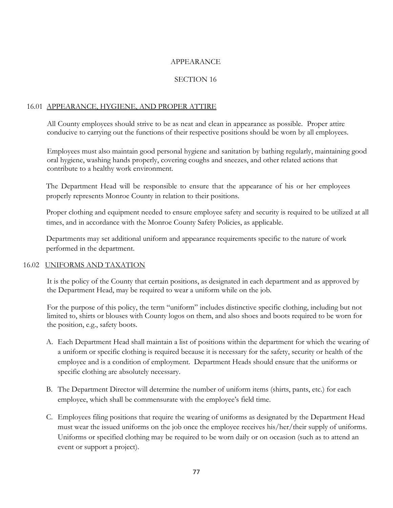### APPEARANCE

## SECTION 16

## 16.01 APPEARANCE, HYGIENE, AND PROPER ATTIRE

All County employees should strive to be as neat and clean in appearance as possible. Proper attire conducive to carrying out the functions of their respective positions should be worn by all employees.

Employees must also maintain good personal hygiene and sanitation by bathing regularly, maintaining good oral hygiene, washing hands properly, covering coughs and sneezes, and other related actions that contribute to a healthy work environment.

The Department Head will be responsible to ensure that the appearance of his or her employees properly represents Monroe County in relation to their positions.

Proper clothing and equipment needed to ensure employee safety and security is required to be utilized at all times, and in accordance with the Monroe County Safety Policies, as applicable.

Departments may set additional uniform and appearance requirements specific to the nature of work performed in the department.

## 16.02 UNIFORMS AND TAXATION

It is the policy of the County that certain positions, as designated in each department and as approved by the Department Head, may be required to wear a uniform while on the job.

For the purpose of this policy, the term "uniform" includes distinctive specific clothing, including but not limited to, shirts or blouses with County logos on them, and also shoes and boots required to be worn for the position, e.g., safety boots.

- A. Each Department Head shall maintain a list of positions within the department for which the wearing of a uniform or specific clothing is required because it is necessary for the safety, security or health of the employee and is a condition of employment. Department Heads should ensure that the uniforms or specific clothing are absolutely necessary.
- B. The Department Director will determine the number of uniform items (shirts, pants, etc.) for each employee, which shall be commensurate with the employee's field time.
- C. Employees filing positions that require the wearing of uniforms as designated by the Department Head must wear the issued uniforms on the job once the employee receives his/her/their supply of uniforms. Uniforms or specified clothing may be required to be worn daily or on occasion (such as to attend an event or support a project).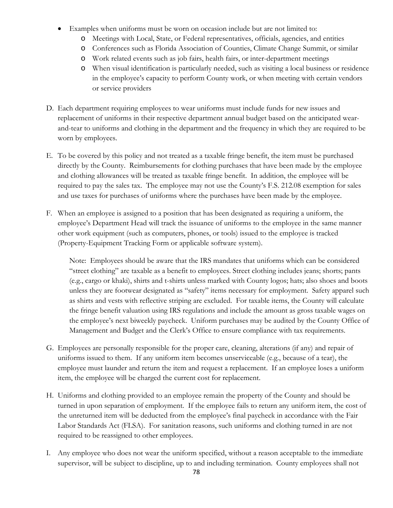- Examples when uniforms must be worn on occasion include but are not limited to:
	- o Meetings with Local, State, or Federal representatives, officials, agencies, and entities
	- o Conferences such as Florida Association of Counties, Climate Change Summit, or similar
	- o Work related events such as job fairs, health fairs, or inter-department meetings
	- o When visual identification is particularly needed, such as visiting a local business or residence in the employee's capacity to perform County work, or when meeting with certain vendors or service providers
- D. Each department requiring employees to wear uniforms must include funds for new issues and replacement of uniforms in their respective department annual budget based on the anticipated wearand-tear to uniforms and clothing in the department and the frequency in which they are required to be worn by employees.
- E. To be covered by this policy and not treated as a taxable fringe benefit, the item must be purchased directly by the County. Reimbursements for clothing purchases that have been made by the employee and clothing allowances will be treated as taxable fringe benefit. In addition, the employee will be required to pay the sales tax. The employee may not use the County's F.S. 212.08 exemption for sales and use taxes for purchases of uniforms where the purchases have been made by the employee.
- F. When an employee is assigned to a position that has been designated as requiring a uniform, the employee's Department Head will track the issuance of uniforms to the employee in the same manner other work equipment (such as computers, phones, or tools) issued to the employee is tracked (Property-Equipment Tracking Form or applicable software system).

Note: Employees should be aware that the IRS mandates that uniforms which can be considered "street clothing" are taxable as a benefit to employees. Street clothing includes jeans; shorts; pants (e.g., cargo or khaki), shirts and t-shirts unless marked with County logos; hats; also shoes and boots unless they are footwear designated as "safety" items necessary for employment. Safety apparel such as shirts and vests with reflective striping are excluded. For taxable items, the County will calculate the fringe benefit valuation using IRS regulations and include the amount as gross taxable wages on the employee's next biweekly paycheck. Uniform purchases may be audited by the County Office of Management and Budget and the Clerk's Office to ensure compliance with tax requirements.

- G. Employees are personally responsible for the proper care, cleaning, alterations (if any) and repair of uniforms issued to them. If any uniform item becomes unserviceable (e.g., because of a tear), the employee must launder and return the item and request a replacement. If an employee loses a uniform item, the employee will be charged the current cost for replacement.
- H. Uniforms and clothing provided to an employee remain the property of the County and should be turned in upon separation of employment. If the employee fails to return any uniform item, the cost of the unreturned item will be deducted from the employee's final paycheck in accordance with the Fair Labor Standards Act (FLSA). For sanitation reasons, such uniforms and clothing turned in are not required to be reassigned to other employees.
- I. Any employee who does not wear the uniform specified, without a reason acceptable to the immediate supervisor, will be subject to discipline, up to and including termination. County employees shall not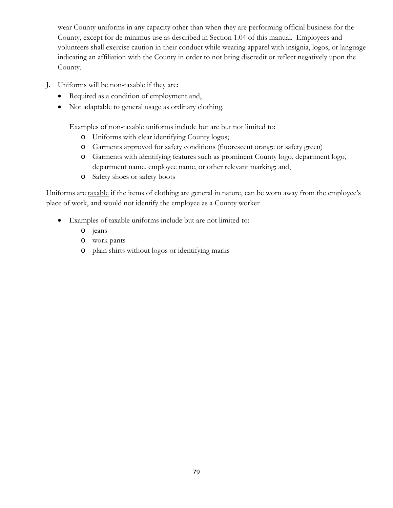wear County uniforms in any capacity other than when they are performing official business for the County, except for de minimus use as described in Section 1.04 of this manual. Employees and volunteers shall exercise caution in their conduct while wearing apparel with insignia, logos, or language indicating an affiliation with the County in order to not bring discredit or reflect negatively upon the County.

- J. Uniforms will be non-taxable if they are:
	- Required as a condition of employment and,
	- Not adaptable to general usage as ordinary clothing.

Examples of non-taxable uniforms include but are but not limited to:

- o Uniforms with clear identifying County logos;
- o Garments approved for safety conditions (fluorescent orange or safety green)
- o Garments with identifying features such as prominent County logo, department logo, department name, employee name, or other relevant marking; and,
- o Safety shoes or safety boots

Uniforms are taxable if the items of clothing are general in nature, can be worn away from the employee's place of work, and would not identify the employee as a County worker

- Examples of taxable uniforms include but are not limited to:
	- o jeans
	- o work pants
	- o plain shirts without logos or identifying marks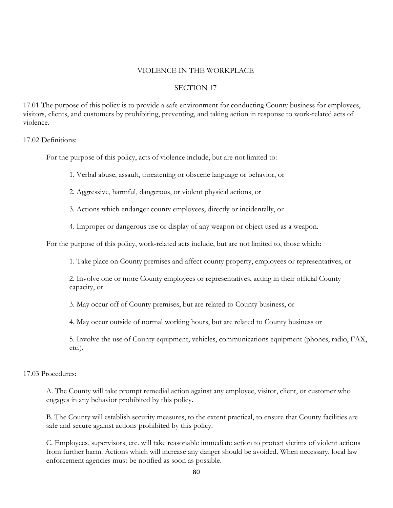#### VIOLENCE IN THE WORKPLACE

#### SECTION 17

17.01 The purpose of this policy is to provide a safe environment for conducting County business for employees, visitors, clients, and customers by prohibiting, preventing, and taking action in response to work-related acts of violence.

17.02 Definitions:

For the purpose of this policy, acts of violence include, but are not limited to:

1. Verbal abuse, assault, threatening or obscene language or behavior, or

2. Aggressive, harmful, dangerous, or violent physical actions, or

3. Actions which endanger county employees, directly or incidentally, or

4. Improper or dangerous use or display of any weapon or object used as a weapon.

For the purpose of this policy, work-related acts include, but are not limited to, those which:

1. Take place on County premises and affect county property, employees or representatives, or

2. Involve one or more County employees or representatives, acting in their official County capacity, or

3. May occur off of County premises, but are related to County business, or

4. May occur outside of normal working hours, but are related to County business or

5. Involve the use of County equipment, vehicles, communications equipment (phones, radio, FAX, etc.).

17.03 Procedures:

A. The County will take prompt remedial action against any employee, visitor, client, or customer who engages in any behavior prohibited by this policy.

B. The County will establish security measures, to the extent practical, to ensure that County facilities are safe and secure against actions prohibited by this policy.

C. Employees, supervisors, etc. will take reasonable immediate action to protect victims of violent actions from further harm. Actions which will increase any danger should be avoided. When necessary, local law enforcement agencies must be notified as soon as possible.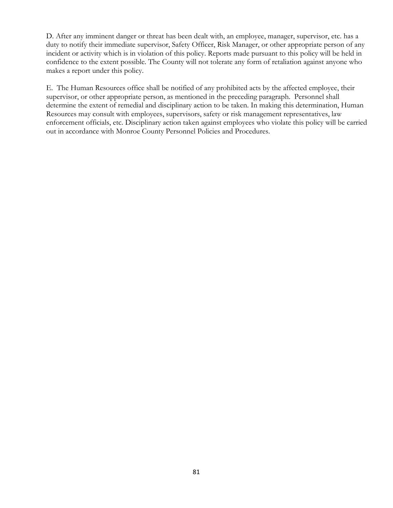D. After any imminent danger or threat has been dealt with, an employee, manager, supervisor, etc. has a duty to notify their immediate supervisor, Safety Officer, Risk Manager, or other appropriate person of any incident or activity which is in violation of this policy. Reports made pursuant to this policy will be held in confidence to the extent possible. The County will not tolerate any form of retaliation against anyone who makes a report under this policy.

E. The Human Resources office shall be notified of any prohibited acts by the affected employee, their supervisor, or other appropriate person, as mentioned in the preceding paragraph. Personnel shall determine the extent of remedial and disciplinary action to be taken. In making this determination, Human Resources may consult with employees, supervisors, safety or risk management representatives, law enforcement officials, etc. Disciplinary action taken against employees who violate this policy will be carried out in accordance with Monroe County Personnel Policies and Procedures.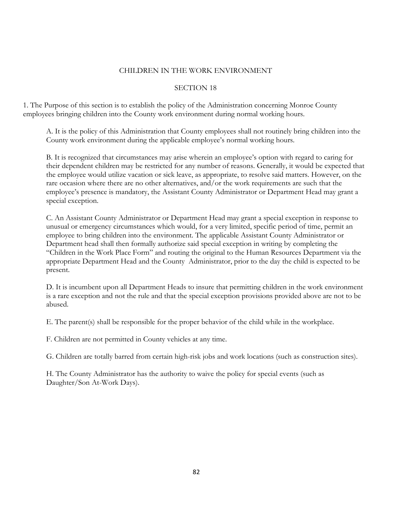## CHILDREN IN THE WORK ENVIRONMENT

## SECTION 18

1. The Purpose of this section is to establish the policy of the Administration concerning Monroe County employees bringing children into the County work environment during normal working hours.

A. It is the policy of this Administration that County employees shall not routinely bring children into the County work environment during the applicable employee's normal working hours.

B. It is recognized that circumstances may arise wherein an employee's option with regard to caring for their dependent children may be restricted for any number of reasons. Generally, it would be expected that the employee would utilize vacation or sick leave, as appropriate, to resolve said matters. However, on the rare occasion where there are no other alternatives, and/or the work requirements are such that the employee's presence is mandatory, the Assistant County Administrator or Department Head may grant a special exception.

C. An Assistant County Administrator or Department Head may grant a special exception in response to unusual or emergency circumstances which would, for a very limited, specific period of time, permit an employee to bring children into the environment. The applicable Assistant County Administrator or Department head shall then formally authorize said special exception in writing by completing the "Children in the Work Place Form" and routing the original to the Human Resources Department via the appropriate Department Head and the County Administrator, prior to the day the child is expected to be present.

D. It is incumbent upon all Department Heads to insure that permitting children in the work environment is a rare exception and not the rule and that the special exception provisions provided above are not to be abused.

E. The parent(s) shall be responsible for the proper behavior of the child while in the workplace.

F. Children are not permitted in County vehicles at any time.

G. Children are totally barred from certain high-risk jobs and work locations (such as construction sites).

H. The County Administrator has the authority to waive the policy for special events (such as Daughter/Son At-Work Days).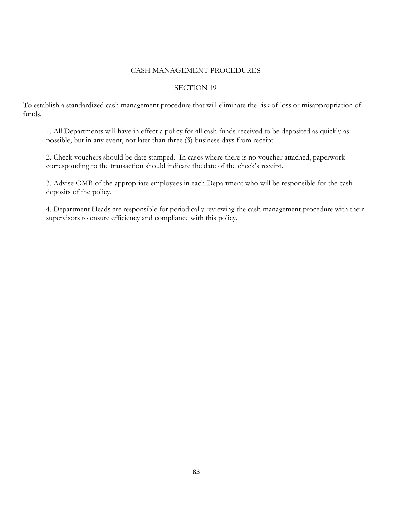### CASH MANAGEMENT PROCEDURES

### SECTION 19

To establish a standardized cash management procedure that will eliminate the risk of loss or misappropriation of funds.

1. All Departments will have in effect a policy for all cash funds received to be deposited as quickly as possible, but in any event, not later than three (3) business days from receipt.

2. Check vouchers should be date stamped. In cases where there is no voucher attached, paperwork corresponding to the transaction should indicate the date of the check's receipt.

3. Advise OMB of the appropriate employees in each Department who will be responsible for the cash deposits of the policy.

4. Department Heads are responsible for periodically reviewing the cash management procedure with their supervisors to ensure efficiency and compliance with this policy.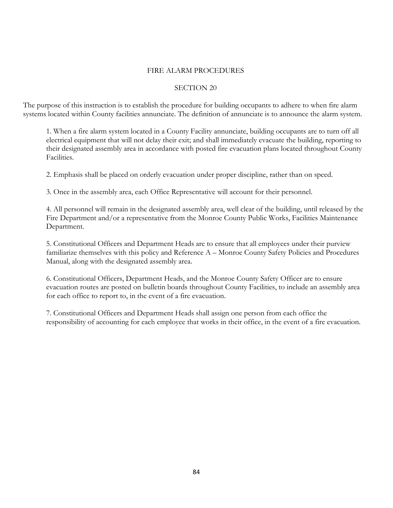### FIRE ALARM PROCEDURES

#### SECTION 20

The purpose of this instruction is to establish the procedure for building occupants to adhere to when fire alarm systems located within County facilities annunciate. The definition of annunciate is to announce the alarm system.

1. When a fire alarm system located in a County Facility annunciate, building occupants are to turn off all electrical equipment that will not delay their exit; and shall immediately evacuate the building, reporting to their designated assembly area in accordance with posted fire evacuation plans located throughout County Facilities.

2. Emphasis shall be placed on orderly evacuation under proper discipline, rather than on speed.

3. Once in the assembly area, each Office Representative will account for their personnel.

4. All personnel will remain in the designated assembly area, well clear of the building, until released by the Fire Department and/or a representative from the Monroe County Public Works, Facilities Maintenance Department.

5. Constitutional Officers and Department Heads are to ensure that all employees under their purview familiarize themselves with this policy and Reference A – Monroe County Safety Policies and Procedures Manual, along with the designated assembly area.

6. Constitutional Officers, Department Heads, and the Monroe County Safety Officer are to ensure evacuation routes are posted on bulletin boards throughout County Facilities, to include an assembly area for each office to report to, in the event of a fire evacuation.

7. Constitutional Officers and Department Heads shall assign one person from each office the responsibility of accounting for each employee that works in their office, in the event of a fire evacuation.